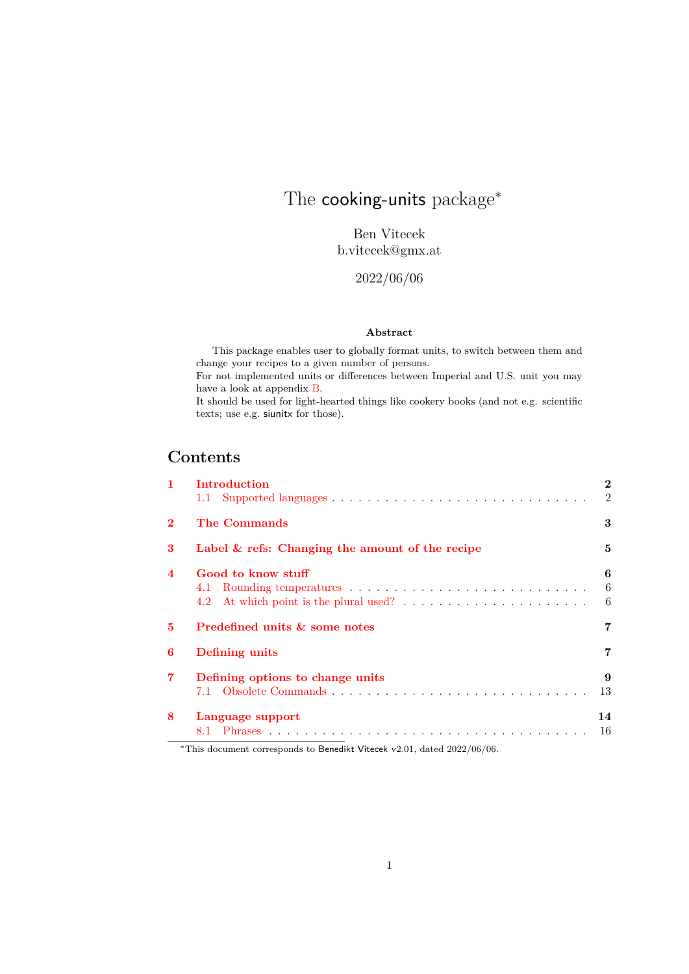# <span id="page-0-0"></span>The cooking-units package<sup>\*</sup>

Ben Vitecek b.vitecek@gmx.at

## 2022/06/06

#### **Abstract**

This package enables user to globally format units, to switch between them and change your recipes to a given number of persons. For not implemented units or differences between Imperial and U.S. unit you may have a look at appendix [B.](#page-41-0) It should be used for light-hearted things like cookery books (and not e.g. scientific texts; use e.g. siunitx for those).

## **Contents**

| $\mathbf{1}$     | Introduction                                       | $\overline{2}$ |
|------------------|----------------------------------------------------|----------------|
|                  |                                                    | $\overline{2}$ |
| $\mathbf{2}$     | The Commands                                       | 3              |
| 3                | Label $\&$ refs: Changing the amount of the recipe | 5              |
| $\boldsymbol{4}$ | Good to know stuff                                 | 6              |
|                  |                                                    | -6             |
|                  |                                                    | - 6            |
| 5                | Predefined units & some notes                      | 7              |
| 6                | Defining units                                     | 7              |
| $\overline{7}$   | Defining options to change units                   | 9              |
|                  |                                                    | 13             |
| 8                | Language support                                   | 14             |
|                  |                                                    | - 16           |

<sup>∗</sup>This document corresponds to Benedikt Vitecek v2.01, dated 2022/06/06.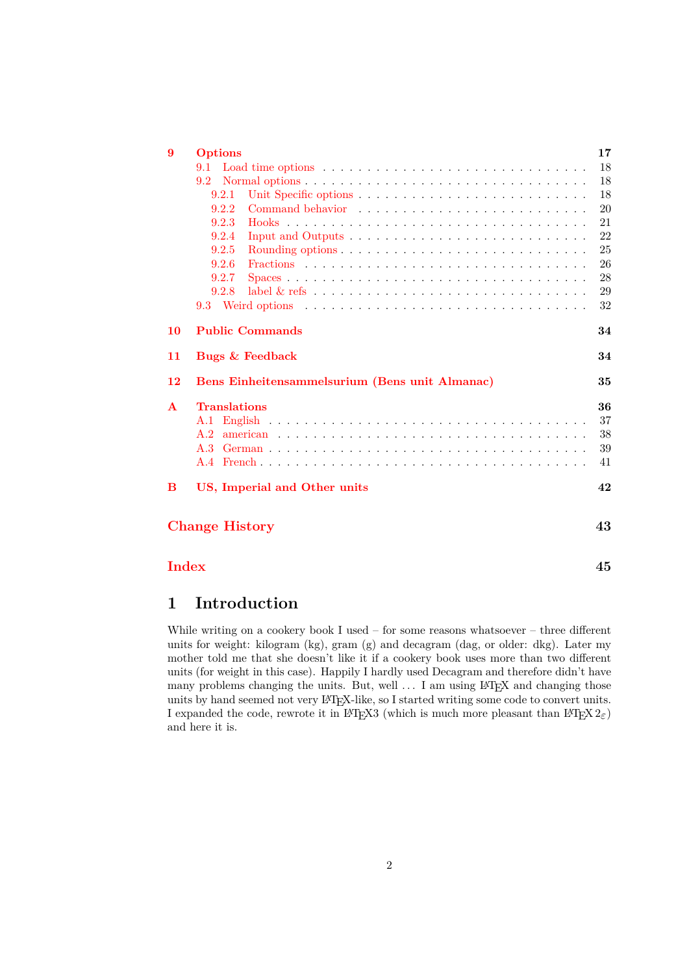| 9            | <b>Options</b>                                                                           | 17 |  |  |
|--------------|------------------------------------------------------------------------------------------|----|--|--|
|              | 9.1                                                                                      | 18 |  |  |
|              | 9.2                                                                                      | 18 |  |  |
|              | 9.2.1                                                                                    | 18 |  |  |
|              | 9.2.2                                                                                    | 20 |  |  |
|              | 9.2.3                                                                                    | 21 |  |  |
|              | 9.2.4<br>Input and Outputs $\dots \dots \dots \dots \dots \dots \dots \dots \dots \dots$ | 22 |  |  |
|              | 9.2.5                                                                                    | 25 |  |  |
|              | 9.2.6                                                                                    | 26 |  |  |
|              | 9.2.7                                                                                    | 28 |  |  |
|              | 9.2.8                                                                                    | 29 |  |  |
|              |                                                                                          | 32 |  |  |
| 10           | <b>Public Commands</b>                                                                   | 34 |  |  |
| 11           | Bugs & Feedback                                                                          | 34 |  |  |
| <b>12</b>    | Bens Einheitensammelsurium (Bens unit Almanac)<br>35                                     |    |  |  |
| $\mathbf{A}$ | <b>Translations</b>                                                                      | 36 |  |  |
|              |                                                                                          | 37 |  |  |
|              |                                                                                          | 38 |  |  |
|              |                                                                                          | 39 |  |  |
|              |                                                                                          | 41 |  |  |
| B            | US, Imperial and Other units                                                             | 42 |  |  |
|              | <b>Change History</b>                                                                    | 43 |  |  |
| <b>Index</b> |                                                                                          | 45 |  |  |

## <span id="page-1-0"></span>**1 Introduction**

While writing on a cookery book I used – for some reasons whatsoever – three different units for weight: kilogram (kg), gram (g) and decagram (dag, or older: dkg). Later my mother told me that she doesn't like it if a cookery book uses more than two different units (for weight in this case). Happily I hardly used Decagram and therefore didn't have many problems changing the units. But, well ... I am using LAT<sub>E</sub>X and changing those units by hand seemed not very LATEX-like, so I started writing some code to convert units. I expanded the code, rewrote it in LAT<sub>E</sub>X3 (which is much more pleasant than LAT<sub>E</sub>X  $2\varepsilon$ ) and here it is.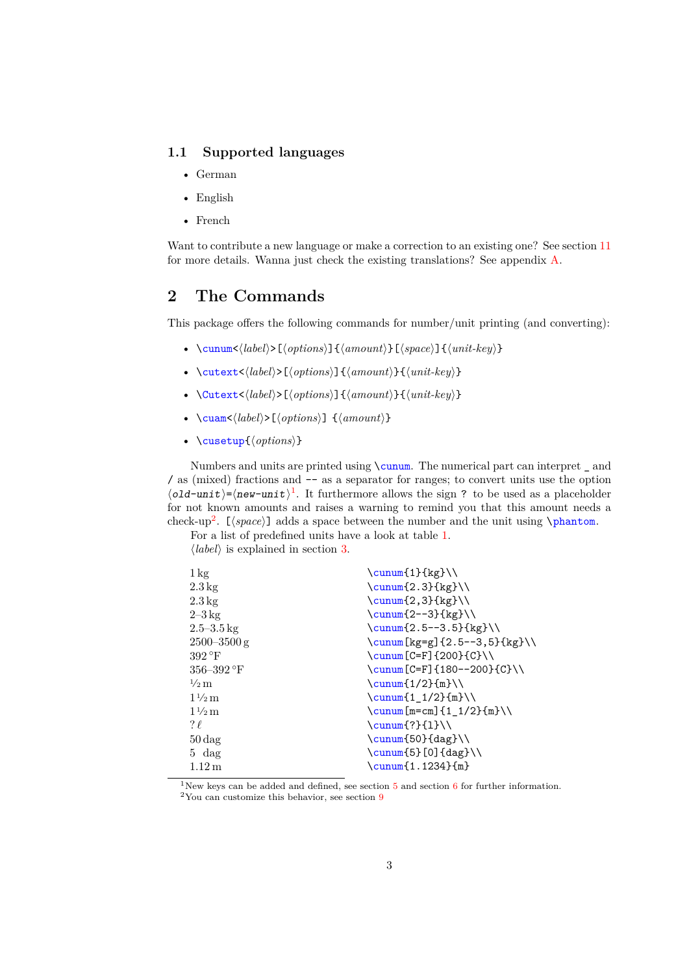### <span id="page-2-0"></span>**1.1 Supported languages**

- German
- English
- French

Want to contribute a new language or make a correction to an existing one? See section [11](#page-33-1) for more details. Wanna just check the existing translations? See appendix [A.](#page-35-0)

## <span id="page-2-1"></span>**2 The Commands**

This package offers the following commands for number/unit printing (and converting):

- \cunum<⟨*label*⟩>[⟨*options*⟩]{⟨*amount*⟩}[⟨*space*⟩]{⟨*unit-key*⟩}
- \cutext<⟨*label*⟩>[⟨*options*⟩]{⟨*amount*⟩}{⟨*unit-key*⟩}
- \Cutext<⟨*label*⟩>[⟨*options*⟩]{⟨*amount*⟩}{⟨*unit-key*⟩}
- \cuam<⟨*label*⟩>[⟨*options*⟩] {⟨*amount*⟩}
- \cusetup{⟨*options*⟩}

Numbers and units are printed using \cunum. The numerical part can interpret \_ and / as (mixed) fractions and -- as a separator for ranges; to convert units use the option  $\langle$ old-unit $\rangle$ = $\langle$ new-unit $\rangle$ <sup>[1](#page-2-2)</sup>. It furthermore allows the sign ? to be used as a placeholder for not known amounts and raises a warning to remind you that this amount needs a check-up<sup>[2](#page-2-3)</sup>. [ $\langle space \rangle$ ] adds a space between the number and the unit using \phantom.

For a list of predefined units have a look at table [1.](#page-6-2)

⟨*label*⟩ is explained in section [3.](#page-4-0)

| $1 \,\mathrm{kg}$  | $\sum_{1} {\kappa}$                        |
|--------------------|--------------------------------------------|
| $2.3\,\mathrm{kg}$ | $\sum_{2.3}$ {kg}                          |
| $2.3\,\mathrm{kg}$ | $\sum_{2,3}$ {kg} \\                       |
| $2-3 \text{ kg}$   | $\sum_{2--3}$ {kg}                         |
| $2.5 - 3.5$ kg     | $\sum_{2.5--3.5}$ {kg}                     |
| $2500 - 3500$ g    | $\sum [kg = g] {2.5 - -3, 5} [kg] \$       |
| $392^{\circ}F$     | $\cum\Gamma C = F1$ {200} {C}\\            |
| $356 - 392$ °F     | \cunum [C=F] ${180 - -200}{C} \ \$         |
| $\frac{1}{2}$ m    | $\sum_{1/2}$ {m} \\                        |
| $1\frac{1}{2}$ m   | $\sum_{1/2}$ {m} \\                        |
| $1\frac{1}{2}$ m   | $\sum [m = cm] {1_1/2}{m}}\$               |
| $? \ell$           | $\sum_{?}{1}\$                             |
| $50 \text{ dag}$   | $\sum_{50} \{ \text{dag} \}$               |
| $5 \text{ dag}$    | $\sum_{5} [0] {\text{dag}} \$              |
| $1.12\,\mathrm{m}$ | $\sum_{f \in \mathbb{R}}$ (1.1234) $\{m\}$ |
|                    |                                            |

<span id="page-2-2"></span><sup>1</sup>New keys can be added and defined, see section  $5$  and section  $6$  for further information.

<span id="page-2-3"></span><sup>2</sup>You can customize this behavior, see section [9](#page-16-0)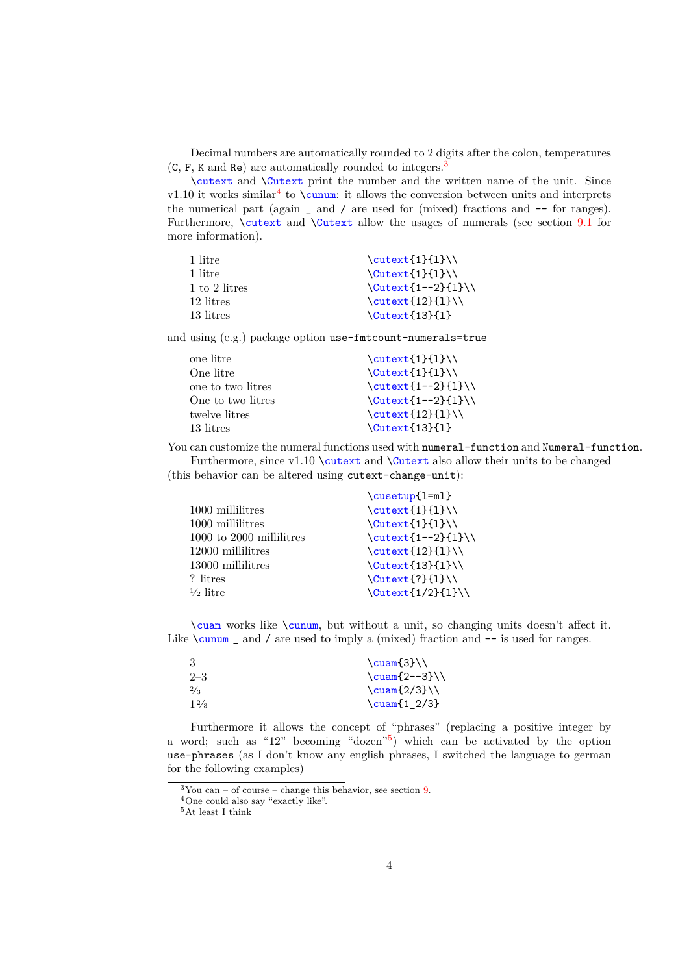Decimal numbers are automatically rounded to 2 digits after the colon, temperatures  $(C, F, K, and Re)$  are automatically rounded to integers.<sup>[3](#page-3-0)</sup>

\cutext and \Cutext print the number and the written name of the unit. Since v1.10 it works similar<sup>[4](#page-3-1)</sup> to  $\text{cum.}$  it allows the conversion between units and interprets the numerical part (again \_ and / are used for (mixed) fractions and -- for ranges). Furthermore, *\cutext* and *\Cutext* allow the usages of numerals (see section [9.1](#page-17-0) for more information).

| $\text{1}(1)$                      |
|------------------------------------|
| $\text{Cutext1}$ $\{1\}$           |
| $\Upsilon$ \Cutext $\{1--2\}\{1\}$ |
| $\text{12}$ {1}\\                  |
| $\text{Cutext{13}11}$              |
|                                    |

and using (e.g.) package option use-fmtcount-numerals=true

| $\text{\texttt{cutext}}\{1\}$         |
|---------------------------------------|
| $\text{Cutext{1}{1}}$                 |
| $\text{\texttt{cutext}}_{1--2}$ {1}\\ |
| $\Upsilon$ utext $\{1--2\}\{1\}$      |
| $\text{12}(1)$                        |
| $\text{Cutext}{13}{1}$                |
|                                       |

You can customize the numeral functions used with numeral-function and Numeral-function. Furthermore, since  $v1.10 \text{ and } \text{ also allow their units to be changed}$ (this behavior can be altered using cutext-change-unit):

| \cusetup{1=ml}               |
|------------------------------|
| $\text{1}$ {1} \\            |
| $\text{Cutext1}$ $\{1\}$     |
| $\cutext{1--2}$ {1}\\        |
| $\text{\texttt{12}}_{1}\}$   |
| $\text{Cutext{13}{1}}$       |
| $\text{Cutext}$ {?} {1}      |
| $\text{Cutext}\{1/2\}\{1\}\$ |
|                              |

\cuam works like \cunum, but without a unit, so changing units doesn't affect it. Like  $\cumum$  and / are used to imply a (mixed) fraction and  $-$  is used for ranges.

| $\text{Cuam}\{3\}\$         |
|-----------------------------|
| $\text{Cuam}$ $2--3}$       |
| $\text{2/3}$                |
| $\text{\textdegree}(1_2/3)$ |
|                             |

Furthermore it allows the concept of "phrases" (replacing a positive integer by a word; such as "12" becoming "dozen"[5](#page-3-2) ) which can be activated by the option use-phrases (as I don't know any english phrases, I switched the language to german for the following examples)

<span id="page-3-0"></span> $3$ You can – of course – change this behavior, see section [9.](#page-16-0)

<span id="page-3-1"></span><sup>4</sup>One could also say "exactly like".

<span id="page-3-2"></span><sup>5</sup>At least I think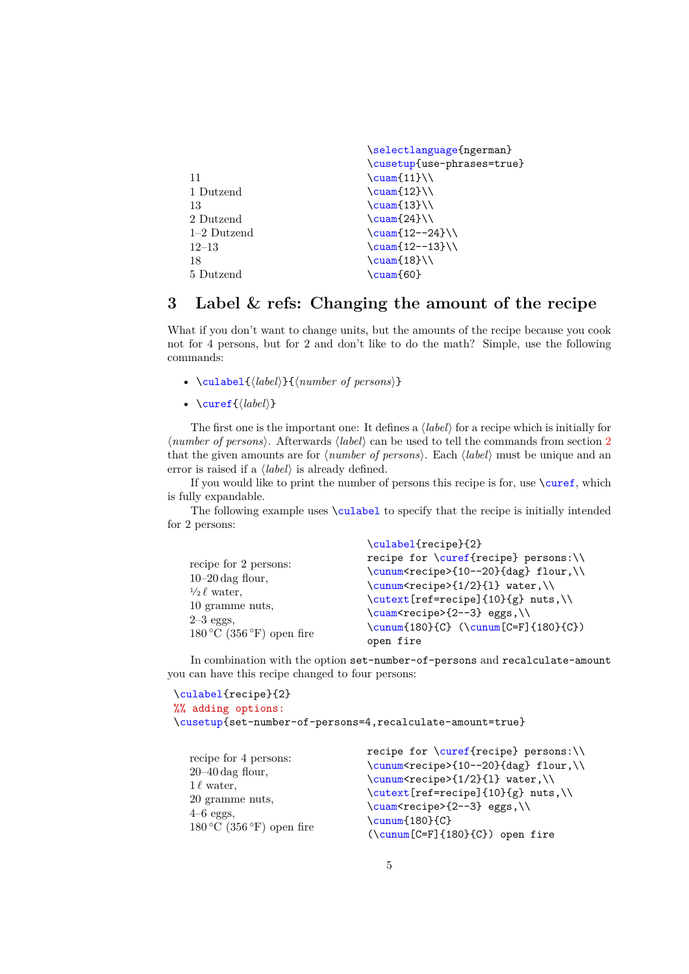|               | \selectlanguage{ngerman}       |
|---------------|--------------------------------|
|               | \cusetup{use-phrases=true}     |
| 11            | $\text{Cuam}[11]\)$            |
| 1 Dutzend     | $\text{Cuam}12}$               |
| 13            | $\text{Cuam}13}$               |
| 2 Dutzend     | $\text{Cuam}24}$               |
| $1-2$ Dutzend | $\text{Cuam}$ $12--24$         |
| $12 - 13$     | $\text{\textcircled{12--13}}\$ |
| 18            | $\text{Cuam}$ (18}             |
| 5 Dutzend     | \cuam{60}                      |

## <span id="page-4-0"></span>**3 Label & refs: Changing the amount of the recipe**

What if you don't want to change units, but the amounts of the recipe because you cook not for 4 persons, but for 2 and don't like to do the math? Simple, use the following commands:

- \culabel{⟨*label*⟩}{⟨*number of persons*⟩}
- \curef{⟨*label*⟩}

The first one is the important one: It defines a ⟨*label*⟩ for a recipe which is initially for ⟨*number of persons*⟩. Afterwards ⟨*label*⟩ can be used to tell the commands from section [2](#page-2-1) that the given amounts are for ⟨*number of persons*⟩. Each ⟨*label*⟩ must be unique and an error is raised if a ⟨*label*⟩ is already defined.

If you would like to print the number of persons this recipe is for, use \curef, which is fully expandable.

The following example uses **\culabel** to specify that the recipe is initially intended for 2 persons:

|                                            | \culabel{recipe}{2}                                                                    |  |  |
|--------------------------------------------|----------------------------------------------------------------------------------------|--|--|
| recipe for 2 persons:                      | recipe for \curef{recipe} persons:\\<br>\cunum <recipe>{10--20}{dag} flour,\\</recipe> |  |  |
| $10-20 \text{ dag }$ flour,                | \cunum <recipe>{1/2}{1} water,\\<br/>\cutext[ref=recipe]{10}{g} nuts,\\</recipe>       |  |  |
| $\frac{1}{2}$ water.                       |                                                                                        |  |  |
| 10 gramme nuts,<br>$2-3$ eggs,             | \cuam <recipe>{2--3} eggs,\\</recipe>                                                  |  |  |
| $180\,^{\circ}\text{C}$ (356 °F) open fire | $\cum[180]{C} (\cum[C=F]{180}{C})$<br>open fire                                        |  |  |

In combination with the option set-number-of-persons and recalculate-amount you can have this recipe changed to four persons:

```
\culabel{recipe}{2}
%% adding options:
\cusetup{set-number-of-persons=4,recalculate-amount=true}
```

|                                                             | recipe for $\curvearrowright$ {recipe} persons: $\setminus$ |  |  |
|-------------------------------------------------------------|-------------------------------------------------------------|--|--|
| recipe for 4 persons:                                       | \cunum <recipe>{10--20}{dag} flour,\\</recipe>              |  |  |
| $20-40 \text{ dag }$ flour,                                 | \cunum <recipe>{1/2}{1} water,\\</recipe>                   |  |  |
| $1\ell$ water,                                              | \cutext[ref=recipe]{10}{g} nuts,\\                          |  |  |
| 20 gramme nuts,                                             | \cuam <recipe>{2--3} eggs,\\</recipe>                       |  |  |
| $4-6$ eggs,                                                 | $\sum_{180}{C}$                                             |  |  |
| $180\,^{\circ}\text{C}$ (356 $^{\circ}\text{F}$ ) open fire | $(\cumum[C=F]{180}{C})$ open fire                           |  |  |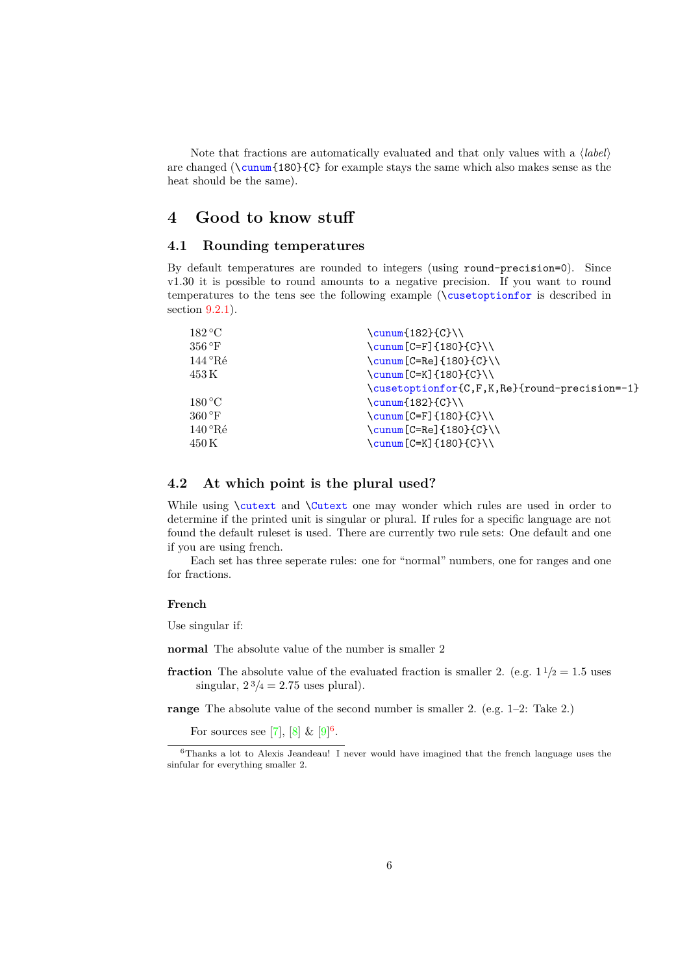Note that fractions are automatically evaluated and that only values with a ⟨*label*⟩ are changed ( $\cumum{180}{C}$  for example stays the same which also makes sense as the heat should be the same).

## <span id="page-5-0"></span>**4 Good to know stuff**

### <span id="page-5-1"></span>**4.1 Rounding temperatures**

By default temperatures are rounded to integers (using round-precision=0). Since v1.30 it is possible to round amounts to a negative precision. If you want to round temperatures to the tens see the following example (\cusetoptionfor is described in section [9.2.1\)](#page-17-2).

| 182 °C                  | $\cumum{182}{C}\\$                            |
|-------------------------|-----------------------------------------------|
| 356 °F                  | $\cum\Gamma$ $C = F1$ {180 } { C } \ \        |
| 144 °Ré                 | \cunum[C=Re]{180}{C}\\                        |
| 453 K                   | \cunum [C=K] $\{180\}$ {C}\\                  |
|                         | \cusetoptionfor{C,F,K,Re}{round-precision=-1} |
| 180 °C                  | $\cum\{182\}(C)\}\$                           |
| $360\,^{\circ}\text{F}$ | \cunum [C=F] $\{180\}$ {C}\\                  |
| $140^{\circ}$ Ré        | \cunum[C=Re]{180}{C}\\                        |
| 450 K                   | \cunum[C=K]{180}{C}\\                         |
|                         |                                               |

### <span id="page-5-2"></span>**4.2 At which point is the plural used?**

While using **\cutext** and **\Cutext** one may wonder which rules are used in order to determine if the printed unit is singular or plural. If rules for a specific language are not found the default ruleset is used. There are currently two rule sets: One default and one if you are using french.

Each set has three seperate rules: one for "normal" numbers, one for ranges and one for fractions.

### **French**

Use singular if:

**normal** The absolute value of the number is smaller 2

**fraction** The absolute value of the evaluated fraction is smaller 2. (e.g.  $1\frac{1}{2} = 1.5$  uses singular,  $2\frac{3}{4} = 2.75$  uses plural).

**range** The absolute value of the second number is smaller 2. (e.g. 1–2: Take 2.)

For sources see [\[7\]](#page-42-1),  $[8] \& [9]^{6}$  $[8] \& [9]^{6}$  $[8] \& [9]^{6}$  $[8] \& [9]^{6}$  $[8] \& [9]^{6}$  $[8] \& [9]^{6}$ .

<span id="page-5-3"></span> $6$ Thanks a lot to Alexis Jeandeau! I never would have imagined that the french language uses the sinfular for everything smaller 2.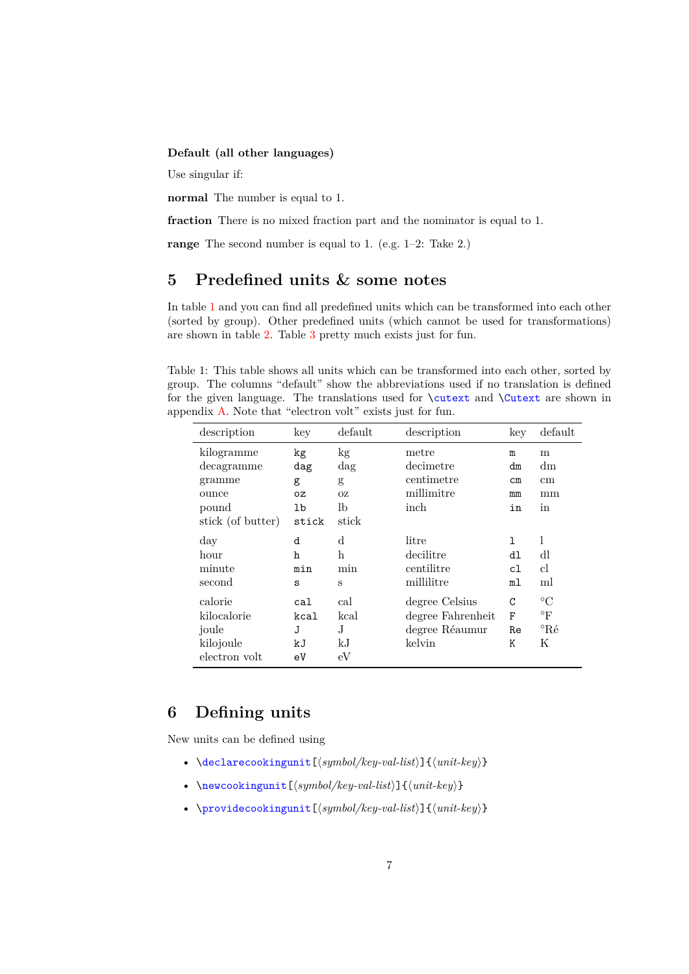### **Default (all other languages)**

Use singular if:

**normal** The number is equal to 1.

**fraction** There is no mixed fraction part and the nominator is equal to 1.

**range** The second number is equal to 1. (e.g. 1–2: Take 2.)

## <span id="page-6-0"></span>**5 Predefined units & some notes**

In table [1](#page-6-2) and you can find all predefined units which can be transformed into each other (sorted by group). Other predefined units (which cannot be used for transformations) are shown in table [2.](#page-7-0) Table [3](#page-7-1) pretty much exists just for fun.

<span id="page-6-2"></span>Table 1: This table shows all units which can be transformed into each other, sorted by group. The columns "default" show the abbreviations used if no translation is defined for the given language. The translations used for \cutext and \Cutext are shown in appendix [A.](#page-35-0) Note that "electron volt" exists just for fun.

| description                                                               | key                                 | default                                    | description                                                     | key                                  | default                                                       |
|---------------------------------------------------------------------------|-------------------------------------|--------------------------------------------|-----------------------------------------------------------------|--------------------------------------|---------------------------------------------------------------|
| kilogramme<br>decagramme<br>gramme<br>ounce<br>pound<br>stick (of butter) | kg<br>dag<br>g<br>0Z<br>lb<br>stick | kg<br>dag<br>g<br><b>OZ</b><br>lb<br>stick | metre<br>decimetre<br>centimetre<br>millimitre<br>inch          | m<br>dm<br>$\texttt{cm}$<br>mm<br>in | m<br>dm<br>$\,\mathrm{cm}$<br>mm<br>in                        |
| day<br>hour<br>minute<br>second                                           | d<br>ħ<br>min<br>S                  | d<br>h<br>min<br>S                         | litre<br>decilitre<br>centilitre<br>millilitre                  | 1<br>d1<br>c1<br>ml                  | 1<br>dl<br>$_{\rm cl}$<br>ml                                  |
| calorie<br>kilocalorie<br>joule<br>kilojoule<br>electron volt             | cal<br>kcal<br>J<br>kJ<br>eV        | cal<br>kcal<br>J<br>kJ<br>eV               | degree Celsius<br>degree Fahrenheit<br>degree Réaumur<br>kelvin | C<br>F<br>Re<br>Κ                    | $\rm ^{\circ}C$<br>$\mathrm{^{\circ}F}$<br>$^{\circ}$ Ré<br>Κ |

## <span id="page-6-1"></span>**6 Defining units**

New units can be defined using

- \declarecookingunit[⟨*symbol/key-val-list*⟩]{⟨*unit-key*⟩}
- \newcookingunit[⟨*symbol/key-val-list*⟩]{⟨*unit-key*⟩}
- \providecookingunit[⟨*symbol/key-val-list*⟩]{⟨*unit-key*⟩}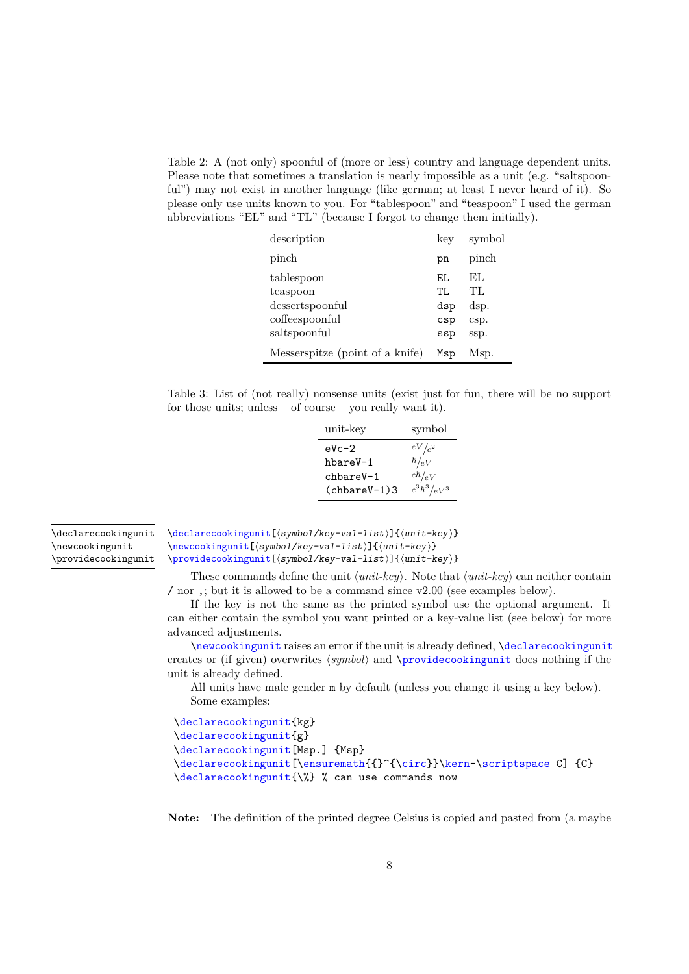<span id="page-7-2"></span><span id="page-7-0"></span>Table 2: A (not only) spoonful of (more or less) country and language dependent units. Please note that sometimes a translation is nearly impossible as a unit (e.g. "saltspoonful") may not exist in another language (like german; at least I never heard of it). So please only use units known to you. For "tablespoon" and "teaspoon" I used the german abbreviations "EL" and "TL" (because I forgot to change them initially).

| description                     | key        | symbol     |
|---------------------------------|------------|------------|
| pinch                           | рn         | pinch      |
| tablespoon<br>teaspoon          | FJ.<br>TI. | EL.<br>TL. |
| dessertspoonful                 | dsp        | dsp.       |
| coffeespoonful                  | csp        | csp.       |
| saltspoonful                    | ssp        | ssp.       |
| Messerspitze (point of a knife) | Msp        | Msp.       |

<span id="page-7-1"></span>Table 3: List of (not really) nonsense units (exist just for fun, there will be no support for those units; unless  $-$  of course  $-$  you really want it).

| unit-key       | symbol            |
|----------------|-------------------|
| $eVc-2$        | $eV/c^2$          |
| hbareV-1       | $\hbar/ eV$       |
| chbareV-1      | $c\hbar/eV$       |
| $(chbareV-1)3$ | $c^3\hbar^3/eV^3$ |

\declarecookingunit \newcookingunit \providecookingunit \declarecookingunit[⟨symbol/key-val-list⟩]{⟨unit-key⟩} \newcookingunit[⟨symbol/key-val-list⟩]{⟨unit-key⟩} \providecookingunit[⟨symbol/key-val-list⟩]{⟨unit-key⟩}

These commands define the unit ⟨*unit-key*⟩. Note that ⟨*unit-key*⟩ can neither contain / nor ,; but it is allowed to be a command since v2.00 (see examples below).

If the key is not the same as the printed symbol use the optional argument. It can either contain the symbol you want printed or a key-value list (see below) for more advanced adjustments.

\newcookingunit raises an error if the unit is already defined, \declarecookingunit creates or (if given) overwrites ⟨*symbol*⟩ and \providecookingunit does nothing if the unit is already defined.

All units have male gender m by default (unless you change it using a key below). Some examples:

```
\declarecookingunit{kg}
\declarecookingunit{g}
\declarecookingunit[Msp.] {Msp}
\declarecookingunit[\ensuremath{{}^{\circ}}\kern-\scriptspace C] {C}
\declarecookingunit{\%} % can use commands now
```
**Note:** The definition of the printed degree Celsius is copied and pasted from (a maybe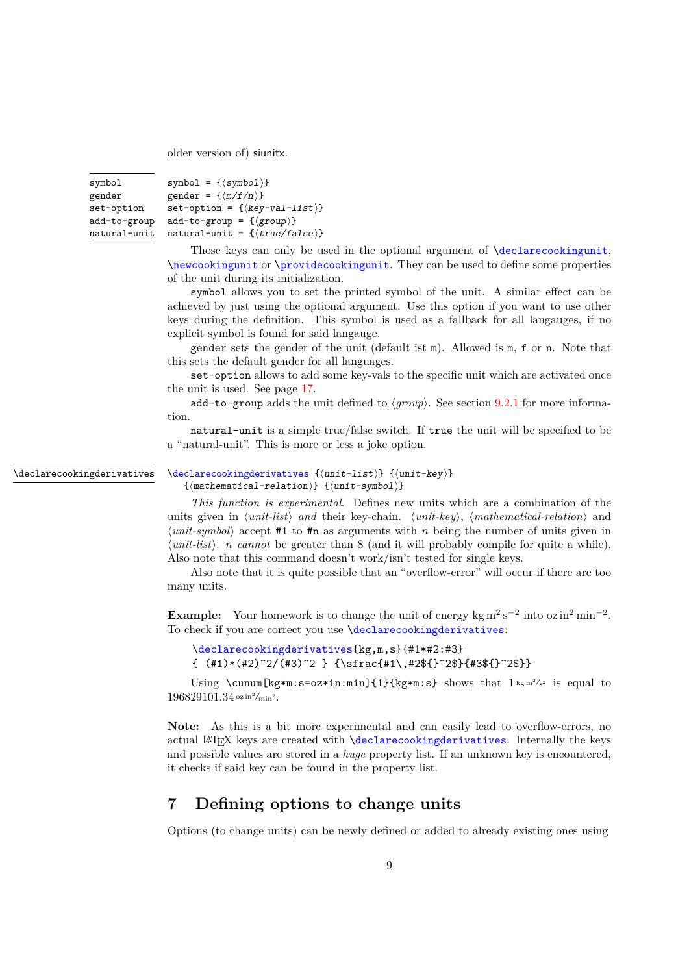<span id="page-8-1"></span>older version of) siunitx.

| symbol       | symbol = $\{\langle symbol \rangle\}$           |
|--------------|-------------------------------------------------|
| gender       | gender = $\{\langle m/f/n \rangle\}$            |
| set-option   | $set-option = \{\langle key-val-list \rangle\}$ |
| add-to-group | $add-to-group = \{\langle group \rangle\}$      |
| natural-unit | natural-unit = $\{\langle true/false \rangle\}$ |

Those keys can only be used in the optional argument of **\declarecookingunit**, \newcookingunit or \providecookingunit. They can be used to define some properties of the unit during its initialization.

symbol allows you to set the printed symbol of the unit. A similar effect can be achieved by just using the optional argument. Use this option if you want to use other keys during the definition. This symbol is used as a fallback for all langauges, if no explicit symbol is found for said langauge.

gender sets the gender of the unit (default ist m). Allowed is m, f or n. Note that this sets the default gender for all languages.

set-option allows to add some key-vals to the specific unit which are activated once the unit is used. See page [17.](#page-16-1)

add-to-group adds the unit defined to  $\langle \text{group} \rangle$ . See section [9.2.1](#page-17-2) for more information.

natural-unit is a simple true/false switch. If true the unit will be specified to be a "natural-unit". This is more or less a joke option.

\declarecookingderivatives

```
\declarecookingderivatives {⟨unit-list⟩} {⟨unit-key⟩}
```
{⟨mathematical-relation⟩} {⟨unit-symbol⟩}

*This function is experimental*. Defines new units which are a combination of the units given in ⟨*unit-list*⟩ *and* their key-chain. ⟨*unit-key*⟩, ⟨*mathematical-relation*⟩ and ⟨*unit-symbol*⟩ accept #1 to #n as arguments with *n* being the number of units given in ⟨*unit-list*⟩. *n cannot* be greater than 8 (and it will probably compile for quite a while). Also note that this command doesn't work/isn't tested for single keys.

Also note that it is quite possible that an "overflow-error" will occur if there are too many units.

**Example:** Your homework is to change the unit of energy kg  $m^2 s^{-2}$  into  $\alpha z$  in<sup>2</sup> min<sup>-2</sup>. To check if you are correct you use *declarecookingderivatives*:

```
\declarecookingderivatives{kg,m,s}{#1*#2:#3}
\{ (\#1)* (\#2)^2/(\#3)^2 \} \{ \sfc{ \#1\}, \#2 \}^{ \#3 \} \}
```
Using \cunum[kg\*m:s=oz\*in:min]{1}{kg\*m:s} shows that  $1 \text{ km}^2/\text{s}^2$  is equal to  $196829101.34$  oz in<sup>2</sup>/min<sup>2</sup>.

Note: As this is a bit more experimental and can easily lead to overflow-errors, no actual LATEX keys are created with \declarecookingderivatives. Internally the keys and possible values are stored in a *huge* property list. If an unknown key is encountered, it checks if said key can be found in the property list.

## <span id="page-8-0"></span>**7 Defining options to change units**

Options (to change units) can be newly defined or added to already existing ones using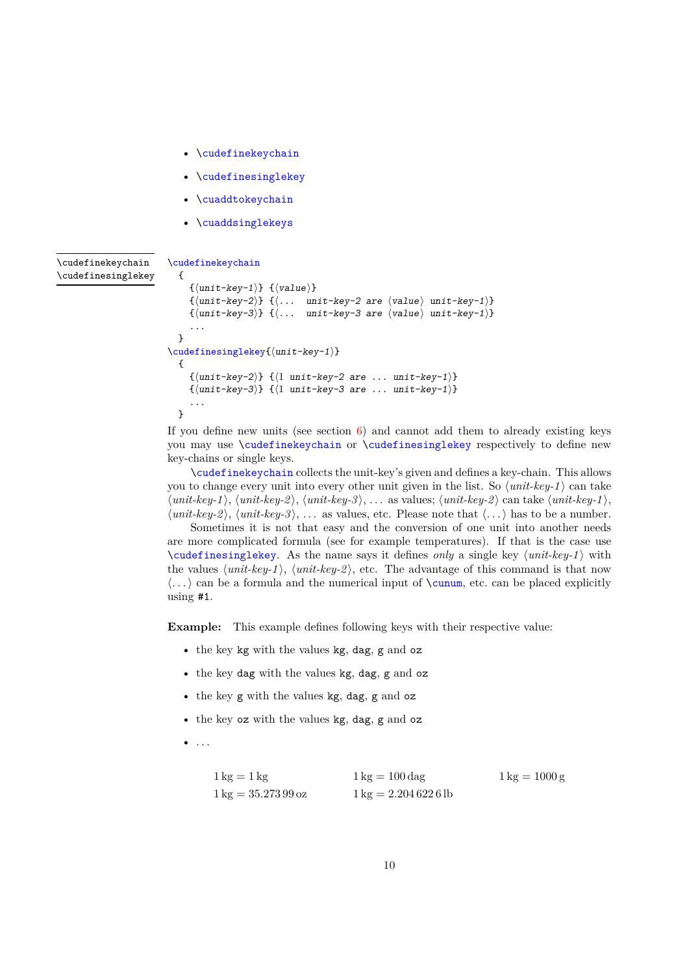- <span id="page-9-0"></span>• \cudefinekeychain
- \cudefinesinglekey
- \cuaddtokeychain
- \cuaddsinglekeys

#### \cudefinekeychain \cudefinesinglekey

```
\cudefinekeychain
    {
        \{\langle unit - key - 1 \rangle\} \ \{\langle value \rangle\}\{\langle unit-key-2\rangle\} \{\langle \ldots \text{unit-key-2 are } \langle value \rangle \text{ unit-key-1}\}\\label{eq:3} \{ \langle \texttt{unit-key-3} \rangle \} \;\; \{ \langle \ldots \quad \texttt{unit-key-3} \text{ are } \langle \texttt{value} \rangle \text{ unit-key-1} \rangle \}...
   }
\cudefinesinglekey{⟨unit-key-1⟩}
   {
        \{\langle unit-kev-2\rangle\} \{\langle 1 \text{ unit-}kev-2 \text{ are } \dots \text{ unit-}kev-1\rangle\}\{\langle unit-key-3\rangle\} \{\langle 1 \text{ unit-key-3 are } ... \text{ unit-key-1}\rangle\}...
   }
```
If you define new units (see section  $6$ ) and cannot add them to already existing keys you may use \cudefinekeychain or \cudefinesinglekey respectively to define new key-chains or single keys.

\cudefinekeychain collects the unit-key's given and defines a key-chain. This allows you to change every unit into every other unit given in the list. So ⟨*unit-key-1* ⟩ can take ⟨*unit-key-1* ⟩, ⟨*unit-key-2* ⟩, ⟨*unit-key-3* ⟩, . . . as values; ⟨*unit-key-2* ⟩ can take ⟨*unit-key-1* ⟩, ⟨*unit-key-2* ⟩, ⟨*unit-key-3* ⟩, . . . as values, etc. Please note that ⟨*. . .*⟩ has to be a number.

Sometimes it is not that easy and the conversion of one unit into another needs are more complicated formula (see for example temperatures). If that is the case use \cudefinesinglekey. As the name says it defines *only* a single key ⟨*unit-key-1* ⟩ with the values  $\langle unit \text{-}key\text{-}1\rangle$ ,  $\langle unit \text{-}key\text{-}2\rangle$ , etc. The advantage of this command is that now  $\langle \ldots \rangle$  can be a formula and the numerical input of  $\cumum$ , etc. can be placed explicitly using #1.

**Example:** This example defines following keys with their respective value:

- the key kg with the values kg, dag, g and oz
- the key dag with the values kg, dag, g and oz
- the key g with the values kg, dag, g and oz
- the key oz with the values kg, dag, g and oz
- $\bullet$  . . .

| $1 \text{ kg} = 1 \text{ kg}$          | $1 \text{ kg} = 100 \text{ dag}$      | $1 \text{ kg} = 1000 \text{ g}$ |
|----------------------------------------|---------------------------------------|---------------------------------|
| $1 \text{ kg} = 35.273\,99\,\text{oz}$ | $1 \text{ kg} = 2.2046226 \text{ lb}$ |                                 |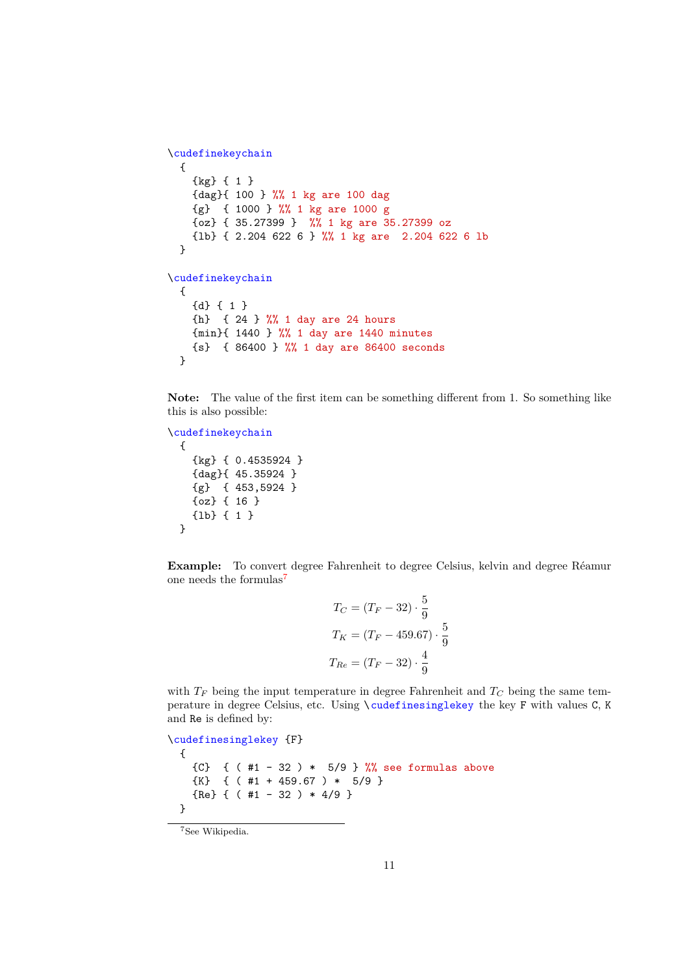```
\cudefinekeychain
 {
    {kg} { 1 }
   {dag}{ 100 } %% 1 kg are 100 dag
   {g} { 1000 } %% 1 kg are 1000 g
   {oz} { 35.27399 } %% 1 kg are 35.27399 oz
    {lb} { 2.204 622 6 } %% 1 kg are 2.204 622 6 lb
 }
\cudefinekeychain
 {
   {d} { 1 }
   {h} { 24 } %% 1 day are 24 hours
   {min}{ 1440 } %% 1 day are 1440 minutes
   {s} { 86400 } %% 1 day are 86400 seconds
 }
```
**Note:** The value of the first item can be something different from 1. So something like this is also possible:

```
\cudefinekeychain
 {
    {kg} { 0.4535924 }
   {dag}{ 45.35924 }
   {g} { 453,5924 }
   {oz} { 16 }
    {lb} { 1 }
 }
```
**Example:** To convert degree Fahrenheit to degree Celsius, kelvin and degree Réamur one needs the formulas<sup>[7](#page-10-0)</sup>

$$
T_C = (T_F - 32) \cdot \frac{5}{9}
$$
  
\n
$$
T_K = (T_F - 459.67) \cdot \frac{5}{9}
$$
  
\n
$$
T_{Re} = (T_F - 32) \cdot \frac{4}{9}
$$

with  $T_F$  being the input temperature in degree Fahrenheit and  $T_C$  being the same temperature in degree Celsius, etc. Using \cudefinesinglekey the key F with values C, K and Re is defined by:

```
\cudefinesinglekey {F}
 {
   {C} { (#1 - 32 ) * 5/9 } %% see formulas above
   {K} { ( #1 + 459.67 ) * 5/9 }
   {Re} { (#1 - 32 ) * 4/9 }
 }
```
<span id="page-10-0"></span><sup>7</sup>See Wikipedia.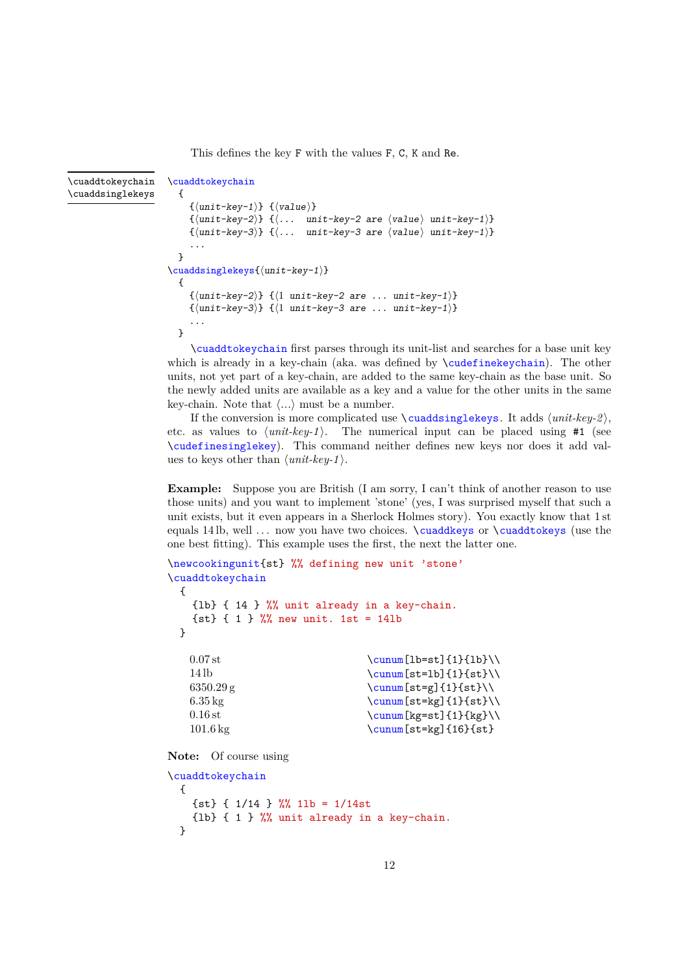<span id="page-11-0"></span>This defines the key F with the values F, C, K and Re.

```
\cuaddtokeychain
                               {
                                   \{\langle unit - key - 1 \rangle\} \ \{\langle value \rangle\}\{\langle unit-key-2\rangle\} \{\langle \ldots \text{ unit-key-2 are } \langle value \rangle \text{ unit-key-1}\}\{\langle unit-key-3\rangle} {\langle ... unit-key-3 are \langle value \rangle unit-key-1)}
                                   ...
                               }
                             \cuaddsinglekeys{⟨unit-key-1⟩}
                               {
                                   \{\langle unit-key-2\rangle\} \{\langle 1 \text{ unit-key-2 are } \dots \text{ unit-key-1}\rangle\}\{\langle unit-key-3\rangle\} \{\langle 1 \text{ unit-key-3 are } ... \text{ unit-key-1}\rangle\}...
                               }
                                   \cuaddtokeychain first parses through its unit-list and searches for a base unit key
\cuaddtokeychain
\cuaddsinglekeys
```
which is already in a key-chain (aka. was defined by **\cudefinekeychain**). The other units, not yet part of a key-chain, are added to the same key-chain as the base unit. So the newly added units are available as a key and a value for the other units in the same key-chain. Note that ⟨*...*⟩ must be a number.

If the conversion is more complicated use  $\{\text{cudasinglekeys. It adds } \{unit-key-2\},\}$ etc. as values to  $\langle unit \text{.} key-1 \rangle$ . The numerical input can be placed using  $#1$  (see \cudefinesinglekey). This command neither defines new keys nor does it add values to keys other than ⟨*unit-key-1* ⟩.

**Example:** Suppose you are British (I am sorry, I can't think of another reason to use those units) and you want to implement 'stone' (yes, I was surprised myself that such a unit exists, but it even appears in a Sherlock Holmes story). You exactly know that 1 st equals 14 lb, well ... now you have two choices. \cuaddkeys or \cuaddtokeys (use the one best fitting). This example uses the first, the next the latter one.

```
\newcookingunit{st} %% defining new unit 'stone'
\cuaddtokeychain
  {
    {lb} { 14 } %% unit already in a key-chain.
    {st} { 1 } %% new unit. 1st = 14lb
  \mathbf{r}0.07 st
    14 lb
    6350.29 g
    6.35 kg
    0.16 st
    101.6 kg
                                      \cunum[lb=st]{1}{lb}\\
                                      \cunum[st=1b]{1}{st}\\
                                      \sum[\text{st=g}]{1}{\text{st}}\\sum[\text{st}=\text{kg}]{1}{\text{st}}\\cunum[kg=st]{1}{kg}\\
                                      \cunum[st=kg]{16}{st}
```
**Note:** Of course using

```
\cuaddtokeychain
 {
    \{st\} { 1/14 } %% 11b = 1/14st{lb} { 1 } %% unit already in a key-chain.
 }
```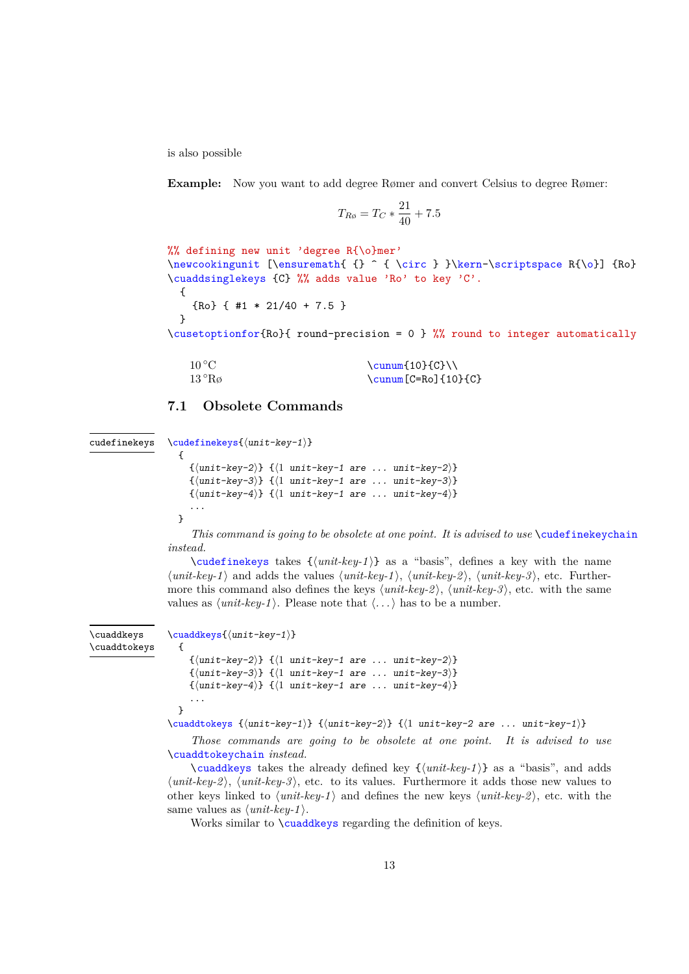<span id="page-12-1"></span>is also possible

**Example:** Now you want to add degree Rømer and convert Celsius to degree Rømer:

$$
T_{R\phi} = T_C * \frac{21}{40} + 7.5
$$

%% defining new unit 'degree R{\o}mer' \newcookingunit [\ensuremath{ {} ^ { \circ } }\kern-\scriptspace R{\o}] {Ro} \cuaddsinglekeys {C} %% adds value 'Ro' to key 'C'. { {Ro} { #1 \* 21/40 + 7.5 } }

\cusetoptionfor{Ro}{ round-precision = 0 } %% round to integer automatically

| $10^{\,\circ}\mathrm{C}$ | \cunum{10}{C}\\          |
|--------------------------|--------------------------|
| 13 °Rø                   | $\cum[ C=Ro] {\ 10}{ C}$ |

### <span id="page-12-0"></span>**7.1 Obsolete Commands**

```
\cudefinekeys{⟨unit-key-1⟩}
cudefinekeys
```

```
{
    \{\langle \text{unit-key-2} \rangle\} \{\langle 1 \text{ unit-key-1 are } \dots \text{ unit-key-2} \rangle\}\{\langle unit-key-3\rangle\} \{\langle 1 \text{ unit-key-1 are } ... \text{ unit-key-3}\rangle\}\{\langle unit-key-4\rangle\} \{\langle 1 \text{ unit-key-1 are } ... \text{ unit-key-4}\rangle\}...
}
```
*This command is going to be obsolete at one point. It is advised to use* \cudefinekeychain *instead.*

\cudefinekeys takes {⟨*unit-key-1* ⟩} as a "basis", defines a key with the name ⟨*unit-key-1* ⟩ and adds the values ⟨*unit-key-1* ⟩, ⟨*unit-key-2* ⟩, ⟨*unit-key-3* ⟩, etc. Furthermore this command also defines the keys ⟨*unit-key-2* ⟩, ⟨*unit-key-3* ⟩, etc. with the same values as  $\langle unit \text{-}key\text{-}1 \rangle$ . Please note that  $\langle \ldots \rangle$  has to be a number.

\cuaddkeys \cuaddtokeys

```
\cuaddkeys{⟨unit-key-1⟩}
```

```
{
    \{\langle unit-key-2\rangle\} \{\langle 1 \text{ unit-key-1 are } ... \text{ unit-key-2}\rangle\}\{\langle unit-key-3\rangle\} \{\langle 1 \text{ unit-key-1 are } ... \text{ unit-key-3}\rangle\}\{\langle unit-key-4\rangle\} \{\langle 1 unit-key-1 are ... unit-key-4\rangle\}...
}
```
\cuaddtokeys {⟨unit-key-1⟩} {⟨unit-key-2⟩} {⟨1 unit-key-2 are ... unit-key-1⟩}

*Those commands are going to be obsolete at one point. It is advised to use* \cuaddtokeychain *instead.*

 $\cuaddegs$  takes the already defined key  $\{(unit-key-1)\}\$  as a "basis", and adds ⟨*unit-key-2* ⟩, ⟨*unit-key-3* ⟩, etc. to its values. Furthermore it adds those new values to other keys linked to  $\langle unit \text{-}key\text{-}1\rangle$  and defines the new keys  $\langle unit \text{-}key\text{-}2\rangle$ , etc. with the same values as  $\langle unit\text{-}key\text{-}1 \rangle$ .

Works similar to **\cuaddkeys** regarding the definition of keys.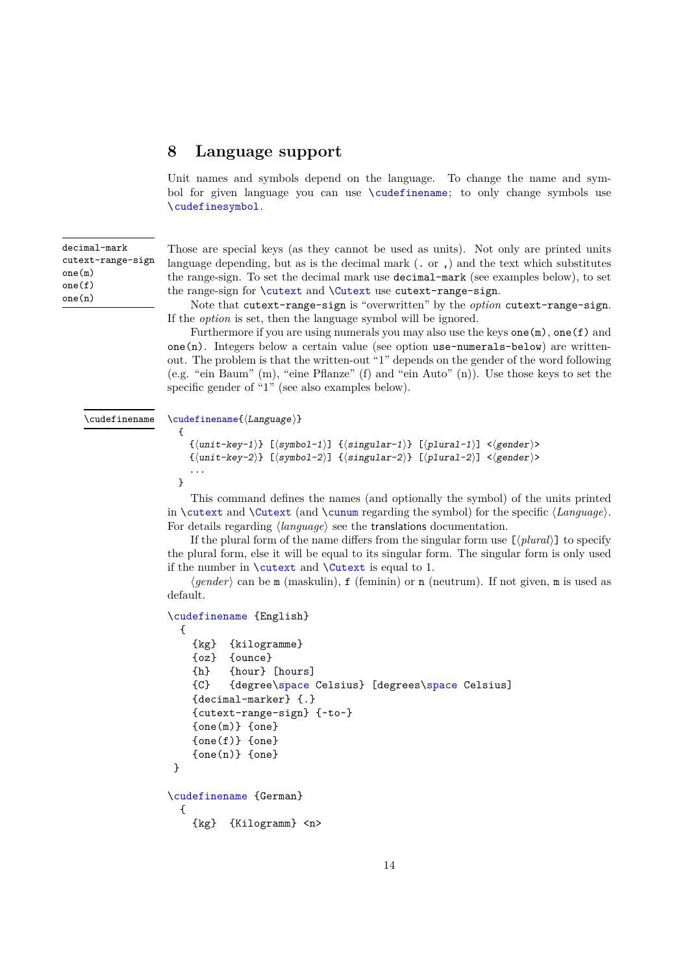## <span id="page-13-1"></span><span id="page-13-0"></span>**8 Language support**

Unit names and symbols depend on the language. To change the name and symbol for given language you can use \cudefinename; to only change symbols use \cudefinesymbol.

| decimal-mark      |
|-------------------|
| cutext-range-sign |
| one(m)            |
| one(f)            |
| one(n)            |

Those are special keys (as they cannot be used as units). Not only are printed units language depending, but as is the decimal mark  $($ . or  $)$  and the text which substitutes the range-sign. To set the decimal mark use decimal-mark (see examples below), to set the range-sign for **\cutext** and **\Cutext** use cutext-range-sign.

Note that cutext-range-sign is "overwritten" by the *option* cutext-range-sign. If the *option* is set, then the language symbol will be ignored.

Furthermore if you are using numerals you may also use the keys one  $(m)$ , one  $(f)$  and one(n). Integers below a certain value (see option use-numerals-below) are writtenout. The problem is that the written-out "1" depends on the gender of the word following (e.g. "ein Baum" (m), "eine Pflanze" (f) and "ein Auto" (n)). Use those keys to set the specific gender of "1" (see also examples below).

#### \cudefinename

```
\cudefinename{⟨Language⟩}
  {
```

```
{⟨unit-key-1⟩} [⟨symbol-1⟩] {⟨singular-1⟩} [⟨plural-1⟩] <⟨gender⟩>
  {⟨unit-key-2⟩} [⟨symbol-2⟩] {⟨singular-2⟩} [⟨plural-2⟩] <⟨gender⟩>
  ...
}
```
This command defines the names (and optionally the symbol) of the units printed in \cutext and \Cutext (and \cunum regarding the symbol) for the specific ⟨*Language*⟩. For details regarding ⟨*language*⟩ see the translations documentation.

If the plural form of the name differs from the singular form use [⟨*plural*⟩] to specify the plural form, else it will be equal to its singular form. The singular form is only used if the number in  $\text{cutext}$  and  $\text{cutext}$  is equal to 1.

⟨*gender*⟩ can be m (maskulin), f (feminin) or n (neutrum). If not given, m is used as default.

```
\cudefinename {English}
 {
   {kg} {kilogramme}
   {oz} {ounce}
   {h} {hour} [hours]
   {C} {degree\space Celsius} [degrees\space Celsius]
   {decimal-marker} {.}
   {cutext-range-sign} {~to~}
   {one(m)} {one}{one(f)} {one}{one(n)} {one}}
\cudefinename {German}
 {
   {kg} {Kilogramm} <n>
```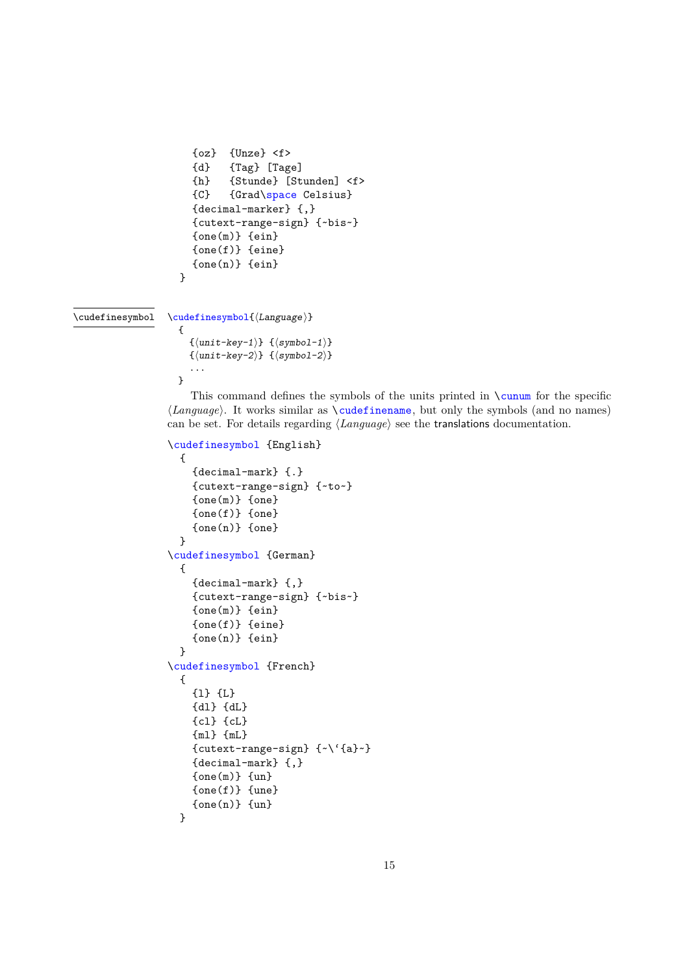```
{oz} {Unze} \leq \geq{d} {Tag} [Tage]
  {h} {Stunde} [Stunden] <f>
  {C} {Grad\space Celsius}
  {decimal-marker} {,}
  {cutext-range-sign} {~bis~}
  \{one(m)\}\ \{ein\}{one(f)} {eine}{one(n)} {ein}}
```
\cudefinesymbol

```
\cudefinesymbol{⟨Language⟩}
```

```
{
     \{\langle unit-key-1\rangle\} \quad \{\langle symbol-1\rangle\}\{\langle \texttt{unit-key-2} \rangle\} \ \ \{\langle \texttt{symbol-2} \rangle\}...
}
```
This command defines the symbols of the units printed in \cunum for the specific ⟨*Language*⟩. It works similar as \cudefinename, but only the symbols (and no names) can be set. For details regarding ⟨*Language*⟩ see the translations documentation.

```
\cudefinesymbol {English}
```

```
{
    {decimal-mark} {.}
    {cutext-range-sign} {~to~}
    {one(m)} {one}
    {one(f)} {one}
    {one(n)} {one}}
\cudefinesymbol {German}
  {
    {decimal-mark} {,}
    {cutext-range-sign} {~bis~}
    {one(m)} {ein}{one(f)} {eine}
    {one(n)} {ein}}
\cudefinesymbol {French}
  {
    {l} {L}
    {dl} {dL}
    {cl} {cL}
    {ml} {mL}
    {cutext-range-sign} {~\'{a}~}
    {decimal-mark} {,}
    {one(m)} {un}{one(f)} {une}{one(n)} {un}}
```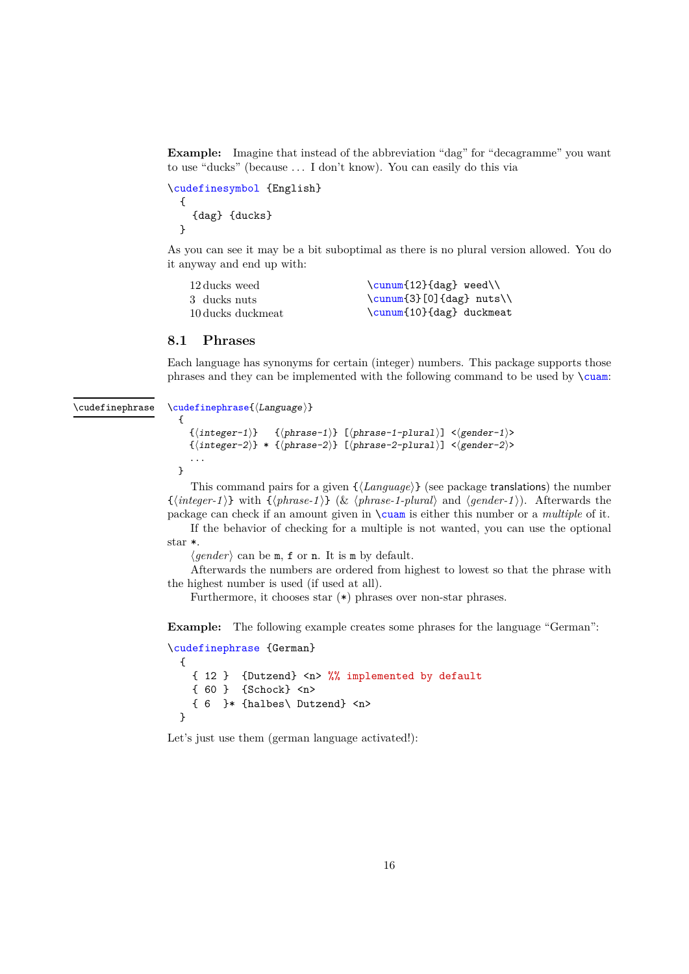<span id="page-15-1"></span>**Example:** Imagine that instead of the abbreviation "dag" for "decagramme" you want to use "ducks" (because ... I don't know). You can easily do this via

```
\cudefinesymbol {English}
 {
    {dag} {ducks}
 }
```
As you can see it may be a bit suboptimal as there is no plural version allowed. You do it anyway and end up with:

| 12 ducks weed     | $\sum_{12} \{ \text{dag} \; \text{weed} \}$ |
|-------------------|---------------------------------------------|
| 3 ducks nuts      | $\cum[3] [0] \{ \text{dag} \text{ nuts} \}$ |
| 10 ducks duckmeat | \cunum{10}{dag} duckmeat                    |

#### <span id="page-15-0"></span>**8.1 Phrases**

Each language has synonyms for certain (integer) numbers. This package supports those phrases and they can be implemented with the following command to be used by \cuam:

\cudefinephrase

```
\cudefinephrase{⟨Language⟩}
```

```
{
  {⟨integer-1⟩} {⟨phrase-1⟩} [⟨phrase-1-plural⟩] <⟨gender-1⟩>
  \{(integer-2)\} * {\langle phrase-2\rangle} [ (phrase-2-plural)] \langle gender-2\rangle...
}
```
This command pairs for a given  $\{\langle \text{Language} \rangle\}$  (see package translations) the number {⟨*integer-1* ⟩} with {⟨*phrase-1* ⟩} (& ⟨*phrase-1-plural*⟩ and ⟨*gender-1* ⟩). Afterwards the package can check if an amount given in \cuam is either this number or a *multiple* of it.

If the behavior of checking for a multiple is not wanted, you can use the optional star \*.

⟨*gender*⟩ can be m, f or n. It is m by default.

Afterwards the numbers are ordered from highest to lowest so that the phrase with the highest number is used (if used at all).

Furthermore, it chooses star  $(*)$  phrases over non-star phrases.

**Example:** The following example creates some phrases for the language "German":

```
\cudefinephrase {German}
  {
    { 12 } {Dutzend} <n> %% implemented by default
    { 60 } {Schock} <n>
    \{6\} + \{halbes\} Dutzend} <n>
  \mathbf{I}
```
Let's just use them (german language activated!):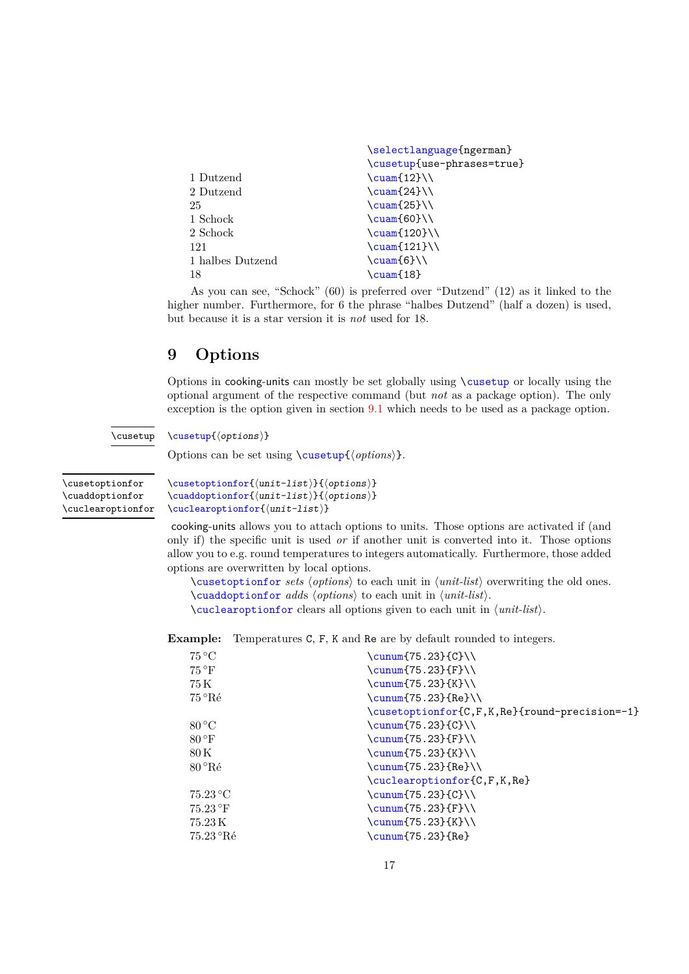<span id="page-16-2"></span>

|                  | \selectlanguage{ngerman}    |
|------------------|-----------------------------|
|                  | \cusetup{use-phrases=true}  |
| 1 Dutzend        | $\text{Cuam}$ {12}          |
| 2 Dutzend        | $\text{Cuam} \{24\}$        |
| 25               | $\text{Cuam}$ (25}          |
| 1 Schock         | $\text{Cuam}60}$            |
| 2 Schock         | $\text{\textcircled{120}}\$ |
| 121              | $\text{121}$                |
| 1 halbes Dutzend | $\text{Cuam6}$              |
| 18               | \cuam{18}                   |
|                  |                             |

As you can see, "Schock" (60) is preferred over "Dutzend" (12) as it linked to the higher number. Furthermore, for 6 the phrase "halbes Dutzend" (half a dozen) is used, but because it is a star version it is *not* used for 18.

## <span id="page-16-0"></span>**9 Options**

Options in cooking-units can mostly be set globally using \cusetup or locally using the optional argument of the respective command (but *not* as a package option). The only exception is the option given in section [9.1](#page-17-0) which needs to be used as a package option.

#### \cusetup{⟨options⟩} \cusetup

Options can be set using \cusetup{⟨*options*⟩}.

<span id="page-16-1"></span>\cusetoptionfor \cuaddoptionfor \cuclearoptionfor \cusetoptionfor{⟨unit-list⟩}{⟨options⟩} \cuaddoptionfor{⟨unit-list⟩}{⟨options⟩} \cuclearoptionfor{⟨unit-list⟩}

cooking-units allows you to attach options to units. Those options are activated if (and only if) the specific unit is used *or* if another unit is converted into it. Those options allow you to e.g. round temperatures to integers automatically. Furthermore, those added options are overwritten by local options.

\cusetoptionfor *sets* ⟨*options*⟩ to each unit in ⟨*unit-list*⟩ overwriting the old ones. \cuaddoptionfor *add*s ⟨*options*⟩ to each unit in ⟨*unit-list*⟩. \cuclearoptionfor clears all options given to each unit in ⟨*unit-list*⟩.

**Example:** Temperatures C, F, K and Re are by default rounded to integers.

| $75^{\circ}$ C       | $\cumum$ (75.23} {C}\\                        |
|----------------------|-----------------------------------------------|
| $75^{\circ}$ F       | $\cumum$ $75.23$ $\{F\}$                      |
| 75 K                 | $\sum_{f \in \mathcal{L}}$ (75.23}{K}\\       |
| 75 °Ré               | $\cumum$ (75.23} {Re}\\                       |
|                      | \cusetoptionfor{C,F,K,Re}{round-precision=-1} |
| $80^{\circ}$ C       | $\cumum$ $75.23$ $C$ $\N$                     |
| $80^{\circ}$ F       | $\cumum$ $75.23$ $\{F\}$                      |
| 80 K                 | $\sum_{f \in \mathcal{L}}$ (75.23}{K}\\       |
| $80^{\circ}$ Ré      | $\cumum$ $75.23$ $Re$ $\N$                    |
|                      | \cuclearoptionfor{C,F,K,Re}                   |
| $75.23\textdegree C$ | \cunum $\{75.23\}$ {C}\\                      |
| 75.23 °F             | $\cumum$ (75.23} {F}\\                        |
| 75.23 K              | $\cumum$ $75.23$ $K$ }                        |
| $75.23^{\circ}$ Ré   | $\cum[75.23]{Re}$                             |
|                      |                                               |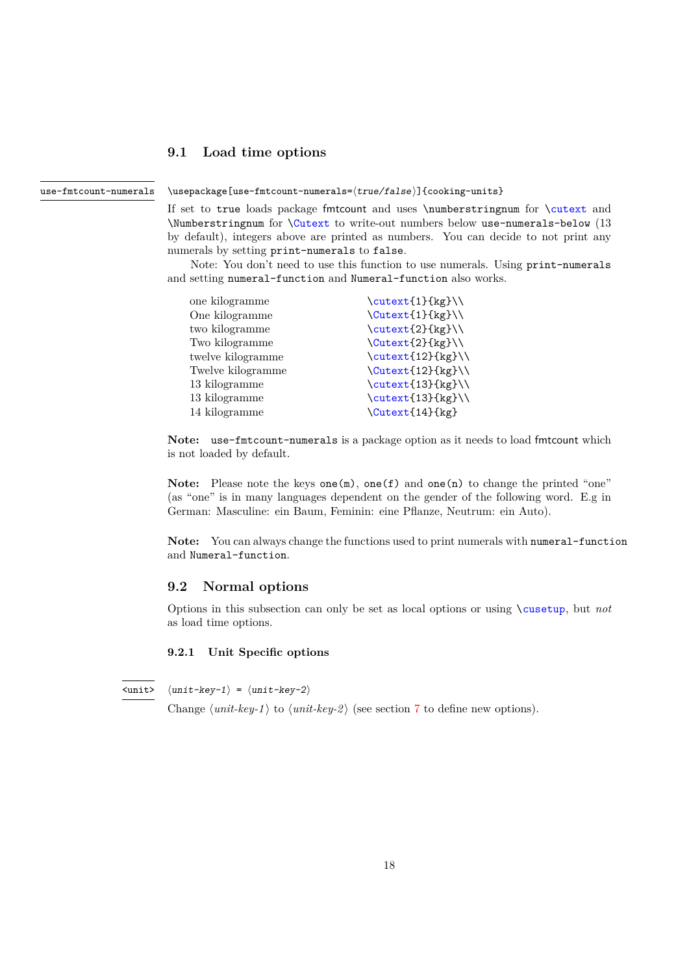### <span id="page-17-3"></span><span id="page-17-0"></span>**9.1 Load time options**

#### use-fmtcount-numerals

\usepackage[use-fmtcount-numerals=⟨true/false⟩]{cooking-units}

If set to true loads package fmtcount and uses \numberstringnum for \cutext and \Numberstringnum for \Cutext to write-out numbers below use-numerals-below (13 by default), integers above are printed as numbers. You can decide to not print any numerals by setting print-numerals to false.

Note: You don't need to use this function to use numerals. Using print-numerals and setting numeral-function and Numeral-function also works.

| one kilogramme    | $\cutext{1}{kg}$  |
|-------------------|-------------------|
| One kilogramme    | \Cutext{1}{kg}\\  |
| two kilogramme    | $\text{2}_{kg}$   |
| Two kilogramme    | \Cutext{2}{kg}\\  |
| twelve kilogramme | $\text{12}_{kg}$  |
| Twelve kilogramme | \Cutext{12}{kg}\\ |
| 13 kilogramme     | \cutext{13}{kg}\\ |
| 13 kilogramme     | \cutext{13}{kg}\\ |
| 14 kilogramme     | \Cutext{14}{kg}   |
|                   |                   |

**Note:** use-fmtcount-numerals is a package option as it needs to load fmtcount which is not loaded by default.

**Note:** Please note the keys one(m), one(f) and one(n) to change the printed "one" (as "one" is in many languages dependent on the gender of the following word. E.g in German: Masculine: ein Baum, Feminin: eine Pflanze, Neutrum: ein Auto).

Note: You can always change the functions used to print numerals with numeral-function and Numeral-function.

### <span id="page-17-1"></span>**9.2 Normal options**

Options in this subsection can only be set as local options or using \cusetup, but *not* as load time options.

#### <span id="page-17-2"></span>**9.2.1 Unit Specific options**

 $\langle unit-key-1\rangle = \langle unit-key-2\rangle$  $\langle$ unit>

Change  $\langle unit\text{-}key\text{-}1\rangle$  to  $\langle unit\text{-}key\text{-}2\rangle$  (see section [7](#page-8-0) to define new options).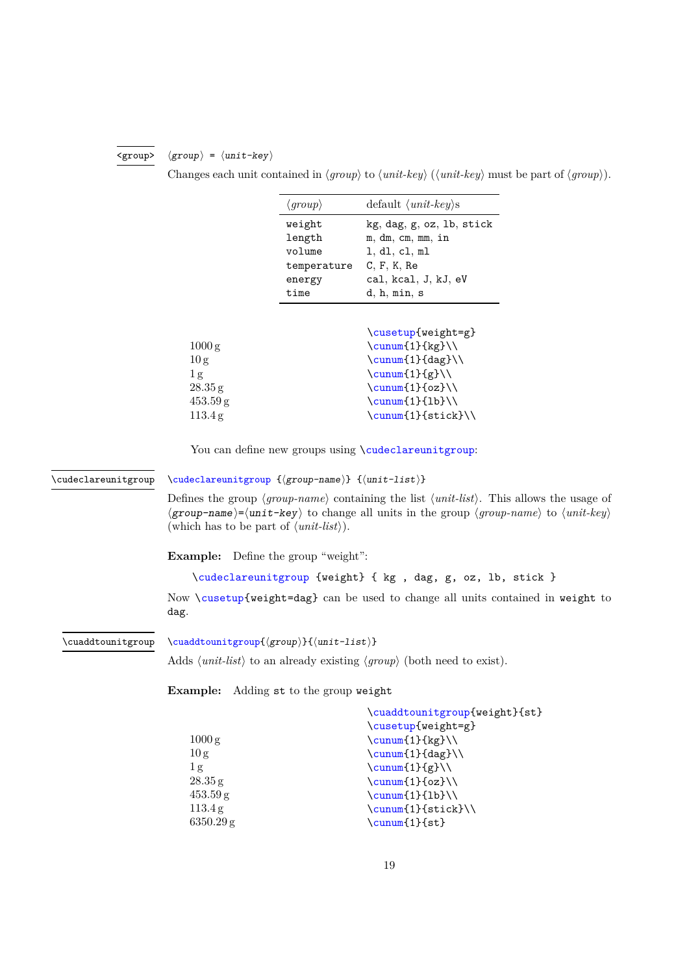#### $\langle group \rangle = \langle unit - key \rangle$ <group>

<span id="page-18-0"></span>Changes each unit contained in ⟨*group*⟩ to ⟨*unit-key*⟩ (⟨*unit-key*⟩ must be part of ⟨*group*⟩).

|                    | $\langle \text{group} \rangle$ | default $\langle unit \text{-}key \rangle$ s |
|--------------------|--------------------------------|----------------------------------------------|
|                    | weight                         | kg, dag, g, oz, lb, stick                    |
|                    | length                         | m, dm, cm, mm, in                            |
|                    | volume                         | l, dl, cl, ml                                |
|                    | temperature                    | C, F, K, Re                                  |
|                    | energy                         | cal, kcal, J, kJ, eV                         |
|                    | time                           | d, h, min, s                                 |
|                    |                                |                                              |
|                    |                                | \cusetup{weight=g}                           |
| $1000\,\mathrm{g}$ |                                | $\sum_{1} {\kappa}$                          |
| 10 g               |                                | $\sum_{1} \{ \text{dag} \} \$                |
| 1g                 |                                | $\sum_{f,g}$                                 |
| 28.35 g            |                                | $\sum_{1}^{c}$                               |
| $453.59$ g         |                                | $\sum_{1}^{1}$                               |
| 113.4g             |                                | $\cum([1]{stick}$                            |

You can define new groups using \cudeclareunitgroup:

\cudeclareunitgroup

\cudeclareunitgroup {⟨group-name⟩} {⟨unit-list⟩}

Defines the group  $\langle \text{group-name} \rangle$  containing the list  $\langle \text{unit-list} \rangle$ . This allows the usage of ⟨group-name⟩=⟨unit-key⟩ to change all units in the group ⟨*group-name*⟩ to ⟨*unit-key*⟩ (which has to be part of ⟨*unit-list*⟩).

**Example:** Define the group "weight":

```
\cudeclareunitgroup {weight} { kg , dag, g, oz, lb, stick }
```
Now \cusetup{weight=dag} can be used to change all units contained in weight to dag.

\cuaddtounitgroup

```
\cuaddtounitgroup{⟨group⟩}{⟨unit-list⟩}
```
Adds ⟨*unit-list*⟩ to an already existing ⟨*group*⟩ (both need to exist).

**Example:** Adding st to the group weight

|                    | \cuaddtounitgroup{weight}{st}    |
|--------------------|----------------------------------|
|                    | \cusetup{weight=g}               |
| $1000\,\mathrm{g}$ | $\sum_{1}^{kg}$                  |
| 10 g               | $\sum_{1} \{ \text{dag} \} \$    |
| 1 <sub>g</sub>     | $\sum_{f,g}$                     |
| 28.35 g            | $\sum_{1}^{c}$                   |
| $453.59$ g         | $\cumun{1}{1b}$                  |
| 113.4 g            | $\sum_{1}^{3}$                   |
| $6350.29$ g        | $\sum_{1}$ { \cunum { 1 } { st } |
|                    |                                  |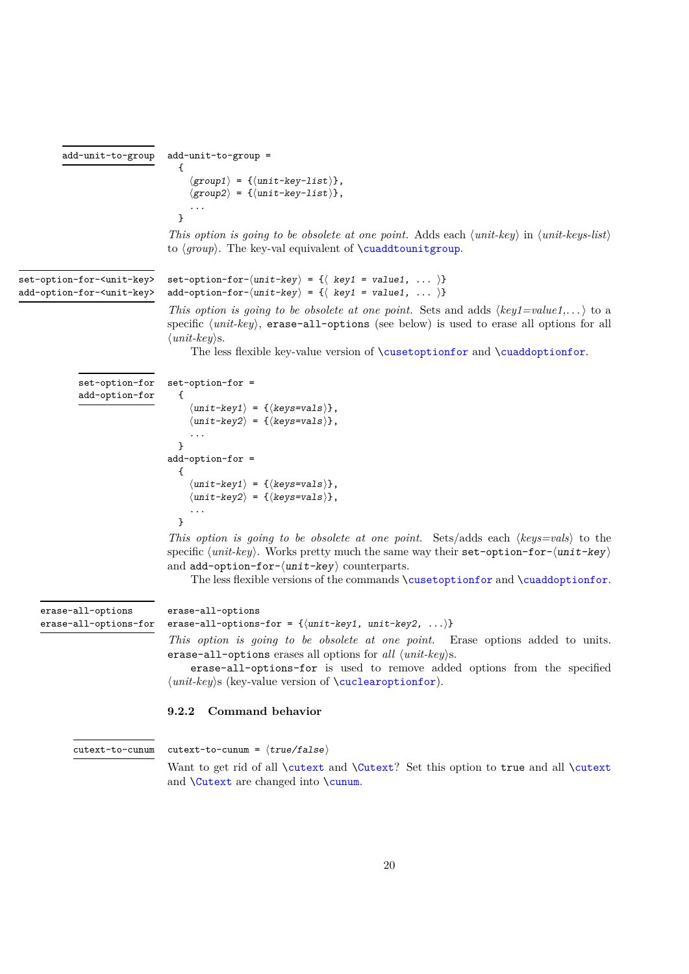```
{
                                            \langle group1 \rangle = {\langle \langle unit - key - list \rangle \},\langle group2 \rangle = {\langle} \langle unit - key - list \rangle,
                                            ...
                                         }
                                      This option is going to be obsolete at one point. Adds each ⟨unit-key⟩ in ⟨unit-keys-list⟩
                                      to ⟨group⟩. The key-val equivalent of \cuaddtounitgroup.
                                      set-option-for-\langle unit-key \rangle = {\{\langle key1 = value1, ... \rangle\}}add-option-for-\langle unit-key \rangle = {\langle key1 = value1, ... \rangle}
                                      This option is going to be obsolete at one point. Sets and adds \langle key1 = value1, \ldots \rangle to a
                                      specific \langle unit\text{-}key\rangle, erase-all-options (see below) is used to erase all options for all
                                      ⟨unit-key⟩s.
                                            The less flexible key-value version of \cusetoptionfor and \cuaddoptionfor.
set-option-for-<unit-key>
add-option-for-<unit-key>
                                      set-option-for =
                                         {
                                            \langle unit-key1\rangle = \{\langle keys=vals\rangle\},\\langle unit-key2\rangle = \{\langle keys=vals\rangle\},\...
                                         }
                                      add-option-for =
                                         {
                                            \langle unit-key1\rangle = \{\langle keys=vals\rangle\},\\langle \text{unit-key2} \rangle = \{ \langle \text{keys=vals} \rangle \},...
                                         }
                                      This option is going to be obsolete at one point. Sets/adds each ⟨keys=vals⟩ to the
               set-option-for
               add-option-for
```
specific  $\langle unit-key \rangle$ . Works pretty much the same way their set-option-for- $\langle unit-key \rangle$ and  $add$ -option-for- $\langle unit$ -key $\rangle$  counterparts.

The less flexible versions of the commands \cusetoptionfor and \cuaddoptionfor.

```
erase-all-options
                           erase-all-options-for = \{\langle unit-key1, unit-key2, ...\rangle\}erase-all-options-for
```
*This option is going to be obsolete at one point.* Erase options added to units. erase-all-options erases all options for *all* ⟨*unit-key*⟩s.

erase-all-options-for is used to remove added options from the specified ⟨*unit-key*⟩s (key-value version of \cuclearoptionfor).

### <span id="page-19-0"></span>**9.2.2 Command behavior**

<span id="page-19-1"></span>add-unit-to-group =

add-unit-to-group

cutext-to-cunum

erase-all-options

cutext-to-cunum =  $\langle true/false \rangle$ 

Want to get rid of all **\cutext** and **\Cutext**? Set this option to true and all **\cutext** and \Cutext are changed into \cunum.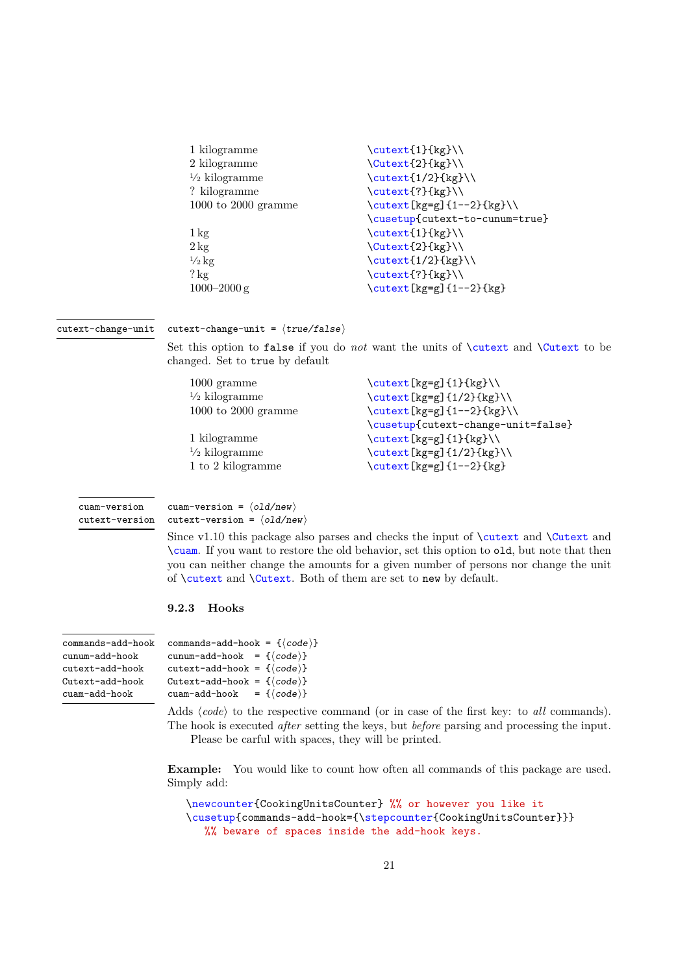<span id="page-20-1"></span>

| 1 kilogramme             | $\cutext{1}{kg}$               |
|--------------------------|--------------------------------|
| 2 kilogramme             | \Cutext{2}{kg}\\               |
| $\frac{1}{2}$ kilogramme | $\text{1/2}$ {kg}              |
| ? kilogramme             | \cutext{?}{kg}\\               |
| $1000$ to $2000$ gramme  | \cutext[kg=g]{1--2}{kg}\\      |
|                          | \cusetup{cutext-to-cunum=true} |
| $1\,\mathrm{kg}$         | \cutext{1}{kg}\\               |
| $2 \text{ kg}$           | \Cutext{2}{kg}\\               |
| $\frac{1}{2}$ kg         | $\text{1/2}$ {kg}              |
| $?$ kg                   | \cutext{?}{kg}\\               |
| $1000 - 2000$ g          | \cutext[kg=g]{1--2}{kg}        |

#### cutext-change-unit

 $cutext-change-unit = \langle true/false \rangle$ 

Set this option to false if you do *not* want the units of \cutext and \Cutext to be changed. Set to true by default

| $1000$ gramme            | \cutext[kg=g]{1}{kg}\\             |
|--------------------------|------------------------------------|
| $\frac{1}{2}$ kilogramme | $\text{key}[kg=g]{1/2}{kg}$        |
| $1000$ to $2000$ gramme  | $\text{kg=g}^{1--2}$ $\text{kg}$   |
|                          | \cusetup{cutext-change-unit=false} |
| 1 kilogramme             | \cutext[kg=g]{1}{kg}\\             |
| $\frac{1}{2}$ kilogramme | \cutext[kg=g]{1/2}{kg}\\           |
| 1 to 2 kilogramme        | \cutext[kg=g]{1--2}{kg}            |

cuam-version cutext-version cuam-version =  $\langle$ old/new $\rangle$ cutext-version =  $\langle$ old/new $\rangle$ 

Since v1.10 this package also parses and checks the input of \cutext and \Cutext and \cuam. If you want to restore the old behavior, set this option to old, but note that then you can neither change the amounts for a given number of persons nor change the unit of \cutext and \Cutext. Both of them are set to new by default.

#### <span id="page-20-0"></span>**9.2.3 Hooks**

| commands-add-hook | C. |
|-------------------|----|
| cunum-add-hook    | C. |
| cutext-add-hook   | C. |
| Cutext-add-hook   | C  |
| cuam-add-hook     | C. |

```
ommands-add-hook = \{(code\})unum-add-hook = \{ \langle code \rangle \}utext-add-hook = \{\langle code \rangle\}utext-add-hook = \{\langle code \rangle\}uam-add-hook = \{\langle code \rangle\}
```
Adds  $\langle code \rangle$  to the respective command (or in case of the first key: to *all* commands). The hook is executed *after* setting the keys, but *before* parsing and processing the input. Please be carful with spaces, they will be printed.

**Example:** You would like to count how often all commands of this package are used. Simply add:

```
\newcounter{CookingUnitsCounter} %% or however you like it
\cusetup{commands-add-hook={\stepcounter{CookingUnitsCounter}}}
  %% beware of spaces inside the add-hook keys.
```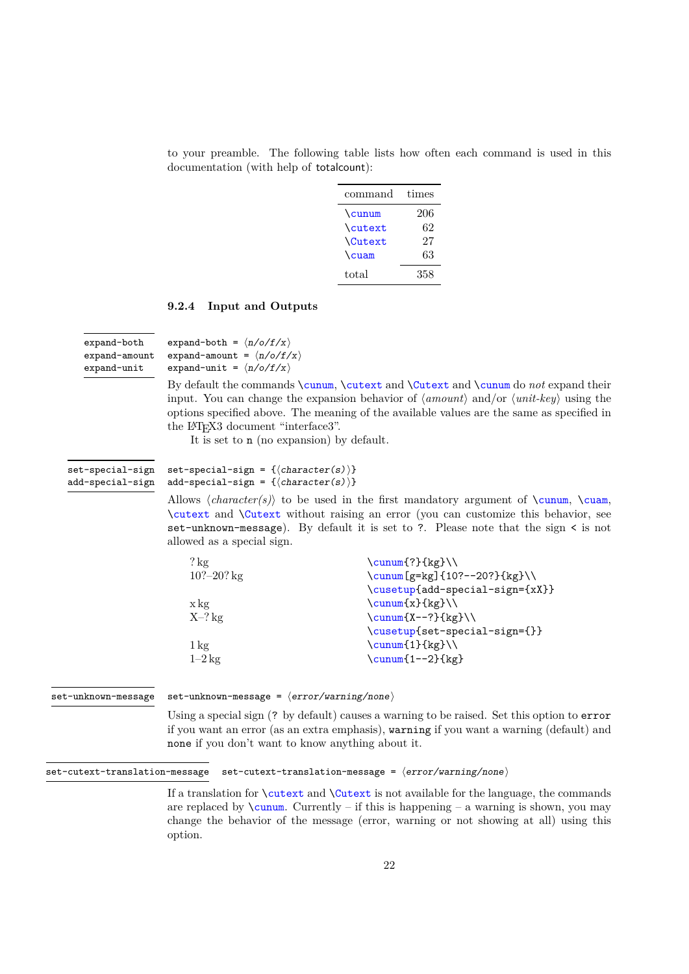<span id="page-21-1"></span>to your preamble. The following table lists how often each command is used in this documentation (with help of totalcount):

| command | times |
|---------|-------|
| \cunum  | 206   |
| \cutext | 62    |
| Cutext  | 27    |
| \cuam   | 63    |
| total   | 358   |

### <span id="page-21-0"></span>**9.2.4 Input and Outputs**

| expand-both   |
|---------------|
| expand-amount |
| expand-unit   |

expand-both =  $\langle n/6/f/x \rangle$ expand-amount =  $\langle n/o/f/x \rangle$ expand-unit =  $\langle n/o/f/x \rangle$ 

By default the commands \cunum, \cutext and \Cutext and \cunum do *not* expand their input. You can change the expansion behavior of ⟨*amount*⟩ and/or ⟨*unit-key*⟩ using the options specified above. The meaning of the available values are the same as specified in the L<sup>AT</sup><sub>E</sub>X<sub>3</sub> document "interface<sub>3</sub>".

It is set to n (no expansion) by default.

#### set-special-sign =  $\{\langle character(s) \rangle\}$ add-special-sign =  $\{\langle character(s) \rangle\}$ set-special-sign add-special-sign

Allows  $\langle character(s) \rangle$  to be used in the first mandatory argument of  $\cumum$ ,  $\cuam$ , \cutext and \Cutext without raising an error (you can customize this behavior, see set-unknown-message). By default it is set to ?. Please note that the sign < is not allowed as a special sign.

| $?$ kg           | $\sum_{?} \{kg\}$                |
|------------------|----------------------------------|
| $10? - 20?$ kg   | \cunum [g=kg] {10?--20?} {kg} \\ |
|                  | \cusetup{add-special-sign={xX}}  |
| x kg             | $\sum_{x} {\{kg\}}$              |
| $X-?$ kg         | $\sum_{X--?} \{kg\}$             |
|                  | \cusetup{set-special-sign={}}    |
| $1\,\mathrm{kg}$ | $\cumum{1}{kg}$                  |
| $1-2$ kg         | $\sum_{1--2}$ {kg}               |
|                  |                                  |

set-unknown-message

set-unknown-message =  $\langle error/warming/none \rangle$ 

Using a special sign (? by default) causes a warning to be raised. Set this option to error if you want an error (as an extra emphasis), warning if you want a warning (default) and none if you don't want to know anything about it.

set-cutext-translation-message set-cutext-translation-message = ⟨error/warning/none⟩

If a translation for \cutext and \Cutext is not available for the language, the commands are replaced by  $\cumum$ . Currently – if this is happening – a warning is shown, you may change the behavior of the message (error, warning or not showing at all) using this option.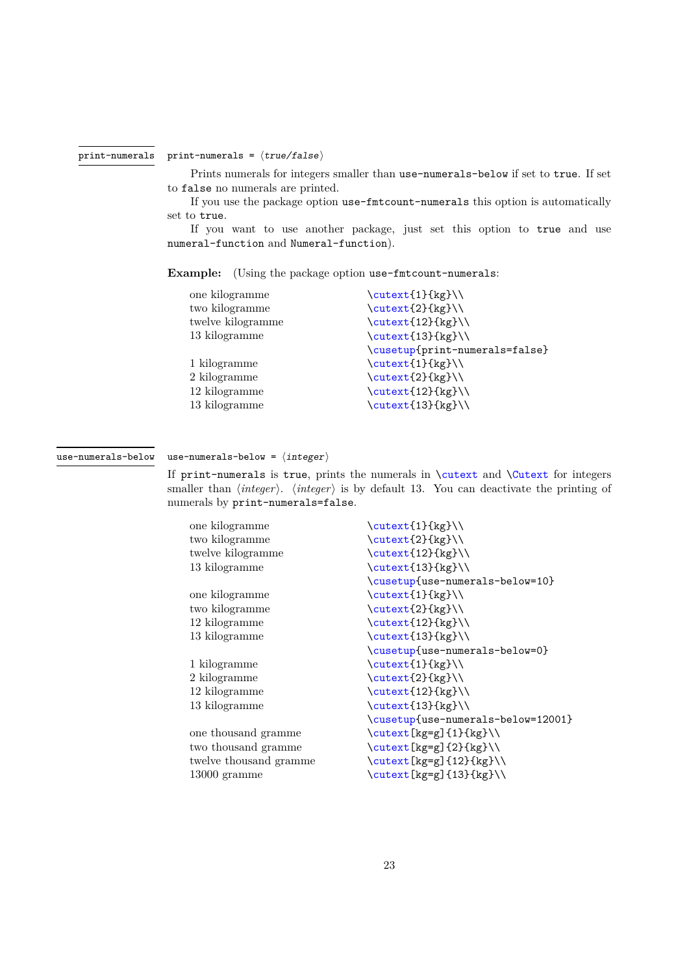#### print-numerals

#### <span id="page-22-0"></span>print-numerals =  $\langle true/false \rangle$

Prints numerals for integers smaller than use-numerals-below if set to true. If set to false no numerals are printed.

If you use the package option use-fmtcount-numerals this option is automatically set to true.

If you want to use another package, just set this option to true and use numeral-function and Numeral-function).

**Example:** (Using the package option use-fmtcount-numerals:

| one kilogramme    | $\text{Cutext1}_{\text{kg}}$   |
|-------------------|--------------------------------|
| two kilogramme    | $\text{2}_{kg}$                |
| twelve kilogramme | $\text{12}_{kg}$               |
| 13 kilogramme     | $\text{13}_{kg}$               |
|                   | \cusetup{print-numerals=false} |
| 1 kilogramme      | \cutext{1}{kg}\\               |
| 2 kilogramme      | \cutext{2}{kg}\\               |
| 12 kilogramme     | $\text{12}_{kg}$               |
| 13 kilogramme     | $\text{13}(kg)$                |
|                   |                                |

use-numerals-below

#### use-numerals-below =  $\langle$ integer $\rangle$

If print-numerals is true, prints the numerals in \cutext and \Cutext for integers smaller than ⟨*integer*⟩. ⟨*integer*⟩ is by default 13. You can deactivate the printing of numerals by print-numerals=false.

| one kilogramme         | \cutext{1}{kg}\\                   |
|------------------------|------------------------------------|
| two kilogramme         | $\text{Cutext{2}}$ {kg}            |
| twelve kilogramme      | $\text{12}_{kg}$                   |
| 13 kilogramme          | \cutext{13}{kg}\\                  |
|                        | \cusetup{use-numerals-below=10}    |
| one kilogramme         | $\cutext{1}{kg}$                   |
| two kilogramme         | $\text{Cutext{2}}$ {kg}            |
| 12 kilogramme          | $\text{12}_{kg}$                   |
| 13 kilogramme          | \cutext{13}{kg}\\                  |
|                        | \cusetup{use-numerals-below=0}     |
| 1 kilogramme           | $\cutext{1}{kg}$                   |
| 2 kilogramme           | $\text{2}_{kg}$                    |
| 12 kilogramme          | $\text{12}_{kg}$                   |
| 13 kilogramme          | \cutext{13}{kg}\\                  |
|                        | \cusetup{use-numerals-below=12001} |
| one thousand gramme    | $\text{[kg=g]}_{1}\$               |
| two thousand gramme    | $\text{[kg=g]}_{2}$ $\text{[kg]}$  |
| twelve thousand gramme | \cutext[kg=g]{12}{kg}\\            |
| $13000$ gramme         | $\text{[kg=g]}_{13}$ $\text{[kg]}$ |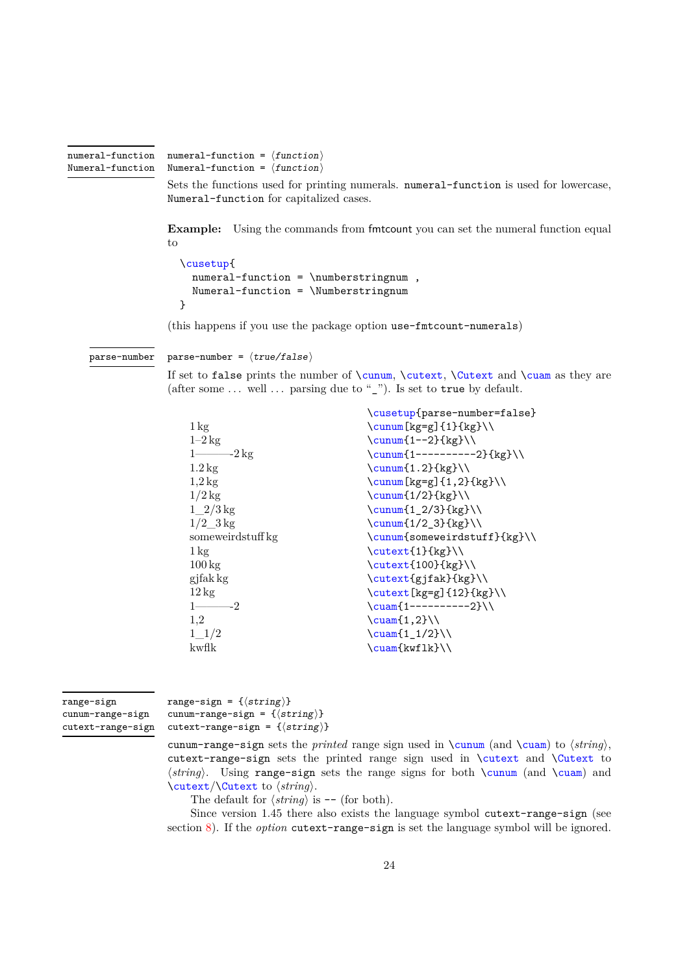```
numeral-function
Numeral-function
```
<span id="page-23-0"></span>numeral-function =  $\langle function \rangle$ Numeral-function =  $\langle function \rangle$ 

Sets the functions used for printing numerals. numeral-function is used for lowercase, Numeral-function for capitalized cases.

**Example:** Using the commands from fmtcount you can set the numeral function equal to

```
\cusetup{
  numeral-function = \numberstringnum ,
  Numeral-function = \Numberstringnum
}
```
(this happens if you use the package option use-fmtcount-numerals)

parse-number =  $\langle true/false \rangle$ parse-number

> If set to false prints the number of  $\cunum$ ,  $\cutext$ ,  $\Cutext$  and  $\cunm$  as they are (after some  $\dots$  well  $\dots$  parsing due to "\_"). Is set to true by default.

| \cusetup{parse-number=false}         |
|--------------------------------------|
| $\sum_{k \leq x} \{1\} \{k \leq x\}$ |
| $\sum_{1--2}$ {kg}                   |
| $\sum_{1-------2}$ {kg}              |
| $\sum_{1.2}$ {kg}                    |
| $\sum$ [kg=g]{1,2}{kg}\\             |
| $\sum_{1/2}$ {kg}                    |
| $\sum_{12/3}$ {kg} \\                |
| $\sum_{1/2_3}$ {kg}                  |
| \cunum{someweirdstuff}{kg}\\         |
| $\cutext{1}{kg}$                     |
| $\text{100}$ {kg}                    |
| \cutext{gjfak}{kg}\\                 |
| $\text{[kg=g]}_{12}$ $\text{[kg]}$   |
| $\text{1-------2}\\$                 |
| $\text{Cuam}(1,2)$                   |
| $\text{Cuam}\{1_1/2\}\)$             |
| $\sum_{k \in \mathbb{N}}$            |
|                                      |

```
range-sign
cunum-range-sign
cutext-range-sign
```
range-sign = { $\langle string \rangle$ } cunum-range-sign =  $\{\langle string \rangle\}$ cutext-range-sign =  $\{\langle string \rangle\}$ 

cunum-range-sign sets the *printed* range sign used in \cunum (and \cuam) to ⟨*string*⟩, cutext-range-sign sets the printed range sign used in \cutext and \Cutext to ⟨*string*⟩. Using range-sign sets the range signs for both \cunum (and \cuam) and \cutext/\Cutext to ⟨*string*⟩.

The default for  $\langle string \rangle$  is -- (for both).

Since version 1.45 there also exists the language symbol cutext-range-sign (see section [8\)](#page-13-0). If the *option* cutext-range-sign is set the language symbol will be ignored.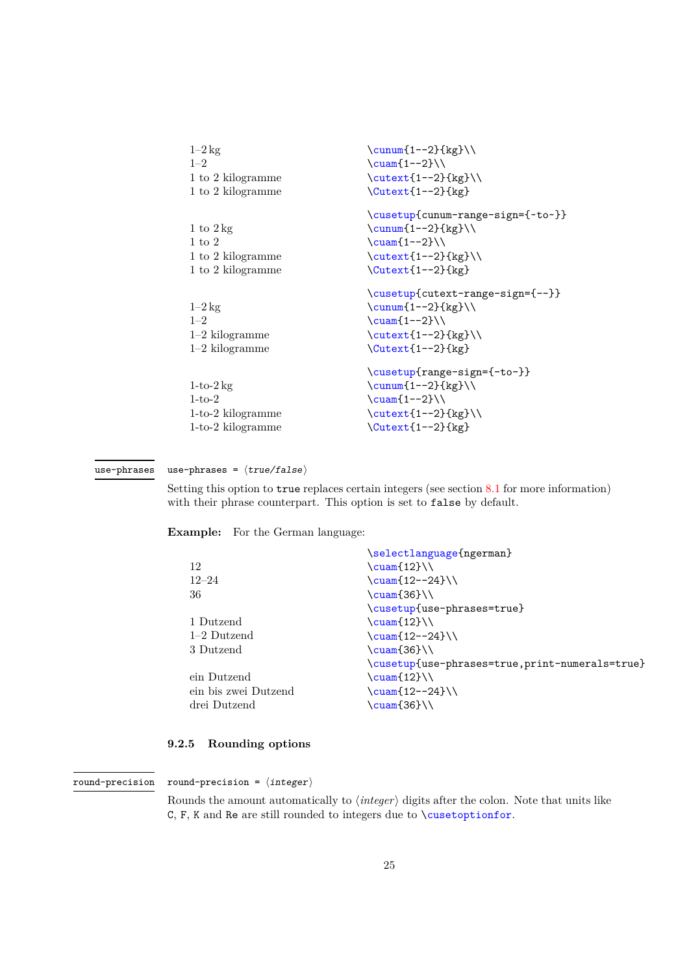<span id="page-24-1"></span>

| $1-2$ kg<br>$1 - 2$<br>1 to 2 kilogramme<br>1 to 2 kilogramme                      | $\sum_{1--2}$ {kg}<br>$\text{Cuan} \{-2\}$<br>$\text{1--2}$ {kg}<br>$\text{Cutext}\{-2\}$ {kg}                                       |
|------------------------------------------------------------------------------------|--------------------------------------------------------------------------------------------------------------------------------------|
| 1 to $2 \text{ kg}$<br>$1 \text{ to } 2$<br>1 to 2 kilogramme<br>1 to 2 kilogramme | \cusetup{cunum-range-sign={~to~}}<br>$\sum_{1--2}$ {kg}<br>$\text{Cuan}$ $1--2}$<br>$\text{1--2}$ {kg}<br>$\text{Cutext}\{-2\}$ {kg} |
| $1-2 \text{ kg}$<br>$1 - 2$<br>$1-2$ kilogramme<br>$1-2$ kilogramme                | \cusetup{cutext-range-sign={--}}<br>$\sum_{1--2}$ {kg}<br>$\text{Cuam}$ $1--2}$<br>$\text{1--2}$ {kg}<br>$\text{Cutext}\{-2\}$ {kg}  |
| $1-to-2$ kg<br>$1-to-2$<br>$1-to-2$ kilogramme<br>$1-to-2$ kilogramme              | \cusetup{range-sign={-to-}}<br>$\sum_{1--2}$ {kg}<br>$\text{Cuam}(1--2})$<br>$\text{1--2}$ {kg}<br>$\text{Cutext}{1--2}$ {kg}        |

#### use-phrases =  $\langle true/false \rangle$ use-phrases

Setting this option to true replaces certain integers (see section [8.1](#page-15-0) for more information) with their phrase counterpart. This option is set to false by default.

**Example:** For the German language:

|                      | \selectlanguage{ngerman}                       |
|----------------------|------------------------------------------------|
| 12                   | $\text{Cuam} \{12\} \setminus$                 |
| $12 - 24$            | $\cuam{12--24}$                                |
| 36                   | $\text{\textdegree}$ (36}                      |
|                      | \cusetup{use-phrases=true}                     |
| 1 Dutzend            | $\text{Cuam}12}$                               |
| $1-2$ Dutzend        | $\sum_{12--24}$                                |
| 3 Dutzend            | $\text{Cuam}36}$                               |
|                      | \cusetup{use-phrases=true,print-numerals=true} |
| ein Dutzend          | $\text{cuam} \{12\} \setminus$                 |
| ein bis zwei Dutzend | $\sum_{12--24}$                                |
| drei Dutzend         | \cuam{36}\\                                    |
|                      |                                                |

### <span id="page-24-0"></span>**9.2.5 Rounding options**

round-precision =  $\langle$  integer $\rangle$ round-precision

> Rounds the amount automatically to ⟨*integer*⟩ digits after the colon. Note that units like C, F, K and Re are still rounded to integers due to \cusetoptionfor.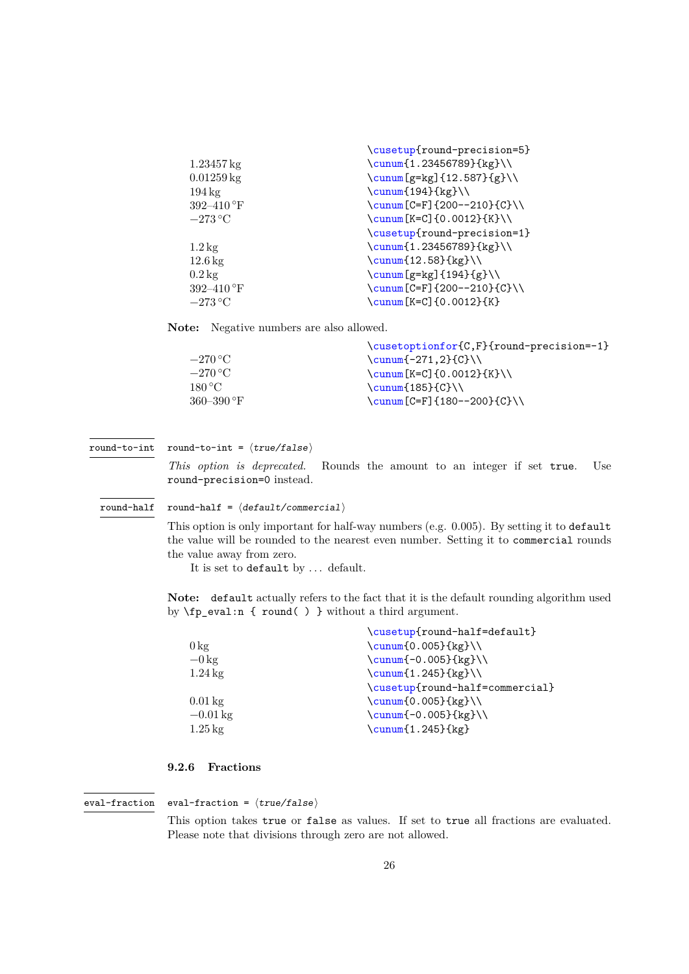<span id="page-25-1"></span>

|                              | \cusetup{round-precision=5}        |
|------------------------------|------------------------------------|
| $1.23457 \,\mathrm{kg}$      | $\sum_{1.23456789}{kg} \$          |
| $0.01259 \,\mathrm{kg}$      | \cunum [g=kg] {12.587} {g}\\       |
| $194\,\mathrm{kg}$           | $\sum_{194}$ {kg}                  |
| 392-410 $\mathrm{^{\circ}F}$ | $\sum [C = F] {200 - -210}{C} \$   |
| $-273\,^{\circ}\mathrm{C}$   | $\sum [K=C] \{0.0012\} \{K\} \$    |
|                              | \cusetup{round-precision=1}        |
| $1.2\,\mathrm{kg}$           | $\sum_{1.23456789}{kg} \$          |
| $12.6\,\mathrm{kg}$          | \cunum $\{12.58\}$ {kg}\\          |
| $0.2 \text{ kg}$             | \cunum [g=kg] $\{194\}$ {g}\\      |
| 392-410 $\mathrm{^{\circ}F}$ | $\sum [C = F] {200 - -210}{C} \ \$ |
| $-273\text{°C}$              | $\cum[K=C] \{0.0012\} \{K\}$       |

**Note:** Negative numbers are also allowed.

|                            | \cusetoptionfor{C,F}{round-precision=-1} |
|----------------------------|------------------------------------------|
| $-270\,^{\circ}\mathrm{C}$ | \cunum $[-271,2]{C}$                     |
| $-270\,^{\circ}\mathrm{C}$ | $\cum_K=Cl_{0.0012}$ $K\$                |
| 180 °C                     | $\cumf185$ $C$ $\Upsilon$                |
| 360–390 °F                 | \cunum $[C=F] {180--200}{C}\ \$          |
|                            |                                          |

round-to-int =  $\langle true/false \rangle$ round-to-int

> *This option is deprecated.* Rounds the amount to an integer if set true. Use round-precision=0 instead.

round-half =  $\langle$  default/commercial $\rangle$ round-half

> This option is only important for half-way numbers (e.g. 0*.*005). By setting it to default the value will be rounded to the nearest even number. Setting it to commercial rounds the value away from zero.

It is set to default by ... default.

**Note:** default actually refers to the fact that it is the default rounding algorithm used by \fp\_eval:n { round( ) } without a third argument.

|                       | \cusetup{round-half=default}    |
|-----------------------|---------------------------------|
| $0 \text{ kg}$        | $\sum_{0.005}$ {kg}             |
| $-0 \,\mathrm{kg}$    | $\sum_{-0.005}$ {kg}            |
| $1.24\,\mathrm{kg}$   | $\sum_{1.245}$ {kg}             |
|                       | \cusetup{round-half=commercial} |
| $0.01\,\mathrm{kg}$   | $\sum_{0.005}$ {kg}             |
| $-0.01 \,\mathrm{kg}$ | $\sum_{-0.005}$ {kg}            |
| $1.25 \,\mathrm{kg}$  | \cunum{1.245}{kg}               |
|                       |                                 |

### <span id="page-25-0"></span>**9.2.6 Fractions**

eval-fraction =  $\langle true/false \rangle$ eval-fraction

> This option takes true or false as values. If set to true all fractions are evaluated. Please note that divisions through zero are not allowed.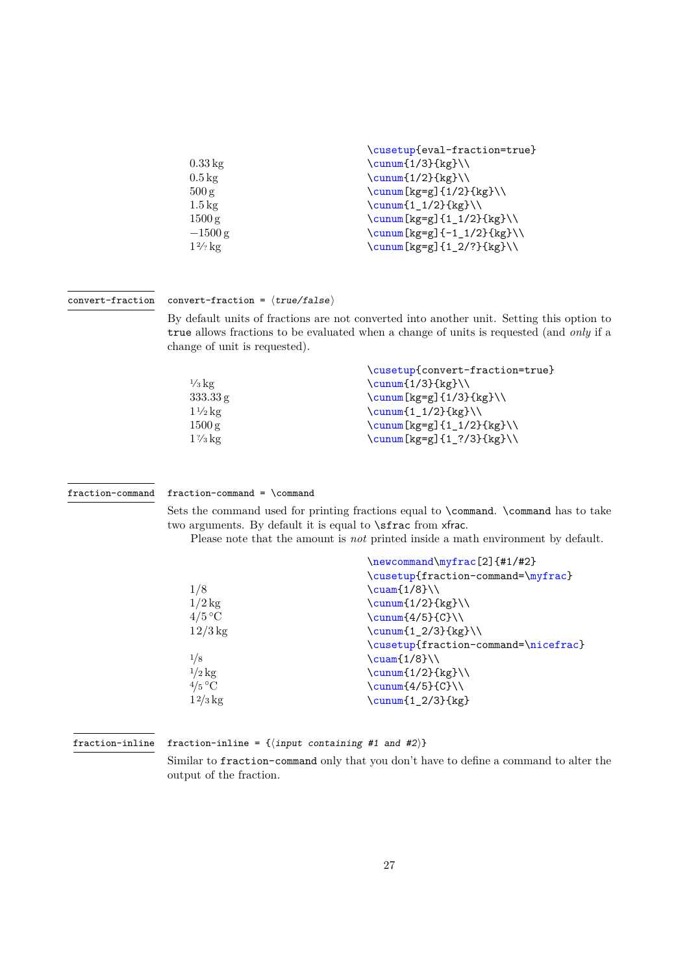<span id="page-26-0"></span>

|                     | \cusetup{eval-fraction=true}       |
|---------------------|------------------------------------|
|                     |                                    |
| $0.33\,\mathrm{kg}$ | $\sum_{1/3}$ {kg}                  |
| $0.5 \,\mathrm{kg}$ | $\sum_{1/2}$ {kg}                  |
| 500 g               | \cunum[kg=g]{1/2}{kg}\\            |
| $1.5 \,\mathrm{kg}$ | $\sum_{1/2}$ {kg}                  |
| 1500 g              | $\sum_{k \leq x} \{1_1/2\} \{kg\}$ |
| $-1500$ g           | \cunum[kg=g]{-1_1/2}{kg}\\         |
| $1\frac{2}{2}$ kg   | \cunum[kg=g]{1_2/?}{kg}\\          |

#### convert-fraction =  $\langle true/false \rangle$ convert-fraction

By default units of fractions are not converted into another unit. Setting this option to true allows fractions to be evaluated when a change of units is requested (and *only* if a change of unit is requested).

|                   | \cusetup{convert-fraction=true}  |
|-------------------|----------------------------------|
| $\frac{1}{3}$ kg  | $\sum_{1/3}$ {kg}                |
| 333.33 g          | $\sum_{k \neq g} \{1/3\} \{kg\}$ |
| $1\frac{1}{2}$ kg | $\sum_{1/2}$ {kg}                |
| 1500 g            | \cunum [kg=g] $\{1_1/2\}$ {kg}\\ |
| $1\%$ kg          | \cunum[kg=g]{1_?/3}{kg}\\        |

#### fraction-command

#### fraction-command = \command

Sets the command used for printing fractions equal to \command. \command has to take two arguments. By default it is equal to \sfrac from xfrac.

Please note that the amount is *not* printed inside a math environment by default.

|                   | $\newcommand{\mbox{\mbox{\emph{1}}}\n1/42}$ |
|-------------------|---------------------------------------------|
|                   | \cusetup{fraction-command=\myfrac}          |
| 1/8               | $\text{Cuam}[1/8]\setminus$                 |
| $1/2$ kg          | $\sum_{1/2}$ {kg}                           |
| $4/5$ °C          | $\sum_{4/5}$ (C}\\                          |
| $12/3$ kg         | $\sum_{12/3}$ {kg}                          |
|                   | \cusetup{fraction-command=\nicefrac}        |
| 1/8               | $\text{Cuam}[1/8]\setminus$                 |
| $1/2$ kg          | $\sum_{1/2}$ {kg}                           |
| $4/5$ °C          | $\sum_{4/5}$ (C}\\                          |
| $1\frac{2}{3}$ kg | $\sum_{12/3}$ {kg}                          |
|                   |                                             |

#### fraction-inline

fraction-inline = { $\langle$ input containing #1 and #2}}

Similar to fraction-command only that you don't have to define a command to alter the output of the fraction.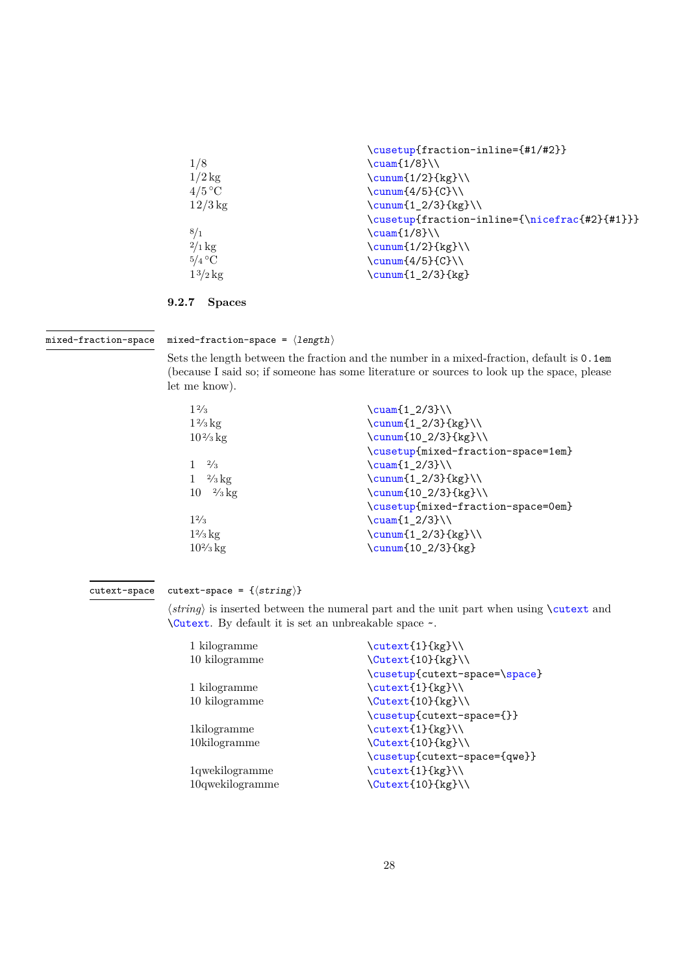<span id="page-27-1"></span>

|              | \cusetup{fraction-inline={#1/#2}}             |
|--------------|-----------------------------------------------|
| 1/8          | $\cuam{1/8}$                                  |
| $1/2$ kg     | $\sum_{1/2}$ {kg}                             |
| $4/5$ °C     | $\sum_{4/5}$ (C}\\                            |
| $12/3$ kg    | $\sum_{1_2/3}$ {kg}                           |
|              | \cusetup{fraction-inline={\nicefrac{#2}{#1}}} |
| 8/1          | $\cuam{1/8}$                                  |
| $2/1$ kg     | $\sum_{1/2}$ {kg}                             |
| $5/4$ °C     | $\sum_{4/5}$ (C}                              |
| $1^{3/2}$ kg | $\sum_{12/3}$ {kg}                            |
|              |                                               |

### <span id="page-27-0"></span>**9.2.7 Spaces**

#### mixed-fraction-space

mixed-fraction-space =  $\langle length \rangle$ 

Sets the length between the fraction and the number in a mixed-fraction, default is 0.1em (because I said so; if someone has some literature or sources to look up the space, please let me know).

| $1\frac{2}{3}$             | $\text{cuam} \{1_2/3\}$            |
|----------------------------|------------------------------------|
| $1\frac{2}{3}$ kg          | $\sum_{12/3}$ {kg}                 |
| $10\frac{2}{3}$ kg         | \cunum{10_2/3}{kg}\\               |
|                            | \cusetup{mixed-fraction-space=1em} |
| $1 \frac{2}{3}$            | $\text{Cuam}1_2/3}$                |
| $1 \frac{2}{3} \text{kg}$  | $\sum_{12/3}$ {kg}                 |
| $10 \frac{2}{3} \text{kg}$ | \cunum{10_2/3}{kg}\\               |
|                            | \cusetup{mixed-fraction-space=0em} |
| 12/3                       | $\text{cuam} \{1_2/3\}$            |
| $1\frac{2}{3}$ kg          | $\sum_{12/3}$ {kg}                 |
| $10\frac{2}{3}$ kg         | \cunum{10_2/3}{kg}                 |
|                            |                                    |

#### cutext-space =  $\{\langle string \rangle\}$ cutext-space

⟨*string*⟩ is inserted between the numeral part and the unit part when using \cutext and \Cutext. By default it is set an unbreakable space ~.

| 1 kilogramme           | $\text{Cutext1}_{\text{kg}}$  |
|------------------------|-------------------------------|
| 10 kilogramme          | \Cutext{10}{kg}\\             |
|                        | \cusetup{cutext-space=\space} |
| 1 kilogramme           | \cutext{1}{kg}\\              |
| 10 kilogramme          | \Cutext{10}{kg}\\             |
|                        | \cusetup{cutext-space={}}     |
| 1 kilogramme           | \cutext{1}{kg}\\              |
| $10$ kilogramme        | \Cutext{10}{kg}\\             |
|                        | \cusetup{cutext-space={qwe}}  |
| 1qwekilogramme         | \cutext{1}{kg}\\              |
| $10$ qweki $log$ ramme | \Cutext{10}{kg}\\             |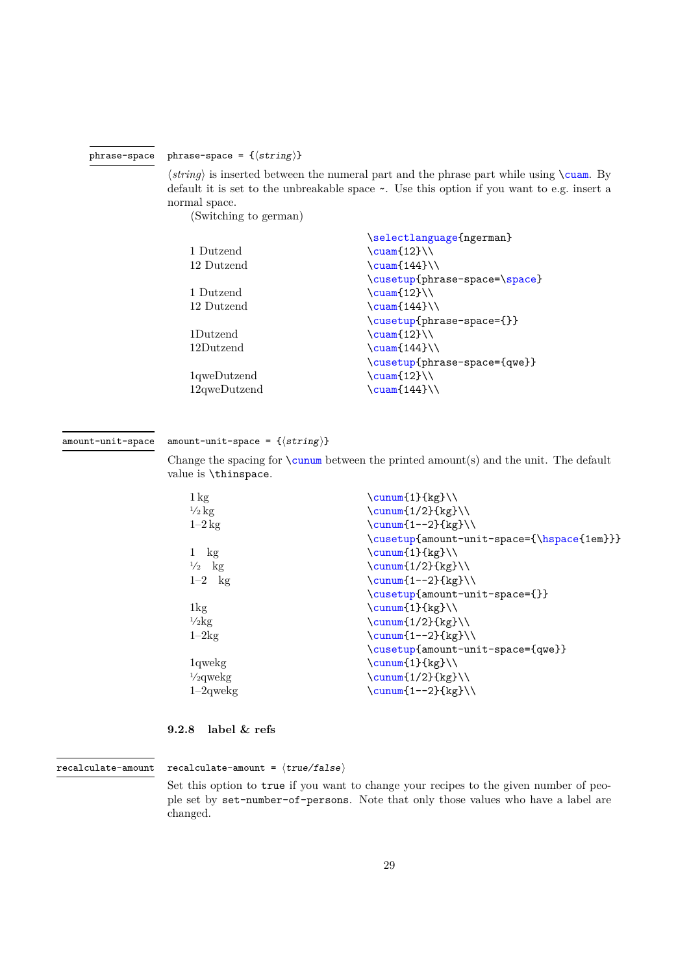#### phrase-space =  $\{\langle string \rangle\}$ phrase-space

<span id="page-28-1"></span> $\langle string \rangle$  is inserted between the numeral part and the phrase part while using  $\text{cuan. By}$ default it is set to the unbreakable space ~. Use this option if you want to e.g. insert a normal space.

(Switching to german)

|                          | \selectlanguage{ngerman}      |
|--------------------------|-------------------------------|
| 1 Dutzend                | $\text{cuam(12)}\$            |
| 12 Dutzend               | $\text{\textcircled{144}}$    |
|                          | \cusetup{phrase-space=\space} |
| 1 Dutzend                | $\text{Cuam}$ {12}            |
| 12 Dutzend               | $\text{\textcircled{144}}$    |
|                          | \cusetup{phrase-space={}}     |
| 1Dutzend                 | $\text{Cuam}$ {12}            |
| 12Dutzend                | $\sum_{144}$                  |
|                          | \cusetup{phrase-space={qwe}}  |
| 1qweDutzend              | $\text{cuam(12)}\$            |
| 12 <sub>qweDutzend</sub> | $\text{\textcircled{144}}$    |
|                          |                               |

#### amount-unit-space =  $\{\langle string \rangle\}$ amount-unit-space

Change the spacing for **\cunum** between the printed amount(s) and the unit. The default value is \thinspace.

| $1 \text{ kg}$      | $\sum_{f,kg}$                              |
|---------------------|--------------------------------------------|
| $\frac{1}{2}$ kg    | $\sum_{1/2}$ {kg}                          |
| $1-2 \text{ kg}$    | $\sum_{1--2}$ {kg}                         |
|                     | \cusetup{amount-unit-space={\hspace{1em}}} |
| kg                  | $\sum_{1}$ {kg}                            |
| $\frac{1}{2}$ kg    | $\sum_{1/2}$ {kg}                          |
| $1-2$ kg            | $\sum_{1--2}$ {kg}                         |
|                     | \cusetup{amount-unit-space={}}             |
| $1\text{kg}$        | $\sum_{f,kg}$                              |
| $\frac{1}{2}$ kg    | $\sum_{1/2}$ {kg}                          |
| $1-2kg$             | $\sum_{1--2}$ {kg}                         |
|                     | \cusetup{amount-unit-space={qwe}}          |
| 1qwekg              | $\sum_{1} {\kappa}$                        |
| $\frac{1}{2}$ qwekg | $\sum_{1/2}$ {kg}                          |
| $1-2$ qwekg         | $\sum_{1--2}$ {kg}                         |
|                     |                                            |

### <span id="page-28-0"></span>**9.2.8 label & refs**

#### recalculate-amount =  $\langle true/false \rangle$ recalculate-amount

Set this option to true if you want to change your recipes to the given number of people set by set-number-of-persons. Note that only those values who have a label are changed.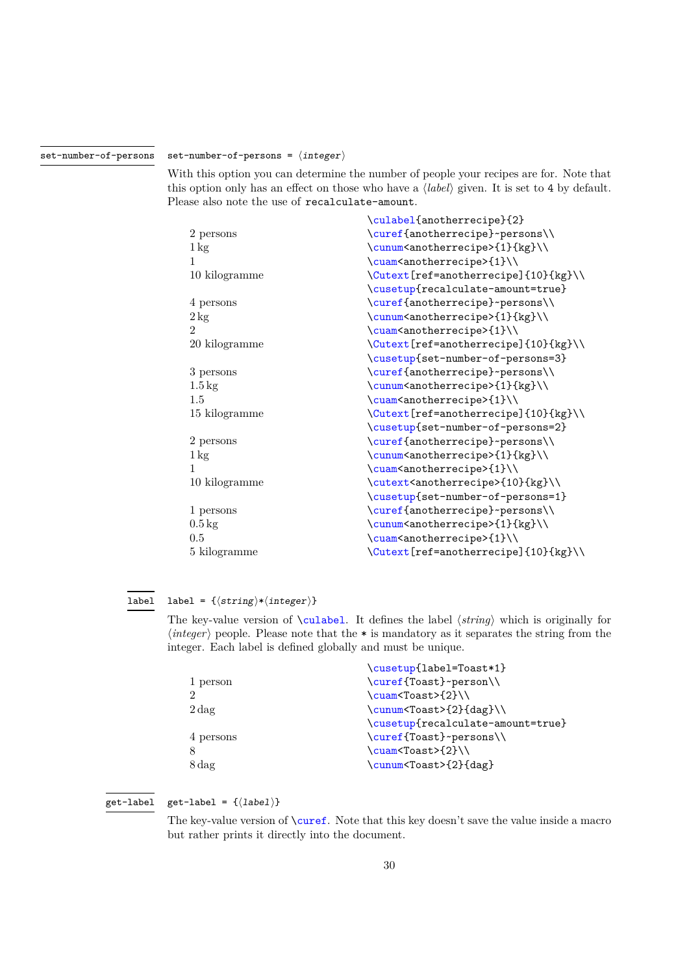#### set-number-of-persons =  $\langle$  integer $\rangle$ set-number-of-persons

<span id="page-29-0"></span>With this option you can determine the number of people your recipes are for. Note that this option only has an effect on those who have a ⟨*label*⟩ given. It is set to 4 by default. Please also note the use of recalculate-amount.

|                    | \culabel{anotherrecipe}{2}                        |
|--------------------|---------------------------------------------------|
| 2 persons          | \curef{anotherrecipe}~persons\\                   |
| $1 \text{ kg}$     | \cunum <anotherrecipe>{1}{kg}\\</anotherrecipe>   |
| 1                  | \cuam <anotherrecipe>{1}\\</anotherrecipe>        |
| 10 kilogramme      | \Cutext[ref=anotherrecipe]{10}{kg}\\              |
|                    | \cusetup{recalculate-amount=true}                 |
| 4 persons          | \curef{anotherrecipe}~persons\\                   |
| $2\,\mathrm{kg}$   | \cunum <anotherrecipe>{1}{kg}\\</anotherrecipe>   |
| 2                  | \cuam <anotherrecipe>{1}\\</anotherrecipe>        |
| 20 kilogramme      | \Cutext[ref=anotherrecipe]{10}{kg}\\              |
|                    | \cusetup{set-number-of-persons=3}                 |
| 3 persons          | \curef{anotherrecipe}~persons\\                   |
| $1.5\,\mathrm{kg}$ | \cunum <anotherrecipe>{1}{kg}\\</anotherrecipe>   |
| 1.5                | \cuam <anotherrecipe>{1}\\</anotherrecipe>        |
| 15 kilogramme      | \Cutext[ref=anotherrecipe]{10}{kg}\\              |
|                    | \cusetup{set-number-of-persons=2}                 |
| 2 persons          | \curef{anotherrecipe}~persons\\                   |
| $1\,\mathrm{kg}$   | \cunum <anotherrecipe>{1}{kg}\\</anotherrecipe>   |
| 1                  | \cuam <anotherrecipe>{1}\\</anotherrecipe>        |
| 10 kilogramme      | \cutext <anotherrecipe>{10}{kg}\\</anotherrecipe> |
|                    | \cusetup{set-number-of-persons=1}                 |
| 1 persons          | \curef{anotherrecipe}~persons\\                   |
| $0.5 \text{ kg}$   | \cunum <anotherrecipe>{1}{kg}\\</anotherrecipe>   |
| 0.5                | \cuam <anotherrecipe>{1}\\</anotherrecipe>        |
| 5 kilogramme       | \Cutext[ref=anotherrecipe]{10}{kg}\\              |

#### label = { $\langle string \rangle * \langle integer \rangle$ } label

The key-value version of \culabel. It defines the label ⟨*string*⟩ which is originally for ⟨*integer*⟩ people. Please note that the \* is mandatory as it separates the string from the integer. Each label is defined globally and must be unique.

|                   | \cusetup{label=Toast*1}           |
|-------------------|-----------------------------------|
| 1 person          | \curef{Toast}~person\\            |
|                   | \cuam <toast>{2}\\</toast>        |
| $2\,\mathrm{dag}$ | \cunum <toast>{2}{dag}\\</toast>  |
|                   | \cusetup{recalculate-amount=true} |
| 4 persons         | \curef{Toast}~persons\\           |
|                   | \cuam <toast>{2}\\</toast>        |
| 8 dag             | \cunum <toast>{2}{dag}</toast>    |
|                   |                                   |

#### get-label =  $\{\langle label \rangle\}$ get-label

The key-value version of  $\text{current}$ . Note that this key doesn't save the value inside a macro but rather prints it directly into the document.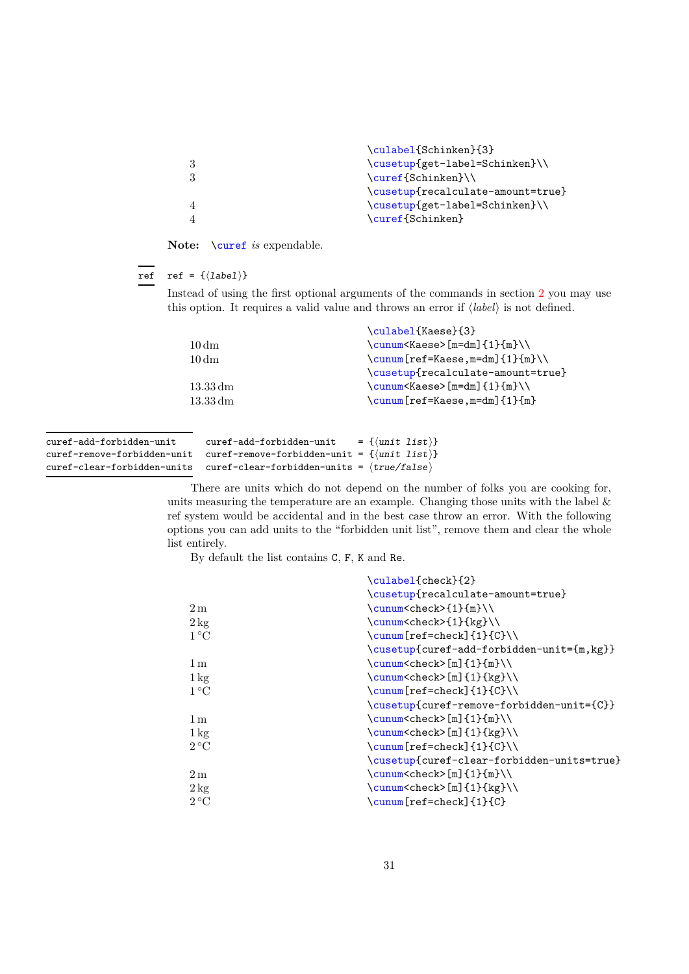<span id="page-30-0"></span>

| \culabel{Schinken}{3}             |
|-----------------------------------|
| \cusetup{get-label=Schinken}\\    |
| \curef{Schinken}\\                |
| \cusetup{recalculate-amount=true} |
| \cusetup{get-label=Schinken}\\    |
| \curef{Schinken}                  |
|                                   |

Note: **\curef** *is* expendable.

#### ref =  $\{\langle label \rangle\}$ ref

Instead of using the first optional arguments of the commands in section [2](#page-2-1) you may use this option. It requires a valid value and throws an error if ⟨*label*⟩ is not defined.

|                      | \culabel{Kaese}{3}                |
|----------------------|-----------------------------------|
| $10 \,\mathrm{dm}$   | $\cum\Kases[ m=dm]_{1}_{m}\\\$    |
| $10 \,\mathrm{dm}$   | $\cum[ref=Kaese,m=dm]{1}{m}\$     |
|                      | \cusetup{recalculate-amount=true} |
| $13.33\,\mathrm{dm}$ | $\cum\Kases[ m=dm]_{1}^{m}\\\$    |
| $13.33\,\mathrm{dm}$ | $\cum[ref=Kaese,m=dm]{1}{m}$      |
|                      |                                   |

| curef-add-forbidden-unit                                                               | curef-add-forbidden-unit | $= \{\langle \text{unit list} \rangle\}$ |  |
|----------------------------------------------------------------------------------------|--------------------------|------------------------------------------|--|
| curef-remove-forbidden-unit curef-remove-forbidden-unit = $\{$ unit list $\rangle\}$   |                          |                                          |  |
| curef-clear-forbidden-units curef-clear-forbidden-units = $\langle true/false \rangle$ |                          |                                          |  |

There are units which do not depend on the number of folks you are cooking for, units measuring the temperature are an example. Changing those units with the label  $\&$ ref system would be accidental and in the best case throw an error. With the following options you can add units to the "forbidden unit list", remove them and clear the whole list entirely.

By default the list contains C, F, K and Re.

|                  | \culabel{check}{2}                         |
|------------------|--------------------------------------------|
|                  | \cusetup{recalculate-amount=true}          |
| 2m               | \cunum <check>{1}{m}\\</check>             |
| $2 \text{ kg}$   | \cunum <check>{1}{kg}\\</check>            |
| $1^{\circ}C$     | \cunum[ref=check]{1}{C}\\                  |
|                  | \cusetup{curef-add-forbidden-unit={m, kg}} |
| 1 <sub>m</sub>   | \cunum <check>[m]{1}{m}\\</check>          |
| $1\,\mathrm{kg}$ | \cunum <check>[m]{1}{kg}\\</check>         |
| $1^{\circ}C$     | \cunum[ref=check]{1}{C}\\                  |
|                  | \cusetup{curef-remove-forbidden-unit={C}}  |
| 1 <sub>m</sub>   | \cunum <check>[m]{1}{m}\\</check>          |
| $1\,\mathrm{kg}$ | \cunum <check>[m]{1}{kg}\\</check>         |
| $2^{\circ}C$     |                                            |
|                  | \cusetup{curef-clear-forbidden-units=true} |
| 2m               | \cunum <check>[m]{1}{m}\\</check>          |
| $2 \text{ kg}$   | $\cum\check{check}$ [m] $\{1\}\{kg\}\$     |
| $2^{\circ}C$     | \cunum[ref=check]{1}{C}                    |
|                  |                                            |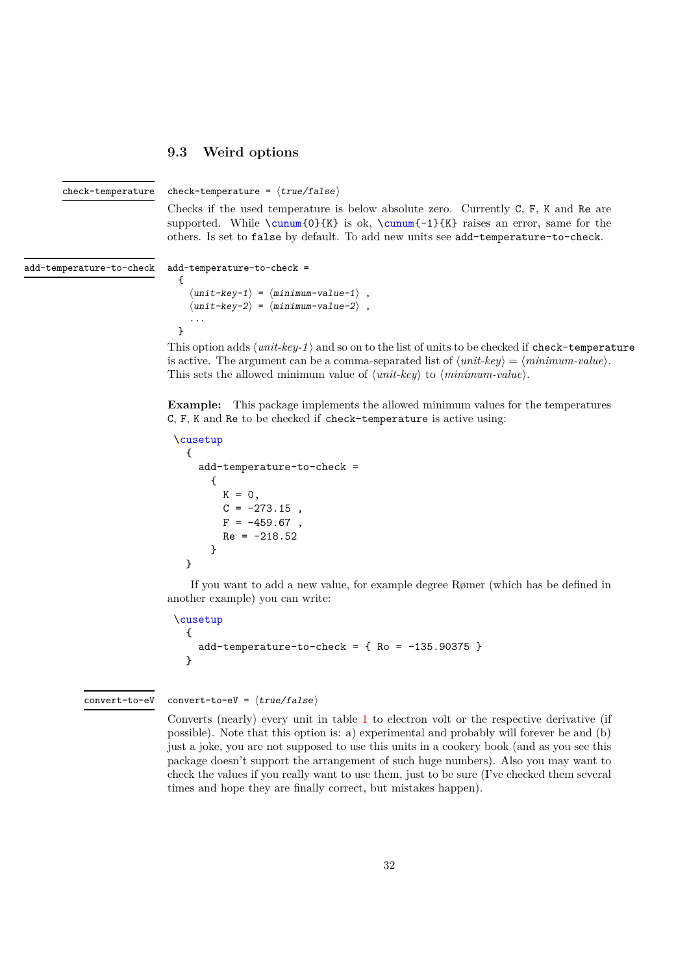### <span id="page-31-1"></span><span id="page-31-0"></span>**9.3 Weird options**

check-temperature

check-temperature =  $\langle true/false \rangle$ 

Checks if the used temperature is below absolute zero. Currently C, F, K and Re are supported. While  $\cum_0}{K}$  is ok,  $\cum_1-1}{K}$  raises an error, same for the others. Is set to false by default. To add new units see add-temperature-to-check.

add-temperature-to-check

```
add-temperature-to-check =
  {
      \langle unit-key-1 \rangle = \langle minimum-value-1 \rangle,
      \langleunit-key-2\rangle = \langleminimum-value-2\rangle.
      ...
  }
```
This option adds  $\langle unit-key-1 \rangle$  and so on to the list of units to be checked if check-temperature is active. The argument can be a comma-separated list of  $\langle unit\text{-}key \rangle = \langle minimum\text{-}value \rangle$ . This sets the allowed minimum value of ⟨*unit-key*⟩ to ⟨*minimum-value*⟩.

**Example:** This package implements the allowed minimum values for the temperatures C, F, K and Re to be checked if check-temperature is active using:

```
\cusetup
 {
   add-temperature-to-check =
      {
       K = 0,C = -273.15,
       F = -459.67,
       Re = -218.52}
  }
```
If you want to add a new value, for example degree Rømer (which has be defined in another example) you can write:

```
\cusetup
  {
   add-temperature-to-check = { Ro = -135.90375 }}
```
convert-to-eV =  $\langle true/false \rangle$ convert-to-eV

> Converts (nearly) every unit in table [1](#page-6-2) to electron volt or the respective derivative (if possible). Note that this option is: a) experimental and probably will forever be and (b) just a joke, you are not supposed to use this units in a cookery book (and as you see this package doesn't support the arrangement of such huge numbers). Also you may want to check the values if you really want to use them, just to be sure (I've checked them several times and hope they are finally correct, but mistakes happen).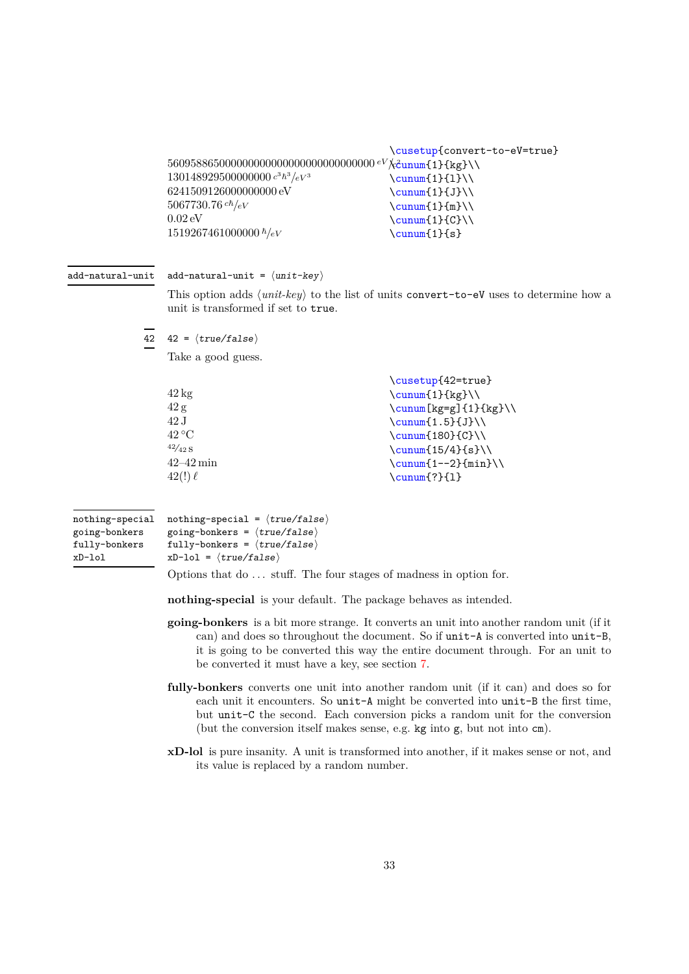```
560958865000000000000000000000000000 eV/c
2
\cunum{1}{kg}\\
130148929500000000 c
3ℏ
3
/eV 3
6241509126000000000 eV
5067730.76<br>^{ch}\!/_{eV}0.02 eV
1519267461000000 ℏ/eV
                                          \cusetup{convert-to-eV=true}
                                          \sum_{1}{1}\\sum_{1}{J}\\\sum_{1}^{m}\(\)\sum_{1}^{C}\(\\cunum{1}{s}
```
#### add-natural-unit =  $\langle unit - key \rangle$ add-natural-unit

This option adds ⟨*unit-key*⟩ to the list of units convert-to-eV uses to determine how a unit is transformed if set to true.

 $42 \quad 42 = \langle true/false \rangle$ 

Take a good guess.

|                 | \cusetup{42=true}       |
|-----------------|-------------------------|
| $42 \text{ kg}$ | $\sum_{1}^{kg}$         |
| 42g             | $\sum$ [kg=g]{1}{kg}\\  |
| 42J             | $\sum_{1.5}$ {J}        |
| $42^{\circ}$ C  | $\sum_{180}$ (C)        |
| 42/42S          | \cunum $\{15/4\}$ {s}\\ |
| $42 - 42$ min   | $\cum([1--2]{min}\)$    |
| $42!) \ell$     | $\sum_{?}{1}$           |
|                 |                         |

| nothing-special | nothing-special = $\langle true/false \rangle$ |
|-----------------|------------------------------------------------|
| going-bonkers   | going-bonkers = $\langle true/false \rangle$   |
| fully-bonkers   | fully-bonkers = $\langle true/false \rangle$   |
| xD-lol          | $xD$ -lol = $\langle true/false \rangle$       |

Options that do ... stuff. The four stages of madness in option for.

**nothing-special** is your default. The package behaves as intended.

- **going-bonkers** is a bit more strange. It converts an unit into another random unit (if it can) and does so throughout the document. So if unit-A is converted into unit-B, it is going to be converted this way the entire document through. For an unit to be converted it must have a key, see section [7.](#page-8-0)
- **fully-bonkers** converts one unit into another random unit (if it can) and does so for each unit it encounters. So unit-A might be converted into unit-B the first time, but unit-C the second. Each conversion picks a random unit for the conversion (but the conversion itself makes sense, e.g. kg into g, but not into cm).
- **xD-lol** is pure insanity. A unit is transformed into another, if it makes sense or not, and its value is replaced by a random number.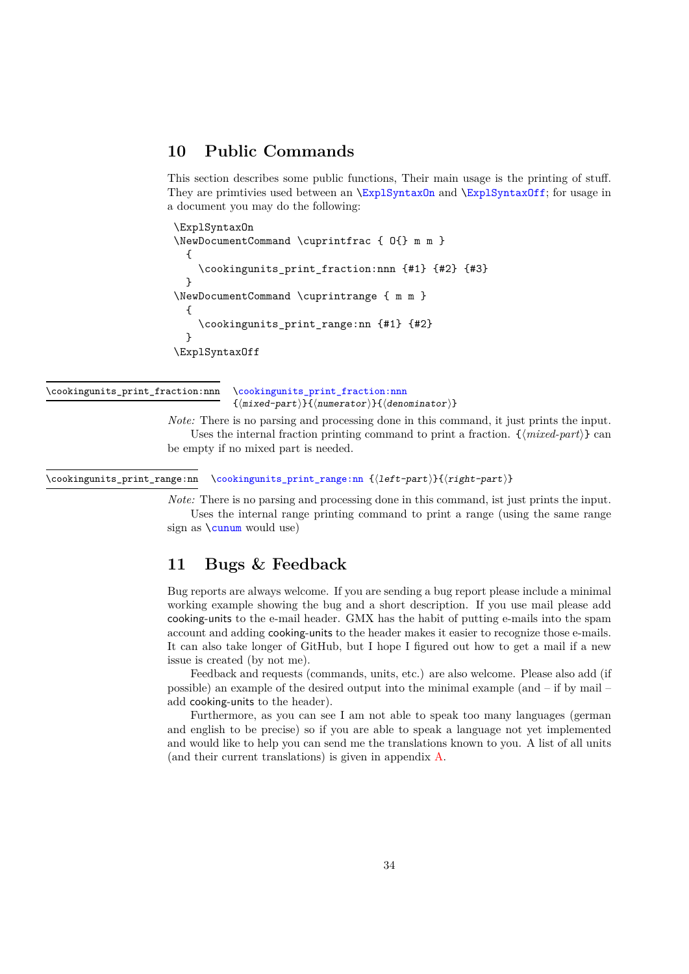## <span id="page-33-2"></span><span id="page-33-0"></span>**10 Public Commands**

This section describes some public functions, Their main usage is the printing of stuff. They are primtivies used between an  $\ExplSyntaxOn$  and  $\ExplSyntaxOff$ ; for usage in a document you may do the following:

```
\ExplSyntaxOn
\NewDocumentCommand \cuprintfrac { O{} m m }
  {
    \cookingunits_print_fraction:nnn {#1} {#2} {#3}
  }
\NewDocumentCommand \cuprintrange { m m }
  {
    \cookingunits_print_range:nn {#1} {#2}
  }
\ExplSyntaxOff
```
\cookingunits\_print\_fraction:nnn

\cookingunits\_print\_fraction:nnn {⟨mixed-part⟩}{⟨numerator⟩}{⟨denominator⟩}

*Note:* There is no parsing and processing done in this command, it just prints the input. Uses the internal fraction printing command to print a fraction. {⟨*mixed-part*⟩} can be empty if no mixed part is needed.

\cookingunits\_print\_range:nn \cookingunits\_print\_range:nn {⟨left-part⟩}{⟨right-part⟩}

*Note:* There is no parsing and processing done in this command, ist just prints the input. Uses the internal range printing command to print a range (using the same range

sign as  $\cum$  would use)

## <span id="page-33-1"></span>**11 Bugs & Feedback**

Bug reports are always welcome. If you are sending a bug report please include a minimal working example showing the bug and a short description. If you use mail please add cooking-units to the e-mail header. GMX has the habit of putting e-mails into the spam account and adding cooking-units to the header makes it easier to recognize those e-mails. It can also take longer of GitHub, but I hope I figured out how to get a mail if a new issue is created (by not me).

Feedback and requests (commands, units, etc.) are also welcome. Please also add (if possible) an example of the desired output into the minimal example (and – if by mail – add cooking-units to the header).

Furthermore, as you can see I am not able to speak too many languages (german and english to be precise) so if you are able to speak a language not yet implemented and would like to help you can send me the translations known to you. A list of all units (and their current translations) is given in appendix [A.](#page-35-0)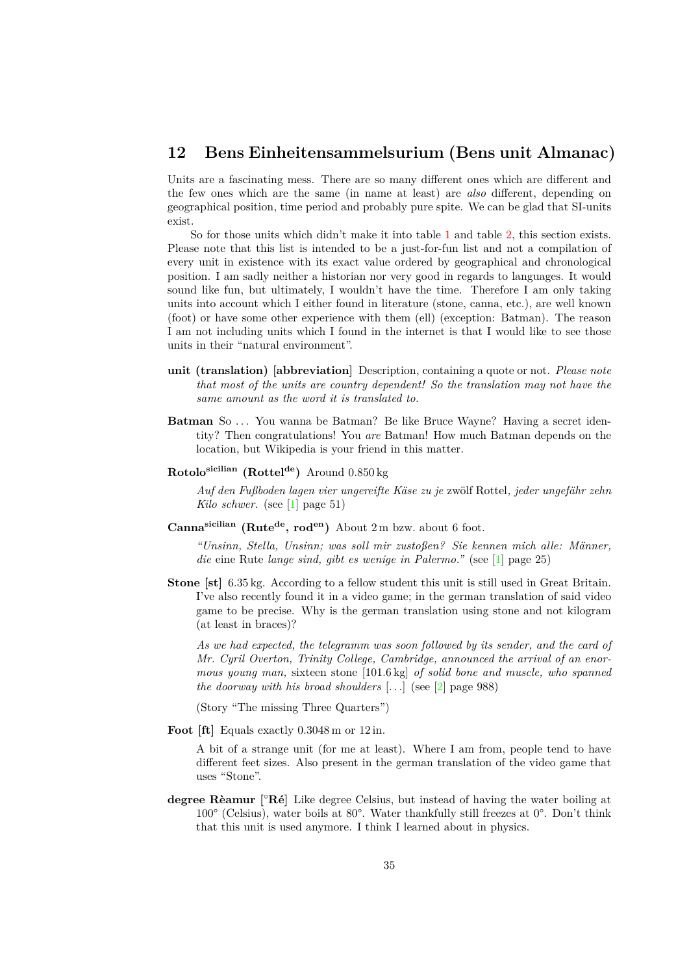## <span id="page-34-0"></span>**12 Bens Einheitensammelsurium (Bens unit Almanac)**

Units are a fascinating mess. There are so many different ones which are different and the few ones which are the same (in name at least) are *also* different, depending on geographical position, time period and probably pure spite. We can be glad that SI-units exist.

So for those units which didn't make it into table [1](#page-6-2) and table [2,](#page-7-0) this section exists. Please note that this list is intended to be a just-for-fun list and not a compilation of every unit in existence with its exact value ordered by geographical and chronological position. I am sadly neither a historian nor very good in regards to languages. It would sound like fun, but ultimately, I wouldn't have the time. Therefore I am only taking units into account which I either found in literature (stone, canna, etc.), are well known (foot) or have some other experience with them (ell) (exception: Batman). The reason I am not including units which I found in the internet is that I would like to see those units in their "natural environment".

- **unit (translation) [abbreviation]** Description, containing a quote or not. *Please note that most of the units are country dependent! So the translation may not have the same amount as the word it is translated to.*
- **Batman** So ... You wanna be Batman? Be like Bruce Wayne? Having a secret identity? Then congratulations! You *are* Batman! How much Batman depends on the location, but Wikipedia is your friend in this matter.
- **Rotolosicilian (Rottelde)** Around 0*.*850 kg

*Auf den Fußboden lagen vier ungereifte Käse zu je* zwölf Rottel*, jeder ungefähr zehn Kilo schwer.* (see [\[1\]](#page-41-1) page 51)

**Cannasicilian (Rutede, roden)** About 2 m bzw. about 6 foot.

*"Unsinn, Stella, Unsinn; was soll mir zustoßen? Sie kennen mich alle: Männer, die* eine Rute *lange sind, gibt es wenige in Palermo."* (see [\[1\]](#page-41-1) page 25)

**Stone [st]** 6.35 kg. According to a fellow student this unit is still used in Great Britain. I've also recently found it in a video game; in the german translation of said video game to be precise. Why is the german translation using stone and not kilogram (at least in braces)?

*As we had expected, the telegramm was soon followed by its sender, and the card of Mr. Cyril Overton, Trinity College, Cambridge, announced the arrival of an enormous young man,* sixteen stone [101.6 kg] *of solid bone and muscle, who spanned the doorway with his broad shoulders* [. . .] (see [\[2\]](#page-42-4) page 988)

(Story "The missing Three Quarters")

Foot [ft] Equals exactly  $0.3048$  m or  $12$  in.

A bit of a strange unit (for me at least). Where I am from, people tend to have different feet sizes. Also present in the german translation of the video game that uses "Stone".

**degree Rèamur [**◦**Ré]** Like degree Celsius, but instead of having the water boiling at 100° (Celsius), water boils at 80°. Water thankfully still freezes at 0°. Don't think that this unit is used anymore. I think I learned about in physics.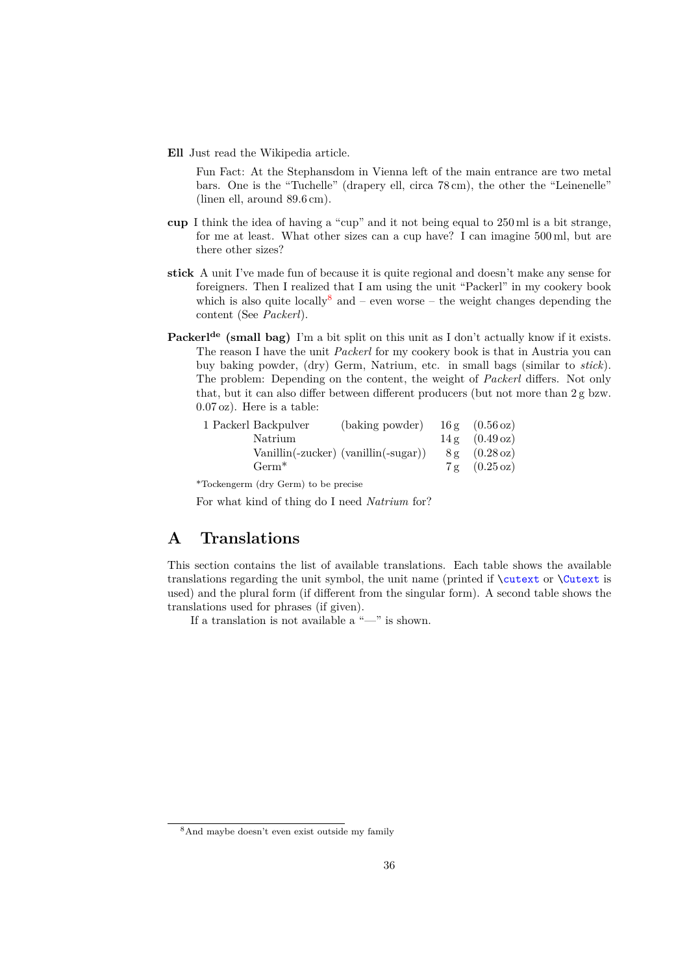**Ell** Just read the Wikipedia article.

Fun Fact: At the Stephansdom in Vienna left of the main entrance are two metal bars. One is the "Tuchelle" (drapery ell, circa 78 cm), the other the "Leinenelle" (linen ell, around 89*.*6 cm).

- **cup** I think the idea of having a "cup" and it not being equal to 250 ml is a bit strange, for me at least. What other sizes can a cup have? I can imagine 500 ml, but are there other sizes?
- **stick** A unit I've made fun of because it is quite regional and doesn't make any sense for foreigners. Then I realized that I am using the unit "Packerl" in my cookery book which is also quite locally and – even worse – the weight changes depending the content (See *Packerl*).
- **Packerlde (small bag)** I'm a bit split on this unit as I don't actually know if it exists. The reason I have the unit *Packerl* for my cookery book is that in Austria you can buy baking powder, (dry) Germ, Natrium, etc. in small bags (similar to *stick*). The problem: Depending on the content, the weight of *Packerl* differs. Not only that, but it can also differ between different producers (but not more than 2 g bzw. 0.07 oz). Here is a table:

| 1 Packerl Backpulver | (baking powder)                                   | $16g$ $(0.56 \text{ oz})$ |
|----------------------|---------------------------------------------------|---------------------------|
| Natrium              |                                                   | 14 g (0.49 oz)            |
|                      | $\text{Vanillin}(-zucker)$ (vanillin( $-sugar$ )) | 8 g (0.28 oz)             |
| $Germ^*$             |                                                   | 7 g (0.25 oz)             |
|                      |                                                   |                           |

\*Tockengerm (dry Germ) to be precise

For what kind of thing do I need *Natrium* for?

## <span id="page-35-0"></span>**A Translations**

This section contains the list of available translations. Each table shows the available translations regarding the unit symbol, the unit name (printed if  $\text{'cutext}$  or  $\text{'cutext}$  is used) and the plural form (if different from the singular form). A second table shows the translations used for phrases (if given).

If a translation is not available a "—" is shown.

<span id="page-35-1"></span><sup>8</sup>And maybe doesn't even exist outside my family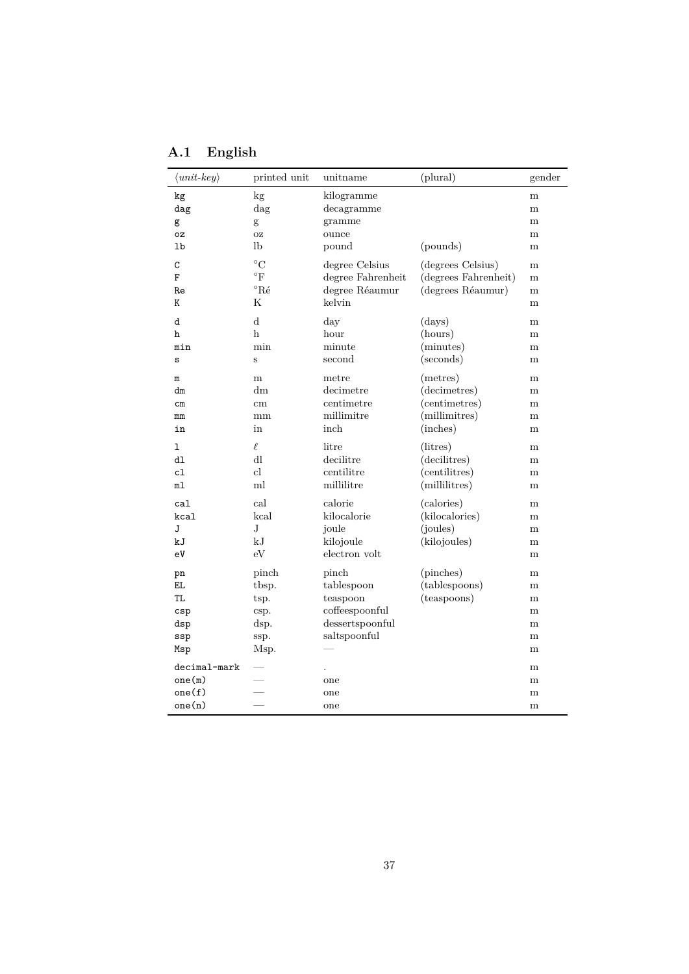<span id="page-36-0"></span>

| A.1 | English |  |
|-----|---------|--|
|-----|---------|--|

| $\langle unit-key \rangle$                     | printed unit                                                     | unitname                                                                             | (plural)                                                               | gender                          |
|------------------------------------------------|------------------------------------------------------------------|--------------------------------------------------------------------------------------|------------------------------------------------------------------------|---------------------------------|
| kg<br>$\rm{dag}$<br>g<br>oz<br>lb              | kg<br>dag<br>g<br><b>OZ</b><br>lb                                | kilogramme<br>decagramme<br>gramme<br>ounce<br>pound                                 | (pounds)                                                               | m<br>m<br>m<br>m<br>m           |
| C<br>F<br>Re<br>K                              | $^{\circ}C$<br>$\mathrm{^{\circ}F}$<br>$^{\circ}R\acute{e}$<br>Κ | degree Celsius<br>degree Fahrenheit<br>degree Réaumur<br>kelvin                      | (degrees Celsius)<br>(degrees Fahrenheit)<br>(degrees Réaumur)         | m<br>m<br>m<br>m                |
| d<br>h<br>min<br>S                             | d<br>$\mathbf h$<br>min<br>S                                     | day<br>hour<br>minute<br>second                                                      | (days)<br>(hours)<br>(minutes)<br>(seconds)                            | m<br>m<br>m<br>m                |
| $\mathbf m$<br>dm<br>$\mathsf{cm}$<br>mm<br>in | m<br>dm<br>cm<br>mm<br>in                                        | metre<br>decimetre<br>centimetre<br>millimitre<br>inch                               | (metres)<br>(decimetres)<br>(centimetres)<br>(millimitres)<br>(inches) | m<br>m<br>m<br>m<br>m           |
| ı<br>dl<br>c1<br>m1                            | $\ell$<br>dl<br>cl<br>ml                                         | litre<br>decilitre<br>centilitre<br>millilitre                                       | (litres)<br>(decilitres)<br>(centilitres)<br>(millilitres)             | m<br>m<br>m<br>m                |
| cal<br>kcal<br>J<br>kJ<br>eV                   | cal<br>kcal<br>$_{\rm J}$<br>kJ<br>eV                            | calorie<br>kilocalorie<br>joule<br>kilojoule<br>electron volt                        | (calories)<br>(kilocalories)<br>(joules)<br>(kilojoules)               | m<br>m<br>m<br>m<br>m           |
| pn<br>EL.<br>TL.<br>csp<br>dsp<br>ssp<br>Msp   | pinch<br>tbsp.<br>tsp.<br>csp.<br>dsp.<br>ssp.<br>Msp.           | pinch<br>tablespoon<br>teaspoon<br>coffeespoonful<br>dessertspoonful<br>saltspoonful | (pinches)<br>(tablespoons)<br>(teaspoons)                              | m<br>m<br>m<br>m<br>m<br>m<br>m |
| decimal-mark<br>one(m)<br>one(f)<br>one(n)     |                                                                  | one<br>one<br>one                                                                    |                                                                        | m<br>m<br>m<br>m                |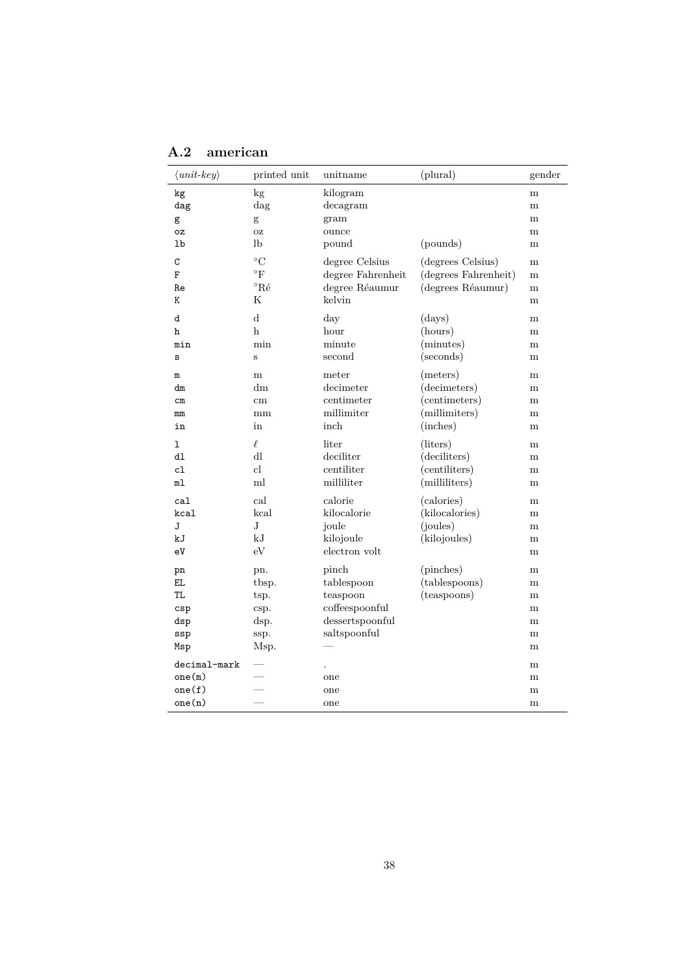| $\langle unit-key \rangle$                   | printed unit                                             | unitname                                                                             | (plural)                                                               | gender                          |
|----------------------------------------------|----------------------------------------------------------|--------------------------------------------------------------------------------------|------------------------------------------------------------------------|---------------------------------|
| kg<br>dag<br>g<br>0Z<br>lb                   | kg<br>dag<br>$\mathbf{g}$<br><b>OZ</b><br>lb             | kilogram<br>decagram<br>gram<br>ounce<br>pound                                       | (pounds)                                                               | m<br>m<br>m<br>m<br>m           |
| C<br>F<br>Re<br>Κ                            | $\rm ^{\circ}C$<br>$\rm ^{\circ}F$<br>$^{\circ}$ Ré<br>Κ | degree Celsius<br>degree Fahrenheit<br>degree Réaumur<br>kelvin                      | (degrees Celsius)<br>(degrees Fahrenheit)<br>(degrees Réaumur)         | m<br>m<br>m<br>m                |
| d<br>h<br>min<br>S                           | $\mathbf d$<br>h<br>min<br>$\mathbf s$                   | day<br>hour<br>minute<br>second                                                      | (days)<br>(hours)<br>(minutes)<br>(seconds)                            | m<br>m<br>m<br>m                |
| ${\tt m}$<br>dm<br>$\, cm$<br>mm<br>in       | m<br>dm<br>$\,\mathrm{cm}$<br>$\rm mm$<br>in             | meter<br>decimeter<br>centimeter<br>millimiter<br>inch                               | (meters)<br>(decimeters)<br>(centimeters)<br>(millimiters)<br>(inches) | m<br>m<br>m<br>m<br>m           |
| ı<br>dl<br>cl<br>m1                          | $\ell$<br>dl<br>cl<br>ml                                 | liter<br>deciliter<br>centiliter<br>milliliter                                       | (liters)<br>(deciliters)<br>(centiliters)<br>(milliliters)             | m<br>m<br>m<br>m                |
| cal<br>kcal<br>J<br>kJ<br>eV                 | cal<br>$\mbox{\sc kcal}$<br>$_{\rm J}$<br>kJ<br>eV       | calorie<br>kilocalorie<br>joule<br>kilojoule<br>electron volt                        | (calories)<br>(kilocalories)<br>(joules)<br>(kilojoules)               | m<br>m<br>m<br>m<br>m           |
| pn<br>EL.<br>TL.<br>csp<br>dsp<br>ssp<br>Msp | pn.<br>tbsp.<br>tsp.<br>csp.<br>dsp.<br>ssp.<br>Msp.     | pinch<br>tablespoon<br>teaspoon<br>coffeespoonful<br>dessertspoonful<br>saltspoonful | (pinches)<br>(tablespoons)<br>(teaspoons)                              | m<br>m<br>m<br>m<br>m<br>m<br>m |
| decimal-mark<br>one(m)<br>one(f)<br>one(n)   |                                                          | one<br>one<br>one                                                                    |                                                                        | m<br>m<br>m<br>m                |

<span id="page-37-0"></span>**A.2 american**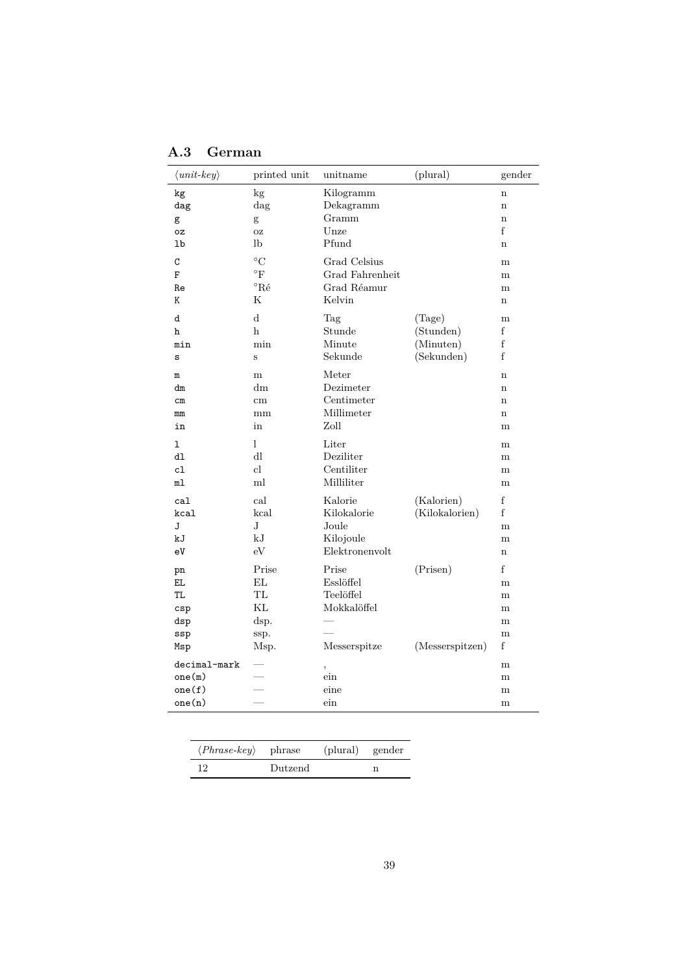| $\langle unit-key \rangle$                   | printed unit                                    | unitname                                                       | (plural)                     | gender                          |
|----------------------------------------------|-------------------------------------------------|----------------------------------------------------------------|------------------------------|---------------------------------|
| kg                                           | kg                                              | Kilogramm                                                      |                              | $\mathbf n$                     |
| dag                                          | dag                                             | Dekagramm                                                      |                              | $\mathbf n$                     |
| g                                            | g                                               | Gramm                                                          |                              | $\mathbf n$                     |
| 0Z                                           | <b>OZ</b>                                       | Unze                                                           |                              | f                               |
| 1 <sub>b</sub>                               | lb                                              | Pfund                                                          |                              | $\mathbf n$                     |
| C                                            | $^{\circ}C$                                     | Grad Celsius                                                   |                              | m                               |
| F                                            | $^{\circ} \mathrm{F}$                           | Grad Fahrenheit                                                |                              | m                               |
| Re                                           | $^{\circ}$ Ré                                   | Grad Réamur                                                    |                              | m                               |
| K                                            | $_{\rm K}$                                      | Kelvin                                                         |                              | $\mathbf n$                     |
| d                                            | d                                               | Tag                                                            | (Tage)                       | m                               |
| h                                            | h                                               | Stunde                                                         | (Stunden)                    | f                               |
| min                                          | min                                             | Minute                                                         | (Minuten)                    | f                               |
| S                                            | S                                               | Sekunde                                                        | (Sekunden)                   | f                               |
| $\mathbf m$                                  | m                                               | Meter                                                          |                              | $\mathbf n$                     |
| dm                                           | dm                                              | Dezimeter                                                      |                              | n                               |
| $\rm cm$                                     | cm                                              | Centimeter                                                     |                              | $\mathbf n$                     |
| mm                                           | mm                                              | Millimeter                                                     |                              | $\mathbf n$                     |
| in                                           | in                                              | Zoll                                                           |                              | m                               |
| 1                                            | 1                                               | Liter                                                          |                              | m                               |
| d1                                           | dl                                              | Deziliter                                                      |                              | m                               |
| c1                                           | $_{\rm cl}$                                     | Centiliter                                                     |                              | m                               |
| ml                                           | ml                                              | Milliliter                                                     |                              | m                               |
| ca1<br>kcal<br>J<br>kJ<br>eV                 | cal<br>kcal<br>$_{\rm J}$<br>kJ<br>eV           | Kalorie<br>Kilokalorie<br>Joule<br>Kilojoule<br>Elektronenvolt | (Kalorien)<br>(Kilokalorien) | f<br>f<br>m<br>m<br>$\mathbf n$ |
| pn<br>EL.<br>TL.<br>csp<br>dsp<br>ssp<br>Msp | Prise<br>EL<br>TL<br>KL<br>dsp.<br>ssp.<br>Msp. | Prise<br>Esslöffel<br>Teelöffel<br>Mokkalöffel<br>Messerspitze | (Prisen)<br>(Messerspitzen)  | f<br>m<br>m<br>m<br>m<br>m<br>f |
| decimal-mark<br>one(m)<br>one(f)<br>one(n)   |                                                 | ,<br>$\sin$<br>eine<br>$\sin$                                  |                              | m<br>m<br>m<br>m                |

<span id="page-38-0"></span>

| $\langle Phrase-key \rangle$ | phrase  | (plural) | gender |
|------------------------------|---------|----------|--------|
| 12                           | Dutzend |          |        |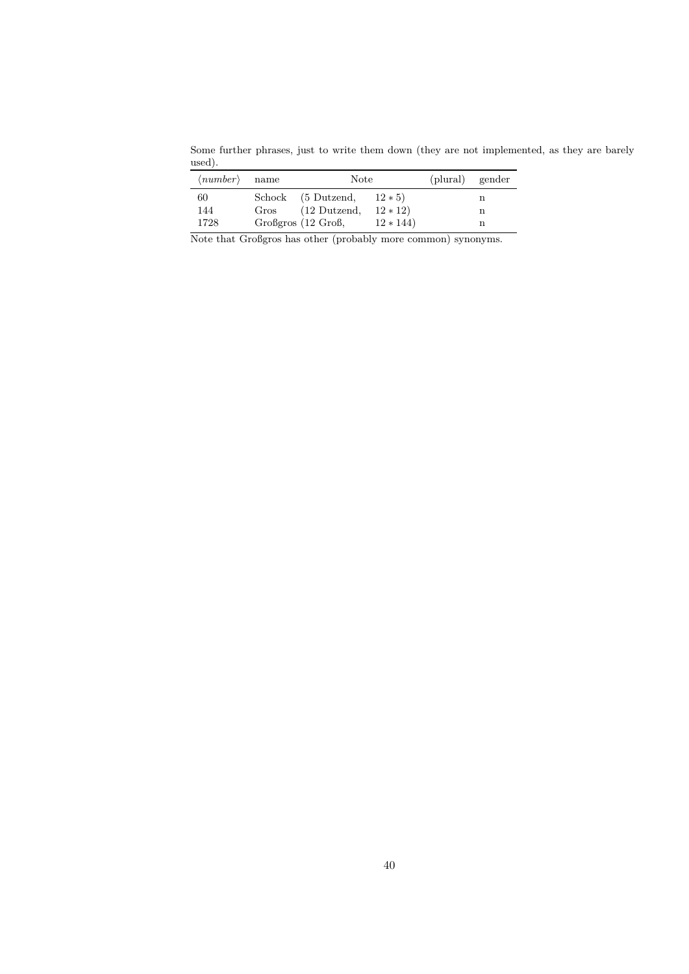Some further phrases, just to write them down (they are not implemented, as they are barely used).

| $\langle number \rangle$ name |      | <b>Note</b>                                  |                       | (plural) gender |  |
|-------------------------------|------|----------------------------------------------|-----------------------|-----------------|--|
| 60<br>144                     | Gros | Schock (5 Dutzend,<br>$(12 \text{ Dutzend},$ | $12 * 5$<br>$12 * 12$ |                 |  |
| 1728                          |      | Großgros (12 Groß,                           | $12 * 144$            |                 |  |

Note that Großgros has other (probably more common) synonyms.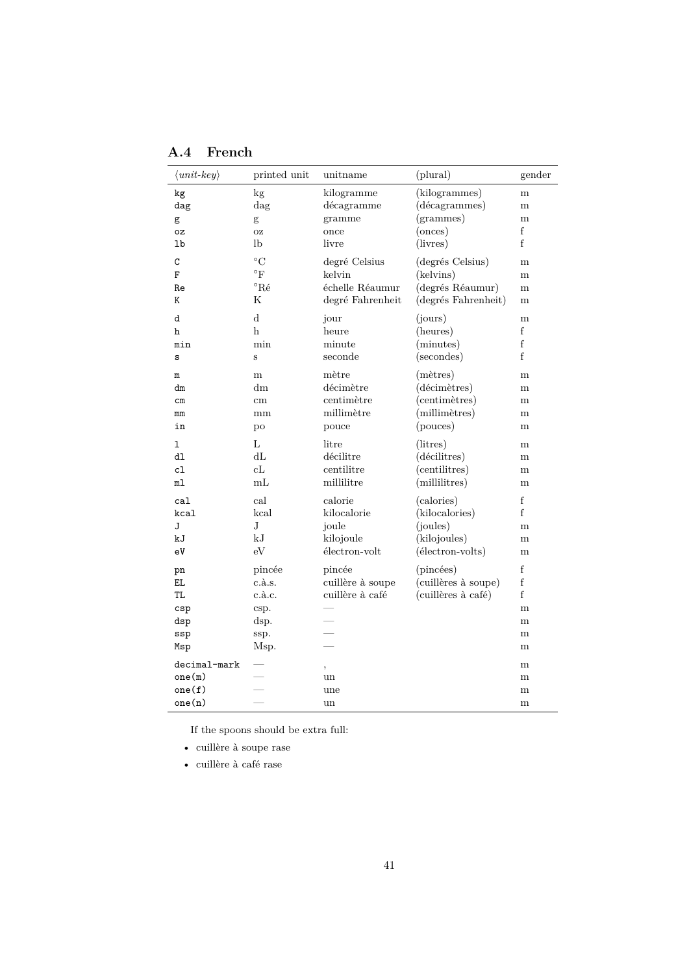| $\langle unit-key \rangle$ | printed unit     | unitname         | (plural)            | gender      |
|----------------------------|------------------|------------------|---------------------|-------------|
| kg                         | kg               | kilogramme       | (kilogrammes)       | m           |
| dag                        | $\rm{dag}$       | décagramme       | (décagrammes)       | m           |
| g                          | g                | gramme           | (grammes)           | m           |
| oz                         | OZ               | once             | (onces)             | f           |
| lb                         | lb               | livre            | (livres)            | f           |
| C                          | $^{\circ}C$      | degré Celsius    | (degrés Celsius)    | m           |
| F                          | $\rm ^{\circ}F$  | kelvin           | (kelvins)           | m           |
| Re                         | $^{\circ}$ Ré    | échelle Réaumur  | (degrés Réaumur)    | m           |
| Κ                          | Κ                | degré Fahrenheit | (degrés Fahrenheit) | m           |
| d                          | $\rm d$          | jour             | (jours)             | m           |
| h                          | h                | heure            | (heures)            | f           |
| min                        | min              | minute           | (minutes)           | f           |
| S                          | $\rm S$          | seconde          | (secondes)          | f           |
| m                          | m                | mètre            | $(m\text{ètres})$   | m           |
| dm                         | dm               | décimètre        | (décimètres)        | m           |
| $\rm cm$                   | cm               | centimètre       | (centimètres)       | m           |
| mm                         | mm               | millimètre       | (millimètres)       | m           |
| in                         | po               | pouce            | (pouces)            | m           |
| ı                          | L                | litre            | (litres)            | m           |
| dl                         | dL               | décilitre        | (décilitres)        | m           |
| cl                         | cL               | centilitre       | (centilitres)       | m           |
| ml                         | mL               | millilitre       | (millilitres)       | m           |
| ca1                        | cal              | calorie          | (calories)          | $\mathbf f$ |
| kcal                       | kcal             | kilocalorie      | (kilocalories)      | f           |
| J                          | J                | joule            | (joules)            | m           |
| kJ                         | kJ               | kilojoule        | (kilojoules)        | m           |
| eV                         | eV               | électron-volt    | (électron-volts)    | m           |
| pn                         | pincée           | pincée           | (pincées)           | f           |
| EL.                        | $c.\grave{a}.s.$ | cuillère à soupe | (cuillères à soupe) | $\mathbf f$ |
| TL                         | $c.\grave{a}.c.$ | cuillère à café  | (cuillères à café)  | f           |
| c <sub>sp</sub>            | csp.             |                  |                     | m           |
| dsp                        | dsp.             |                  |                     | m           |
| ssp                        | ssp.             |                  |                     | m           |
| Msp                        | Msp.             |                  |                     | m           |
| $decimal$ -mark            |                  | ,                |                     | m           |
| one(m)                     |                  | un               |                     | m           |
| one(f)                     |                  | une              |                     | m           |
| one(n)                     |                  | un               |                     | m           |

<span id="page-40-0"></span>**A.4 French**

If the spoons should be extra full:

• cuillère à soupe rase

• cuillère à café rase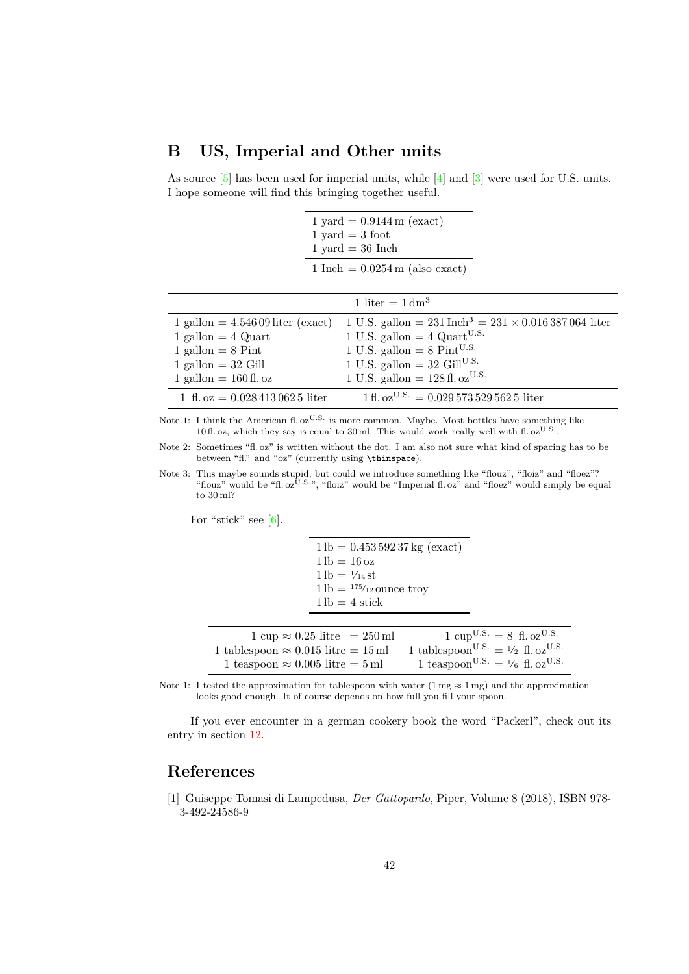## <span id="page-41-2"></span><span id="page-41-0"></span>**B US, Imperial and Other units**

As source [\[5\]](#page-42-5) has been used for imperial units, while [\[4\]](#page-42-6) and [\[3\]](#page-42-7) were used for U.S. units. I hope someone will find this bringing together useful.

|                                                                                                                                         | $1 \text{ yard} = 0.9144 \text{ m} \text{ (exact)}$<br>$1 \text{ yard} = 3 \text{ foot}$<br>$1 \text{ yard} = 36 \text{ inch}$                                                                                                                                 |
|-----------------------------------------------------------------------------------------------------------------------------------------|----------------------------------------------------------------------------------------------------------------------------------------------------------------------------------------------------------------------------------------------------------------|
|                                                                                                                                         | $1 \text{ Inch} = 0.0254 \text{ m (also exact)}$                                                                                                                                                                                                               |
|                                                                                                                                         | 1 liter = $1 \text{ dm}^3$                                                                                                                                                                                                                                     |
| $1$ gallon $=4.54609$ liter (exact)<br>$1$ gallon $= 4$ Quart<br>1 gallon $= 8$ Pint<br>$1$ gallon = 32 Gill<br>1 gallon $= 160$ fl. oz | 1 U.S. gallon = $231 \text{ Inch}^3 = 231 \times 0.016387064$ liter<br>1 U.S. gallon $=$ 4 Quart <sup>U.S.</sup><br>1 U.S. gallon = $8 \text{ Pint}^{U.S.}$<br>1 U.S. gallon = 32 Gill <sup>U.S.</sup><br>1 U.S. gallon = $128 \text{ fl.}$ oz <sup>U.S.</sup> |
| 1 ft. oz = $0.0284130625$ liter                                                                                                         | $1 \text{ fl. oz}^{\text{U.S.}} = 0.0295735295625$ liter                                                                                                                                                                                                       |

Note 1: I think the American fl. oz<sup>U.S.</sup> is more common. Maybe. Most bottles have something like 10 fl. oz, which they say is equal to 30 ml. This would work really well with fl. oz<sup>U.S.</sup>.

Note 2: Sometimes "fl. oz" is written without the dot. I am also not sure what kind of spacing has to be between "fl." and "oz" (currently using \thinspace).

Note 3: This maybe sounds stupid, but could we introduce something like "flouz", "floiz" and "floez"? "flouz" would be "fl. oz<sup>U.S."</sup>, "floiz" would be "Imperial fl. oz" and "floez" would simply be equal to 30 ml?

For "stick" see  $[6]$ .

 $1 lb = 0.45359237 kg (exact)$  $1 lb = 16 oz$  $1 lb = \frac{1}{14} st$  $1 lb =$  175/<sub>12</sub> ounce troy  $1 lb = 4 stick$ 

| $1 \text{ cup} \approx 0.25 \text{ litre} = 250 \text{ ml}$ | $1 \text{ cup}^{\text{U.S.}} = 8 \text{ fl.} \text{oz}^{\text{U.S.}}$ |
|-------------------------------------------------------------|-----------------------------------------------------------------------|
| 1 tablespoon $\approx 0.015$ litre = 15 ml                  | 1 tablespoon <sup>U.S.</sup> = $\frac{1}{2}$ fl. oz <sup>U.S.</sup>   |
| 1 teaspoon $\approx 0.005$ litre = 5 ml                     | 1 teaspoon <sup>U.S.</sup> = $\frac{1}{6}$ fl. oz <sup>U.S.</sup>     |

Note 1: I tested the approximation for tablespoon with water  $(1 \text{ mg} \approx 1 \text{ mg})$  and the approximation looks good enough. It of course depends on how full you fill your spoon.

If you ever encounter in a german cookery book the word "Packerl", check out its entry in section [12.](#page-34-0)

## **References**

<span id="page-41-1"></span>[1] Guiseppe Tomasi di Lampedusa, *Der Gattopardo*, Piper, Volume 8 (2018), ISBN 978- 3-492-24586-9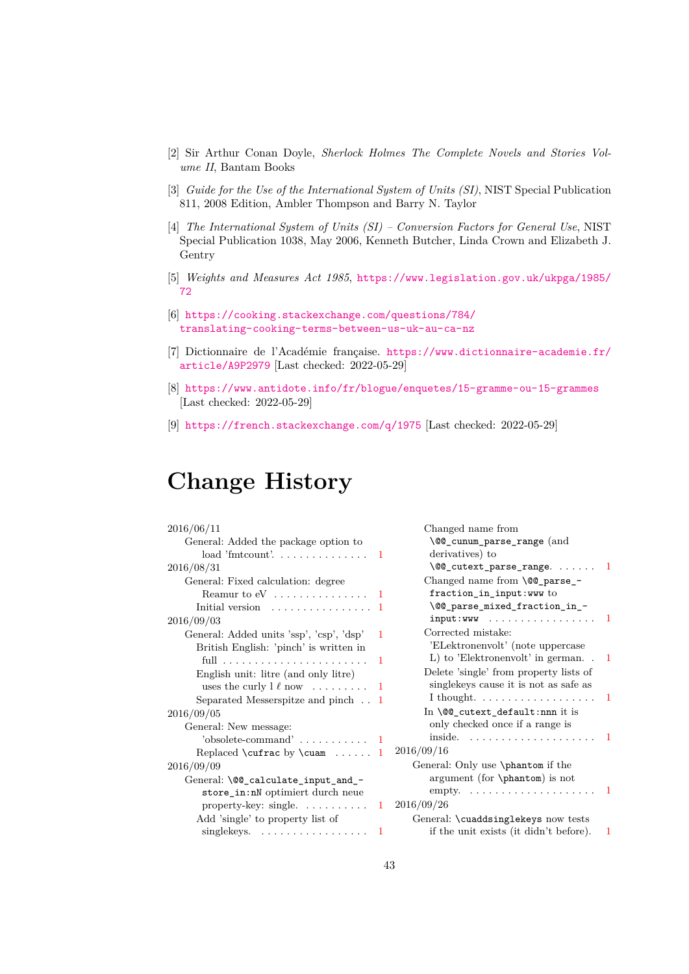- <span id="page-42-9"></span><span id="page-42-4"></span>[2] Sir Arthur Conan Doyle, *Sherlock Holmes The Complete Novels and Stories Volume II*, Bantam Books
- <span id="page-42-7"></span>[3] *Guide for the Use of the International System of Units (SI)*, NIST Special Publication 811, 2008 Edition, Ambler Thompson and Barry N. Taylor
- <span id="page-42-6"></span>[4] *The International System of Units (SI) – Conversion Factors for General Use*, NIST Special Publication 1038, May 2006, Kenneth Butcher, Linda Crown and Elizabeth J. Gentry
- <span id="page-42-5"></span>[5] *Weights and Measures Act 1985*, [https://www.legislation.gov.uk/ukpga/1985/](https://www.legislation.gov.uk/ukpga/1985/72) [72](https://www.legislation.gov.uk/ukpga/1985/72)
- <span id="page-42-8"></span>[6] [https://cooking.stackexchange.com/questions/784/](https://cooking.stackexchange.com/questions/784/translating-cooking-terms-between-us-uk-au-ca-nz) [translating-cooking-terms-between-us-uk-au-ca-nz](https://cooking.stackexchange.com/questions/784/translating-cooking-terms-between-us-uk-au-ca-nz)
- <span id="page-42-1"></span>[7] Dictionnaire de l'Académie française. [https://www.dictionnaire-academie.fr/](https://www.dictionnaire-academie.fr/article/A9P2979) [article/A9P2979](https://www.dictionnaire-academie.fr/article/A9P2979) [Last checked: 2022-05-29]
- <span id="page-42-2"></span>[8] <https://www.antidote.info/fr/blogue/enquetes/15-gramme-ou-15-grammes> [Last checked: 2022-05-29]
- <span id="page-42-3"></span>[9] <https://french.stackexchange.com/q/1975> [Last checked: 2022-05-29]

# <span id="page-42-0"></span>**Change History**

| 2016/06/11                                       |   |
|--------------------------------------------------|---|
| General: Added the package option to             |   |
| $load 'fmtcount'. \dots \dots \dots \dots \dots$ | 1 |
| 2016/08/31                                       |   |
| General: Fixed calculation: degree               |   |
|                                                  | 1 |
| Initial version $\ldots \ldots \ldots \ldots$    | 1 |
| 2016/09/03                                       |   |
| General: Added units 'ssp', 'csp', 'dsp'         | 1 |
| British English: 'pinch' is written in           |   |
|                                                  | 1 |
| English unit: litre (and only litre)             |   |
| uses the curly $\ell$ now                        | 1 |
| Separated Messerspitze and pinch                 | 1 |
| 2016/09/05                                       |   |
| General: New message:                            |   |
| 'obsolete-command'                               | 1 |
| Replaced $\cut{rac}$ by $\cu{num}$               | 1 |
| 2016/09/09                                       |   |
| General: \@@_calculate_input_and_-               |   |
| store_in:nN optimiert durch neue                 |   |
| property-key: single. $\dots \dots \dots$        | 1 |
| Add 'single' to property list of                 |   |
| single keys. $\dots \dots \dots \dots \dots$     | 1 |

| Changed name from                                |   |
|--------------------------------------------------|---|
| \@@_cunum_parse_range (and                       |   |
| derivatives) to                                  |   |
| \@@_cutext_parse_range.                          | 1 |
| Changed name from \@@_parse_-                    |   |
| fraction_in_input:www to                         |   |
| \@@_parse_mixed_fraction_in_-                    |   |
| $input:WW \dots \dots \dots \dots \dots \dots$   | 1 |
| Corrected mistake:                               |   |
| 'ELektronenvolt' (note uppercase                 |   |
| L) to 'Elektronenvolt' in german                 | 1 |
| Delete 'single' from property lists of           |   |
| single keys cause it is not as safe as           |   |
| I thought. $\dots \dots \dots \dots \dots \dots$ | 1 |
| In \@@_cutext_default:nnn it is                  |   |
| only checked once if a range is                  |   |
| inside.                                          | 1 |
| 2016/09/16                                       |   |
| General: Only use \phantom if the                |   |
| argument (for \phantom) is not                   |   |
| $empty. \ldots \ldots \ldots \ldots$             | 1 |
| 2016/09/26                                       |   |
| General: \cuaddsinglekeys now tests              |   |
| if the unit exists (it didn't before).           | 1 |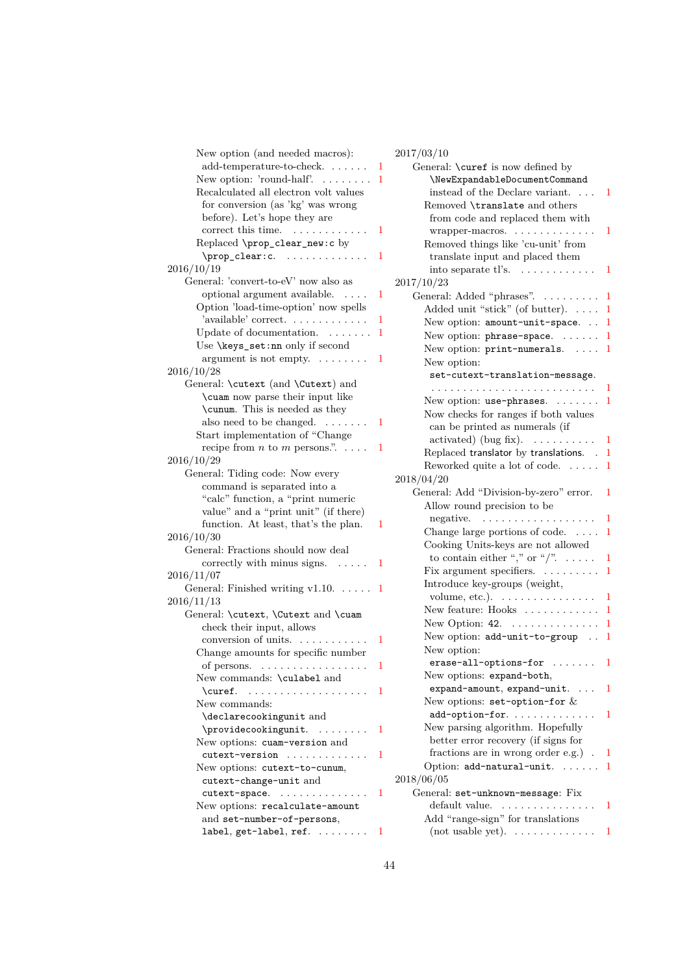<span id="page-43-0"></span>

| New option (and needed macros):                             |   | 2017/03/10           |
|-------------------------------------------------------------|---|----------------------|
| add-temperature-to-check.                                   | 1 | General              |
| New option: 'round-half'. $\dots \dots$                     | 1 | $\leq$               |
| Recalculated all electron volt values                       |   | $_{\rm inst}$        |
| for conversion (as 'kg' was wrong                           |   | Remo                 |
| before). Let's hope they are                                |   | fron                 |
| correct this time.                                          | 1 | wra                  |
| Replaced \prop_clear_new:c by                               |   | Remo                 |
| \prop_clear: c.                                             | 1 | $_{\rm trar}$        |
| 2016/10/19                                                  |   | into                 |
| General: 'convert-to-eV' now also as                        |   | 2017/10/23           |
| optional argument available.<br>$\sim$ $\sim$ $\sim$ $\sim$ | 1 | General              |
| Option 'load-time-option' now spells                        |   | Adde                 |
| 'available' correct.                                        | 1 | New                  |
| Update of documentation.                                    | 1 | New                  |
| Use \keys_set:nn only if second                             |   | New                  |
| argument is not empty. $\dots \dots$                        | 1 | New                  |
| 2016/10/28                                                  |   | set                  |
| General: \cutext (and \Cutext) and                          |   | $\cdots$             |
| \cuam now parse their input like                            |   | New                  |
| \cunum. This is needed as they                              |   | Now.                 |
| also need to be changed. $\dots \dots$                      | 1 |                      |
| Start implementation of "Change                             |   | can                  |
| recipe from $n$ to $m$ persons.".                           | 1 | acti                 |
| 2016/10/29                                                  |   | Repla                |
| General: Tiding code: Now every                             |   | Rewo                 |
| command is separated into a                                 |   | 2018/04/20           |
| "calc" function, a "print numeric                           |   | General              |
| value" and a "print unit" (if there)                        |   | Allov                |
| function. At least, that's the plan.                        | 1 | nega                 |
| 2016/10/30                                                  |   | Chan                 |
| General: Fractions should now deal                          |   | Cook                 |
| correctly with minus signs.<br>$\sim$ 100 $\sim$ 100 $\sim$ | 1 | $\frac{1}{\sqrt{2}}$ |
| 2016/11/07                                                  |   | Fix a                |
| General: Finished writing $v1.10. \ldots$ .                 | 1 | Intro                |
| 2016/11/13                                                  |   | volu                 |
| General: \cutext, \Cutext and \cuam                         |   | New                  |
| check their input, allows                                   |   | New                  |
| conversion of units.                                        | 1 | New                  |
| Change amounts for specific number                          |   | New                  |
| of persons. $\dots \dots \dots \dots \dots$                 |   | era                  |
| New commands: \culabel and                                  |   | New                  |
| \curef.<br>.                                                | 1 | exp                  |
| New commands:                                               |   | New                  |
| \declarecookingunit and                                     |   | add                  |
| \providecookingunit.                                        | 1 | New                  |
| New options: cuam-version and                               |   | $_{\rm{bett}}$       |
| cutext-version                                              | 1 | $_{\mathrm{frac}}$   |
| New options: cutext-to-cunum,                               |   | Optio                |
| cutext-change-unit and                                      |   | 2018/06/05           |
| cutext-space.                                               | 1 | General              |
| New options: recalculate-amount                             |   | defa                 |
| and set-number-of-persons,                                  |   | $\rm Add$            |
| $label, get-label, ref. \ldots \ldots$                      | T | (not                 |
|                                                             |   |                      |

| 4017/00/10                                    |              |
|-----------------------------------------------|--------------|
| General: \curef is now defined by             |              |
| \NewExpandableDocumentCommand                 |              |
| instead of the Declare variant.               | 1            |
| Removed \translate and others                 |              |
| from code and replaced them with              |              |
| $wrapper-macros. \ldots \ldots \ldots \ldots$ | 1            |
|                                               |              |
| Removed things like 'cu-unit' from            |              |
| translate input and placed them               |              |
| into separate $t$ l's. $\ldots \ldots \ldots$ | 1            |
| 2017/10/23                                    |              |
| General: Added "phrases".                     | 1            |
| Added unit "stick" (of butter).               | 1            |
| New option: amount-unit-space.                | 1            |
| New option: phrase-space.                     | 1            |
|                                               |              |
| New option: print-numerals.                   | 1            |
| New option:                                   |              |
| set-cutext-translation-message.               |              |
|                                               | 1            |
| New option: use-phrases.                      | 1            |
| Now checks for ranges if both values          |              |
| can be printed as numerals (if                |              |
| activated) (bug fix). $\dots \dots$           | 1            |
| Replaced translator by translations. .        | 1            |
| Reworked quite a lot of code.<br>.            | $\mathbf{1}$ |
|                                               |              |
| 2018/04/20                                    |              |
| General: Add "Division-by-zero" error.        | 1            |
| Allow round precision to be                   |              |
| negative.                                     | 1            |
| Change large portions of code. $\dots$        | $\mathbf{1}$ |
| Cooking Units-keys are not allowed            |              |
| to contain either "," or "/". $\dots$ .       | 1            |
| Fix argument specifiers.                      | 1            |
| Introduce key-groups (weight,                 |              |
|                                               |              |
| volume, etc.). $\dots \dots \dots \dots$      | 1            |
| New feature: $Hooks$                          | 1            |
| New Option: $42. \ldots \ldots \ldots \ldots$ | 1            |
| New option: add-unit-to-group                 | 1            |
| New option:                                   |              |
| erase-all-options-for                         | 1            |
| New options: expand-both,                     |              |
| expand-amount, expand-unit.                   | 1            |
| New options: $set-option-for \&$              |              |
| add-option-for.                               | 1            |
| New parsing algorithm. Hopefully              |              |
| better error recovery (if signs for           |              |
|                                               |              |
| fractions are in wrong order e.g.).           | 1            |
| Option: add-natural-unit.                     | 1            |
| 2018/06/05                                    |              |
| General: set-unknown-message: Fix             |              |
| default value.                                | 1            |
| Add "range-sign" for translations             |              |
| $(not usable yet). \ldots \ldots \ldots$      | 1            |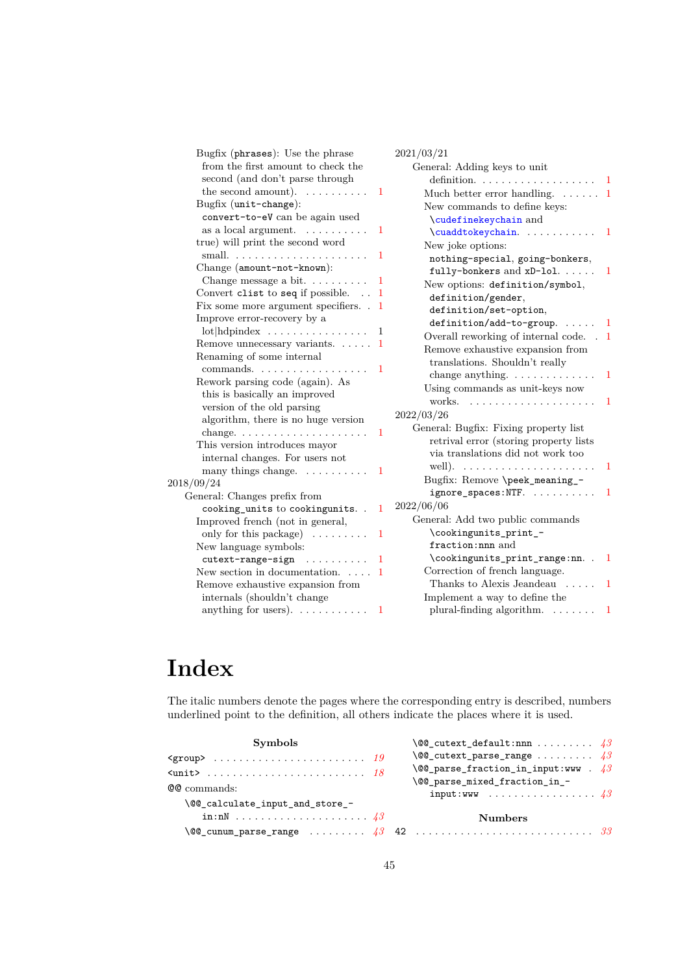<span id="page-44-1"></span>

| Bugfix (phrases): Use the phrase<br>from the first amount to check the | 2021/03/21<br>General: Adding keys to unit                    |
|------------------------------------------------------------------------|---------------------------------------------------------------|
| second (and don't parse through                                        |                                                               |
| the second amount). $\dots \dots \dots$<br>-1                          | Much better error handling. $\dots \dots 1$                   |
| Bugfix (unit-change):                                                  | New commands to define keys:                                  |
| convert-to-eV can be again used                                        | \cudefinekeychain and                                         |
| as a local argument. $\ldots \ldots \ldots$<br>1                       | \cuaddtokeychain<br>$\mathbf{1}$                              |
| true) will print the second word                                       | New joke options:                                             |
| small. $\ldots \ldots \ldots \ldots \ldots \ldots$<br>1                | nothing-special, going-bonkers,                               |
| Change (amount-not-known):                                             | fully-bonkers and xD-lol.<br>$\mathbf{1}$                     |
| Change message a bit. $\dots \dots$<br>1                               | New options: definition/symbol,                               |
| Convert clist to seq if possible.<br>$\mathbf{1}$                      | definition/gender,                                            |
| Fix some more argument specifiers. . 1                                 | definition/set-option,                                        |
| Improve error-recovery by a                                            | definition/add-to-group. $\ldots$ 1                           |
| $\mathrm{lot}$   hdpindex<br>-1                                        | Overall reworking of internal code. . 1                       |
| Remove unnecessary variants. $\dots$ 1                                 | Remove exhaustive expansion from                              |
| Renaming of some internal                                              | translations. Shouldn't really                                |
| commands.<br>-1<br>Rework parsing code (again). As                     | change anything. $\dots \dots \dots \dots$<br>$\overline{1}$  |
| this is basically an improved                                          | Using commands as unit-keys now                               |
| version of the old parsing                                             | works. $\ldots$ ,<br>1                                        |
| algorithm, there is no huge version                                    | 2022/03/26                                                    |
| $\mathbf{1}$                                                           | General: Bugfix: Fixing property list                         |
| This version introduces mayor                                          | retrival error (storing property lists                        |
| internal changes. For users not                                        | via translations did not work too                             |
| many things change.<br>1                                               | well). $\dots \dots \dots \dots \dots \dots \dots \dots$<br>1 |
| 2018/09/24                                                             | Bugfix: Remove \peek_meaning_-                                |
| General: Changes prefix from                                           | ignore_spaces:NTF.<br>-1                                      |
| cooking_units to cookingunits<br>$\mathbf{1}$                          | 2022/06/06                                                    |
| Improved french (not in general,                                       | General: Add two public commands                              |
| only for this package) $\dots \dots$<br>$\mathbf{1}$                   | \cookingunits_print_-                                         |
| New language symbols:                                                  | fraction:nnn and                                              |
| $cutext-range-sign$<br>-1                                              | \cookingunits_print_range:nn. .<br>$\mathbf{1}$               |
| New section in documentation. $\dots$ 1                                | Correction of french language.                                |
| Remove exhaustive expansion from                                       | Thanks to Alexis Jeandeau $\dots$<br>$\blacksquare$           |
| internals (shouldn't change                                            | Implement a way to define the                                 |
| anything for users). $\dots \dots \dots$<br>$\mathbf{1}$               | plural-finding algorithm. $\ldots \ldots$<br>$\mathbf{1}$     |

# <span id="page-44-0"></span>**Index**

The italic numbers denote the pages where the corresponding entry is described, numbers underlined point to the definition, all others indicate the places where it is used.

| <b>Symbols</b>                  | $\setminus$ @@_cutext_default:nnn  43             |
|---------------------------------|---------------------------------------------------|
|                                 | $\sqrt{00}$ cutext parse range $43$               |
|                                 | $\setminus$ @@_parse_fraction_in_input:www . $43$ |
| <b>QQ</b> commands:             | \@@_parse_mixed_fraction_in_-                     |
|                                 | input:www $43$                                    |
| \@@_calculate_input_and_store_- |                                                   |
|                                 | <b>Numbers</b>                                    |
|                                 |                                                   |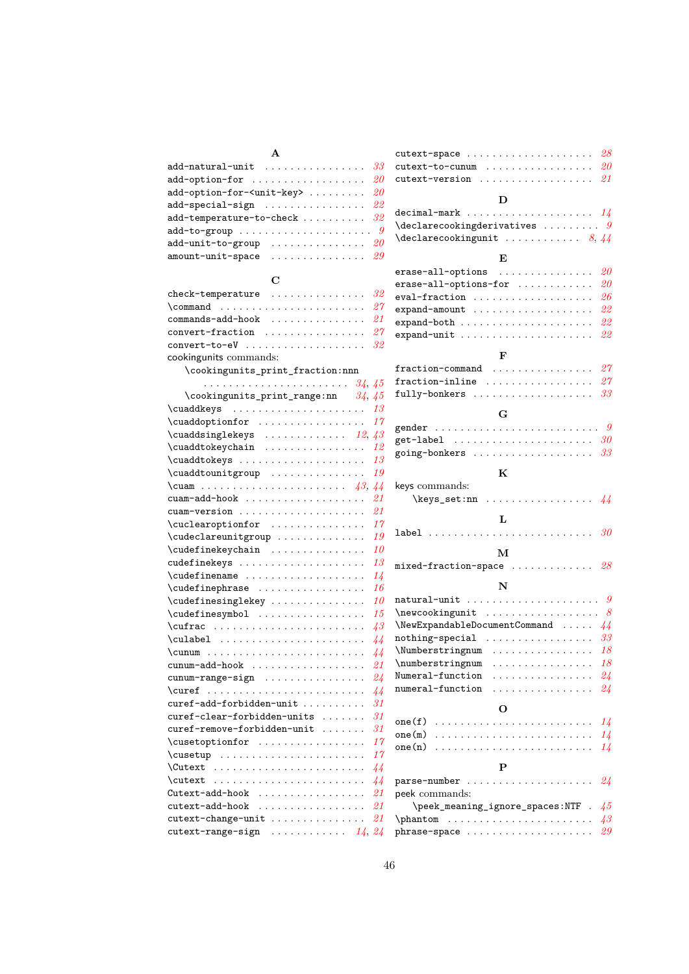| $\mathbf{A}$                                                                 |  |
|------------------------------------------------------------------------------|--|
| add-natural-unit $33$                                                        |  |
| add-option-for $20$                                                          |  |
| add-option-for- <unit-key> <math>\ldots \ldots \ldots \ 20</math></unit-key> |  |
| add-special-sign $22$                                                        |  |
| add-temperature-to-check $\ldots \ldots \ldots \ 32$                         |  |
| add-to-group $\dots \dots \dots \dots \dots \dots \dots$                     |  |
| add-unit-to-group $20$                                                       |  |
| amount-unit-space $\ldots \ldots \ldots \ldots \ldots \; 29$                 |  |
|                                                                              |  |

## $\overline{\phantom{a}}$

| C                                           |                 |
|---------------------------------------------|-----------------|
| check-temperature                           | 32              |
| $\text{command} \dots \dots \dots$          | 27              |
| $commands=add-hook \dots \dots \dots \dots$ | 21              |
| convert-fraction                            | 27              |
| convert-to-eV                               | 32              |
| cookingunits commands:                      |                 |
| \cookingunits_print_fraction:nnn            |                 |
|                                             |                 |
| \cookingunits_print_range:nn $34, 45$       |                 |
| $\cuaddkeys$ 13                             |                 |
| \cuaddoptionfor                             | 17              |
| \cuaddsinglekeys $12, 43$                   |                 |
| \cuaddtokeychain                            | 12              |
| \cuaddtokeys                                | 13              |
| \cuaddtounitgroup                           | 19              |
| \cuam $43$                                  | 44              |
|                                             | 21              |
| cuam-version                                | 21              |
| \cuclearoptionfor                           | 17              |
| \cudeclareunitgroup                         | 19              |
| \cudefinekeychain                           | 10              |
| cudefinekeys                                | 13              |
| \cudefinename                               | 14              |
| \cudefinephrase                             | 16              |
| \cudefinesinglekey                          | 10              |
| \cudefinesymbol                             | 15              |
|                                             | $\overline{43}$ |
| \culabel                                    | 44              |
| $\{\text{cumum}\dots\ldots\}$               | 44              |
| cunum-add-hook                              | 21              |
| cunum-range-sign                            | $24\,$          |
|                                             | 44              |
| curef-add-forbidden-unit                    | 31              |
| curef-clear-forbidden-units                 | 31              |
| curef-remove-forbidden-unit                 | 31              |
| \cusetoptionfor                             | 17              |

\cusetup . . . . . . . . . . . . . . . . . . . . . . . *[17](#page-16-2)* \Cutext . . . . . . . . . . . . . . . . . . . . . . . . *[44](#page-43-0)* \cutext . . . . . . . . . . . . . . . . . . . . . . . . *[44](#page-43-0)* Cutext-add-hook . . . . . . . . . . . . . . . . . *[21](#page-20-1)* cutext-add-hook . . . . . . . . . . . . . . . . . *[21](#page-20-1)* cutext-change-unit . . . . . . . . . . . . . . . *[21](#page-20-1)* cutext-range-sign . . . . . . . . . . . . *[14](#page-13-1)*, *[24](#page-23-0)*

| cutext-space                                                       |   |   |   |  |                                        |  |  | 28             |
|--------------------------------------------------------------------|---|---|---|--|----------------------------------------|--|--|----------------|
| cutext-to-cunum                                                    |   |   |   |  |                                        |  |  | 20             |
| cutext-version<br>.                                                |   |   | . |  |                                        |  |  | 21             |
|                                                                    |   |   |   |  |                                        |  |  |                |
|                                                                    | D |   |   |  |                                        |  |  |                |
| decimal-mark $14$                                                  |   |   |   |  |                                        |  |  |                |
| $\lambda$ declarecookingderivatives  9                             |   |   |   |  |                                        |  |  |                |
| $\lambda$ declarecookingunit  8, 44                                |   |   |   |  |                                        |  |  |                |
|                                                                    |   |   |   |  |                                        |  |  |                |
|                                                                    | E |   |   |  |                                        |  |  |                |
| erase-all-options                                                  |   |   |   |  |                                        |  |  | 20             |
| erase-all-options-for                                              |   |   |   |  |                                        |  |  | 20             |
| eval-fraction                                                      |   |   |   |  |                                        |  |  |                |
|                                                                    |   |   |   |  |                                        |  |  | 26             |
| $expand = amount \dots \dots \dots \dots \dots \dots \dots$        |   |   |   |  |                                        |  |  | 22             |
|                                                                    |   |   |   |  |                                        |  |  | 22             |
| $expand-unit \dots \dots \dots \dots \dots \dots \dots \dots$      |   |   |   |  |                                        |  |  | 22             |
|                                                                    |   |   |   |  |                                        |  |  |                |
|                                                                    | F |   |   |  |                                        |  |  |                |
| $fraction$ -command                                                |   |   |   |  |                                        |  |  | 27             |
| fraction-inline                                                    |   |   |   |  |                                        |  |  | 27             |
| fully-bonkers                                                      |   |   |   |  |                                        |  |  | 33             |
|                                                                    |   |   |   |  |                                        |  |  |                |
|                                                                    | G |   |   |  |                                        |  |  |                |
|                                                                    |   |   |   |  |                                        |  |  |                |
| get-label $\ldots \ldots \ldots \ldots \ldots \ldots \ldots \, 30$ |   |   |   |  |                                        |  |  |                |
| going-bonkers                                                      |   |   |   |  |                                        |  |  | 33             |
|                                                                    |   |   |   |  |                                        |  |  |                |
|                                                                    | K |   |   |  |                                        |  |  |                |
| keys commands:                                                     |   |   |   |  |                                        |  |  |                |
| $\text{keys_set:nn} \dots \dots \dots \dots \ 44$                  |   |   |   |  |                                        |  |  |                |
|                                                                    |   |   |   |  |                                        |  |  |                |
|                                                                    | L |   |   |  |                                        |  |  |                |
| label                                                              |   |   |   |  |                                        |  |  |                |
|                                                                    |   |   |   |  |                                        |  |  |                |
|                                                                    | м |   |   |  |                                        |  |  |                |
| mixed-fraction-space $28$                                          |   |   |   |  |                                        |  |  |                |
|                                                                    | N |   |   |  |                                        |  |  |                |
|                                                                    |   |   |   |  |                                        |  |  |                |
|                                                                    |   |   |   |  |                                        |  |  |                |
|                                                                    |   |   |   |  |                                        |  |  |                |
| $\text{NewExpandableDocumentCommand} \dots 44$                     |   |   |   |  |                                        |  |  |                |
| nothing-special                                                    |   |   |   |  |                                        |  |  | 33             |
| \Numberstringnum                                                   |   |   |   |  |                                        |  |  | 18             |
| $\{\text{numberstringnum} \dots \dots \dots \dots \dots$           |   |   |   |  |                                        |  |  | 18             |
| Numeral-function                                                   | . |   |   |  | $\alpha$ , and $\alpha$ , and $\alpha$ |  |  | 24             |
| numeral-function                                                   |   | . |   |  |                                        |  |  | 24             |
|                                                                    |   |   |   |  |                                        |  |  |                |
|                                                                    | O |   |   |  |                                        |  |  |                |
| one(f)                                                             | . |   |   |  |                                        |  |  | 14             |
| one(m)                                                             |   |   |   |  |                                        |  |  | 14             |
| one(n)                                                             |   |   |   |  |                                        |  |  | $1\frac{1}{2}$ |
|                                                                    |   |   |   |  |                                        |  |  |                |
|                                                                    | P |   |   |  |                                        |  |  |                |
| parse-number                                                       |   |   |   |  |                                        |  |  | 24             |
| peek commands:                                                     |   |   |   |  |                                        |  |  |                |
| \peek_meaning_ignore_spaces:NTF .                                  |   |   |   |  |                                        |  |  | 45             |
| $\phi \ldots \ldots \ldots$                                        |   |   |   |  |                                        |  |  | $\sqrt{43}$    |
|                                                                    |   |   |   |  |                                        |  |  | 29             |
|                                                                    |   |   |   |  |                                        |  |  |                |